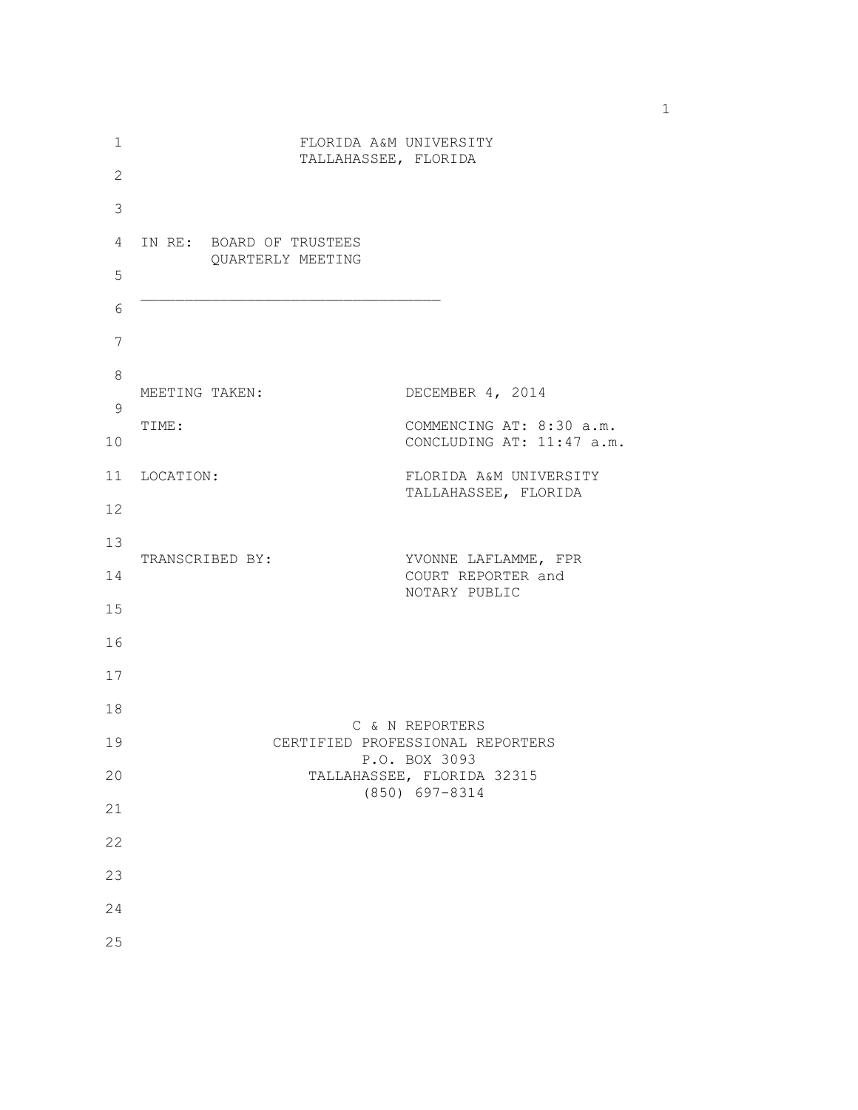| 1              |                | FLORIDA A&M UNIVERSITY   |                                                   |
|----------------|----------------|--------------------------|---------------------------------------------------|
| $\overline{2}$ |                | TALLAHASSEE, FLORIDA     |                                                   |
| $\mathsf 3$    |                |                          |                                                   |
| 4              |                | IN RE: BOARD OF TRUSTEES |                                                   |
| 5              |                | QUARTERLY MEETING        |                                                   |
| 6              |                |                          |                                                   |
| 7              |                |                          |                                                   |
| 8              | MEETING TAKEN: |                          | DECEMBER 4, 2014                                  |
| $\mathsf 9$    | TIME:          |                          | COMMENCING AT: 8:30 a.m.                          |
| 10             |                |                          | CONCLUDING AT: 11:47 a.m.                         |
| 11             | LOCATION:      |                          | FLORIDA A&M UNIVERSITY<br>TALLAHASSEE, FLORIDA    |
| 12             |                |                          |                                                   |
| 13             |                | TRANSCRIBED BY:          | YVONNE LAFLAMME, FPR                              |
| 14             |                |                          | COURT REPORTER and<br>NOTARY PUBLIC               |
| 15             |                |                          |                                                   |
| 16             |                |                          |                                                   |
| 17             |                |                          |                                                   |
| 18             |                |                          | C & N REPORTERS                                   |
| 19             |                |                          | CERTIFIED PROFESSIONAL REPORTERS<br>P.O. BOX 3093 |
| 20             |                |                          | TALLAHASSEE, FLORIDA 32315<br>(850) 697-8314      |
| 21             |                |                          |                                                   |
| 22             |                |                          |                                                   |
| 23             |                |                          |                                                   |
| 24             |                |                          |                                                   |
| 25             |                |                          |                                                   |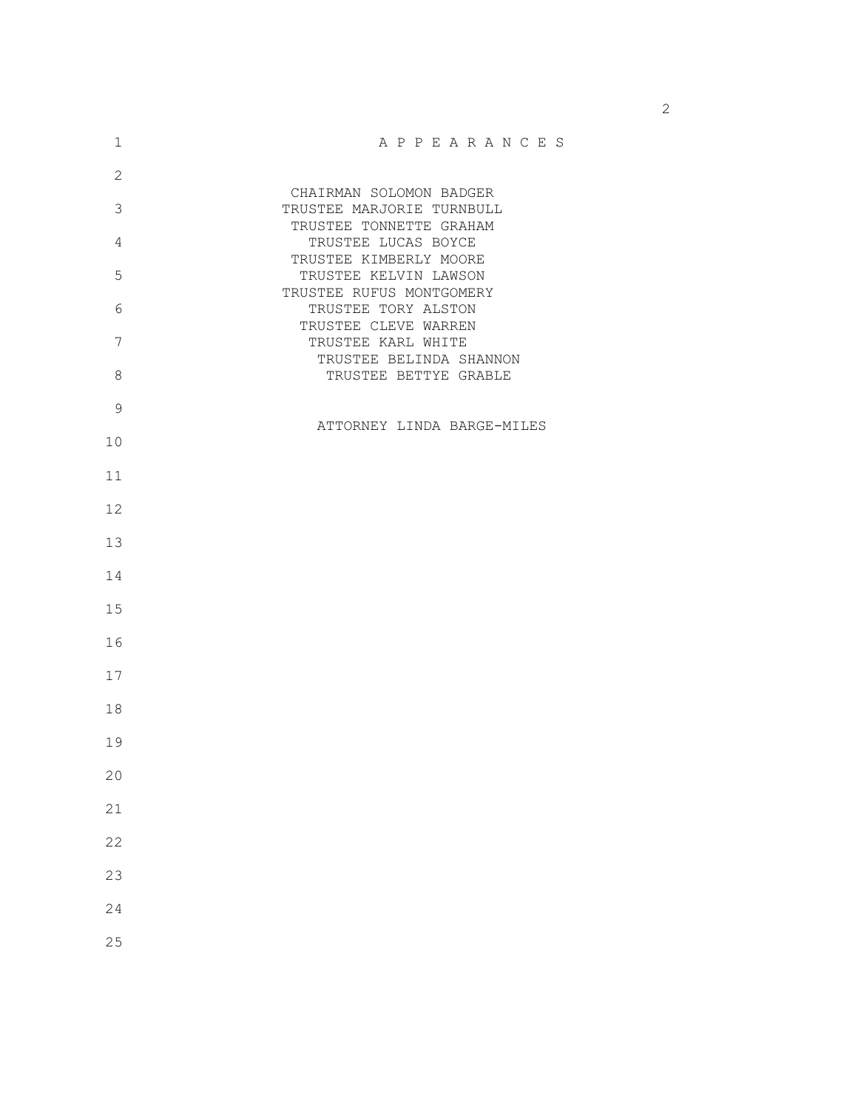| 1              | APPEARANCES                                          |
|----------------|------------------------------------------------------|
| $\overline{2}$ |                                                      |
| 3              | CHAIRMAN SOLOMON BADGER<br>TRUSTEE MARJORIE TURNBULL |
|                | TRUSTEE TONNETTE GRAHAM                              |
| 4              | TRUSTEE LUCAS BOYCE                                  |
| 5              | TRUSTEE KIMBERLY MOORE<br>TRUSTEE KELVIN LAWSON      |
|                | TRUSTEE RUFUS MONTGOMERY                             |
| 6              | TRUSTEE TORY ALSTON                                  |
| 7              | TRUSTEE CLEVE WARREN<br>TRUSTEE KARL WHITE           |
|                | TRUSTEE BELINDA SHANNON                              |
| 8              | TRUSTEE BETTYE GRABLE                                |
| $\mathsf 9$    |                                                      |
|                | ATTORNEY LINDA BARGE-MILES                           |
| 10             |                                                      |
| 11             |                                                      |
|                |                                                      |
| 12             |                                                      |
| 13             |                                                      |
|                |                                                      |
| 14             |                                                      |
| 15             |                                                      |
|                |                                                      |
| 16             |                                                      |
| 17             |                                                      |
|                |                                                      |
| 18             |                                                      |
| 19             |                                                      |
|                |                                                      |
| 20             |                                                      |
| 21             |                                                      |
|                |                                                      |
| 22             |                                                      |
| 23             |                                                      |
| 24             |                                                      |
|                |                                                      |
| 25             |                                                      |

 $\sim$  2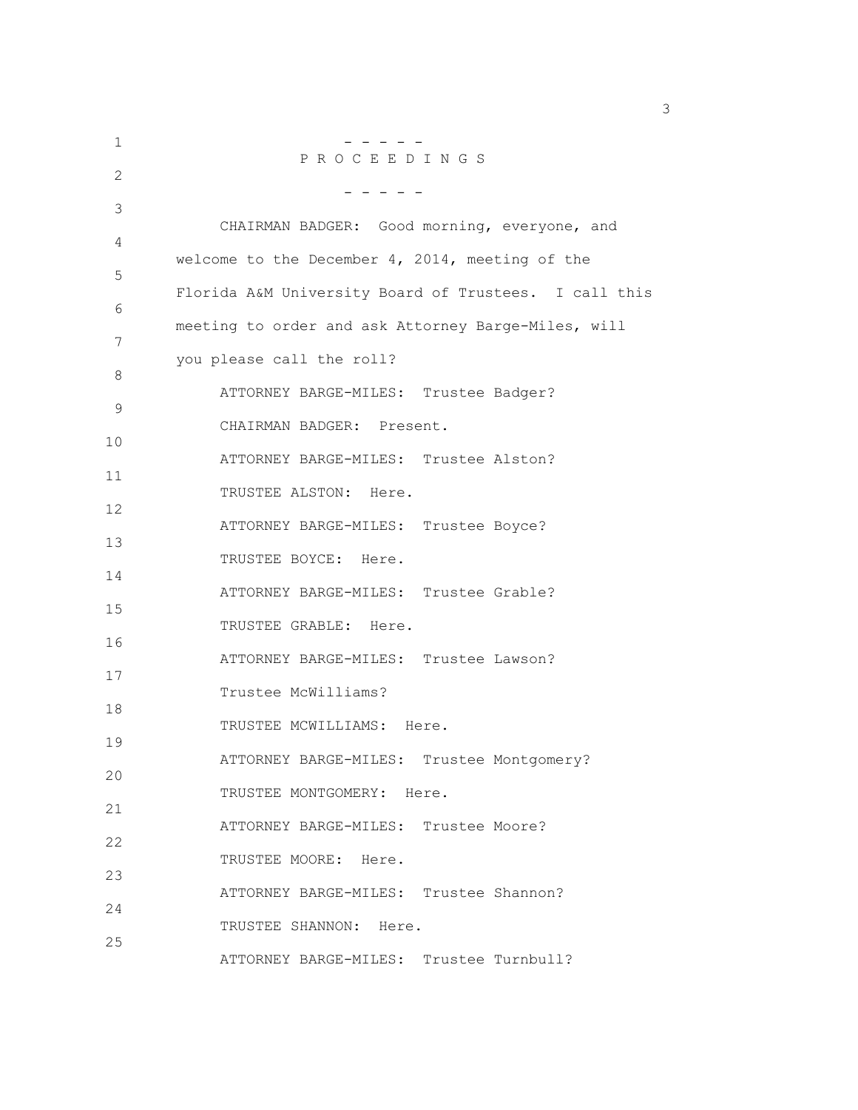1 - - - - - P R O C E E D I N G S  $\mathfrak{D}$  - - - - - 3 CHAIRMAN BADGER: Good morning, everyone, and 4 welcome to the December 4, 2014, meeting of the 5 Florida A&M University Board of Trustees. I call this 6 meeting to order and ask Attorney Barge-Miles, will 7 you please call the roll? 8 ATTORNEY BARGE-MILES: Trustee Badger? 9 CHAIRMAN BADGER: Present. 10 ATTORNEY BARGE-MILES: Trustee Alston? 11 TRUSTEE ALSTON: Here. 12 ATTORNEY BARGE-MILES: Trustee Boyce? 13 TRUSTEE BOYCE: Here. 14 ATTORNEY BARGE-MILES: Trustee Grable? 15 TRUSTEE GRABLE: Here. 16 ATTORNEY BARGE-MILES: Trustee Lawson? 17 Trustee McWilliams? 18 TRUSTEE MCWILLIAMS: Here. 19 ATTORNEY BARGE-MILES: Trustee Montgomery? 20 TRUSTEE MONTGOMERY: Here. 21 ATTORNEY BARGE-MILES: Trustee Moore? 22 TRUSTEE MOORE: Here. 23 ATTORNEY BARGE-MILES: Trustee Shannon? 24 TRUSTEE SHANNON: Here. 25 ATTORNEY BARGE-MILES: Trustee Turnbull?

 $\sim$  3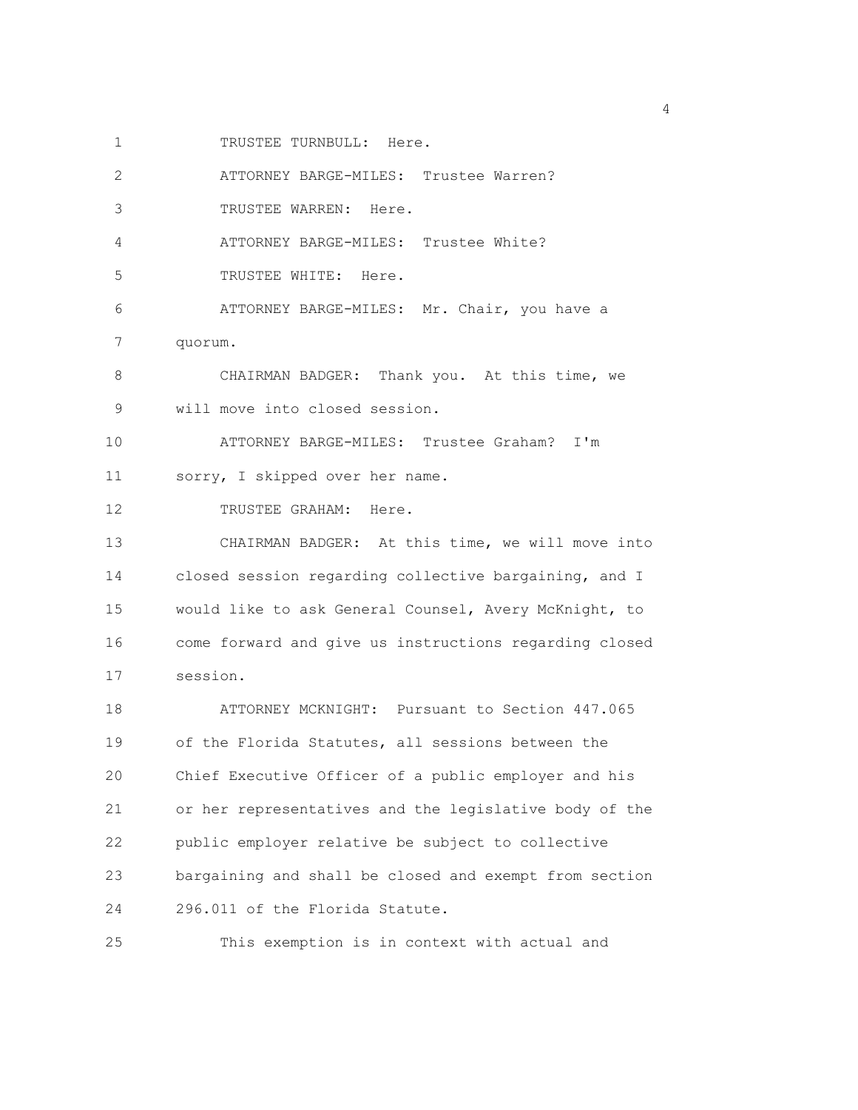1 TRUSTEE TURNBULL: Here.

2 ATTORNEY BARGE-MILES: Trustee Warren?

3 TRUSTEE WARREN: Here.

4 ATTORNEY BARGE-MILES: Trustee White?

5 TRUSTEE WHITE: Here.

6 ATTORNEY BARGE-MILES: Mr. Chair, you have a 7 quorum.

8 CHAIRMAN BADGER: Thank you. At this time, we 9 will move into closed session.

10 ATTORNEY BARGE-MILES: Trustee Graham? I'm 11 sorry, I skipped over her name.

12 TRUSTEE GRAHAM: Here.

13 CHAIRMAN BADGER: At this time, we will move into 14 closed session regarding collective bargaining, and I 15 would like to ask General Counsel, Avery McKnight, to 16 come forward and give us instructions regarding closed 17 session.

18 ATTORNEY MCKNIGHT: Pursuant to Section 447.065 19 of the Florida Statutes, all sessions between the 20 Chief Executive Officer of a public employer and his 21 or her representatives and the legislative body of the 22 public employer relative be subject to collective 23 bargaining and shall be closed and exempt from section 24 296.011 of the Florida Statute.

25 This exemption is in context with actual and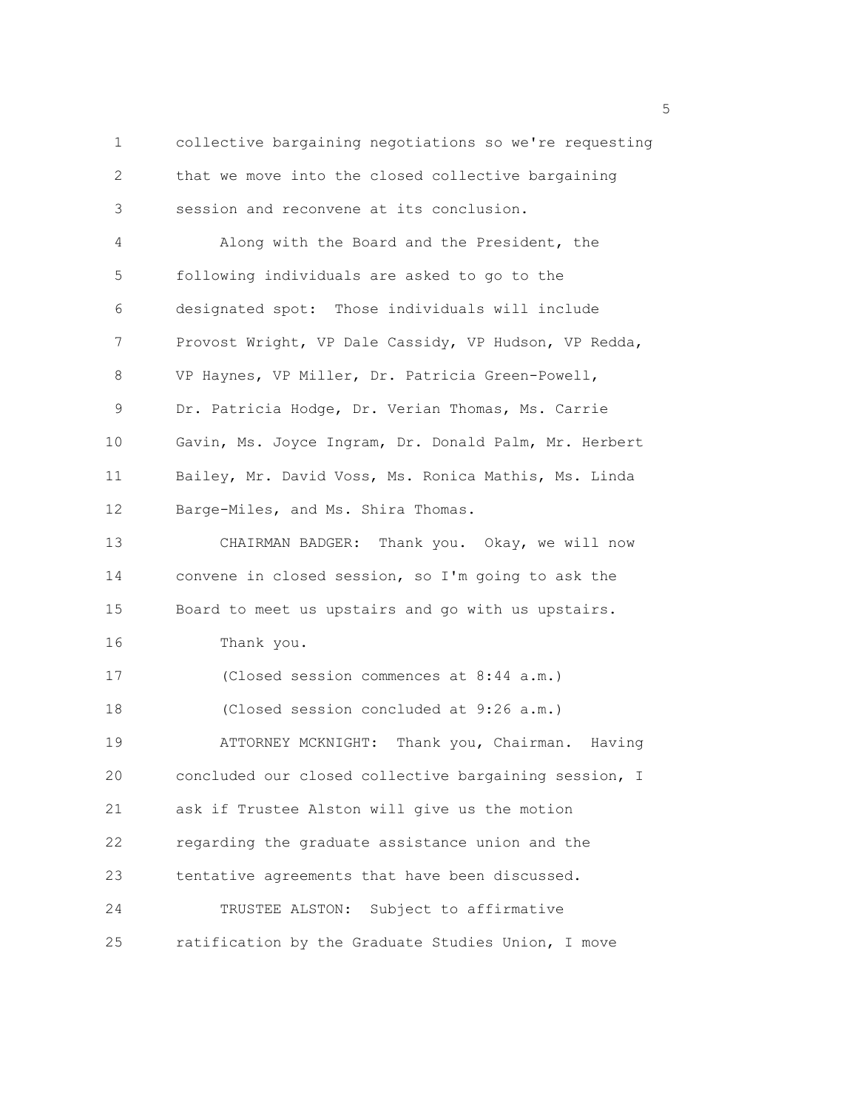1 collective bargaining negotiations so we're requesting 2 that we move into the closed collective bargaining 3 session and reconvene at its conclusion. 4 Along with the Board and the President, the 5 following individuals are asked to go to the 6 designated spot: Those individuals will include 7 Provost Wright, VP Dale Cassidy, VP Hudson, VP Redda, 8 VP Haynes, VP Miller, Dr. Patricia Green-Powell, 9 Dr. Patricia Hodge, Dr. Verian Thomas, Ms. Carrie 10 Gavin, Ms. Joyce Ingram, Dr. Donald Palm, Mr. Herbert 11 Bailey, Mr. David Voss, Ms. Ronica Mathis, Ms. Linda 12 Barge-Miles, and Ms. Shira Thomas. 13 CHAIRMAN BADGER: Thank you. Okay, we will now 14 convene in closed session, so I'm going to ask the 15 Board to meet us upstairs and go with us upstairs. 16 Thank you. 17 (Closed session commences at 8:44 a.m.) 18 (Closed session concluded at 9:26 a.m.) 19 ATTORNEY MCKNIGHT: Thank you, Chairman. Having 20 concluded our closed collective bargaining session, I 21 ask if Trustee Alston will give us the motion 22 regarding the graduate assistance union and the 23 tentative agreements that have been discussed. 24 TRUSTEE ALSTON: Subject to affirmative 25 ratification by the Graduate Studies Union, I move

<u>5</u> September 2005 and 2006 and 2007 and 2007 and 2008 and 2007 and 2008 and 2008 and 2008 and 2008 and 2008 and 2008 and 2008 and 2008 and 2008 and 2008 and 2008 and 2008 and 2008 and 2008 and 2008 and 2008 and 2008 and 2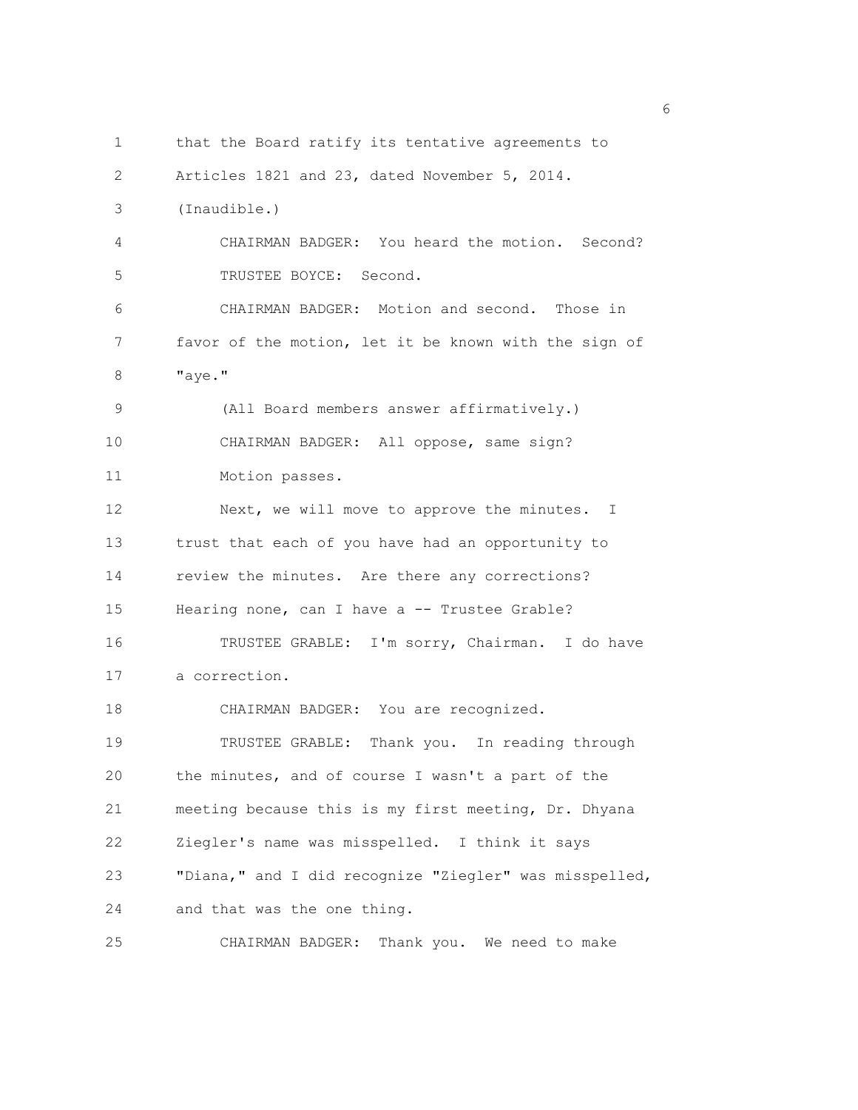1 that the Board ratify its tentative agreements to 2 Articles 1821 and 23, dated November 5, 2014. 3 (Inaudible.) 4 CHAIRMAN BADGER: You heard the motion. Second? 5 TRUSTEE BOYCE: Second. 6 CHAIRMAN BADGER: Motion and second. Those in 7 favor of the motion, let it be known with the sign of 8 "aye." 9 (All Board members answer affirmatively.) 10 CHAIRMAN BADGER: All oppose, same sign? 11 Motion passes. 12 Next, we will move to approve the minutes. I 13 trust that each of you have had an opportunity to 14 review the minutes. Are there any corrections? 15 Hearing none, can I have a -- Trustee Grable? 16 TRUSTEE GRABLE: I'm sorry, Chairman. I do have 17 a correction. 18 CHAIRMAN BADGER: You are recognized. 19 TRUSTEE GRABLE: Thank you. In reading through 20 the minutes, and of course I wasn't a part of the 21 meeting because this is my first meeting, Dr. Dhyana 22 Ziegler's name was misspelled. I think it says 23 "Diana," and I did recognize "Ziegler" was misspelled, 24 and that was the one thing. 25 CHAIRMAN BADGER: Thank you. We need to make

<u>6</u> and the contract of the contract of the contract of the contract of the contract of the contract of the contract of the contract of the contract of the contract of the contract of the contract of the contract of the co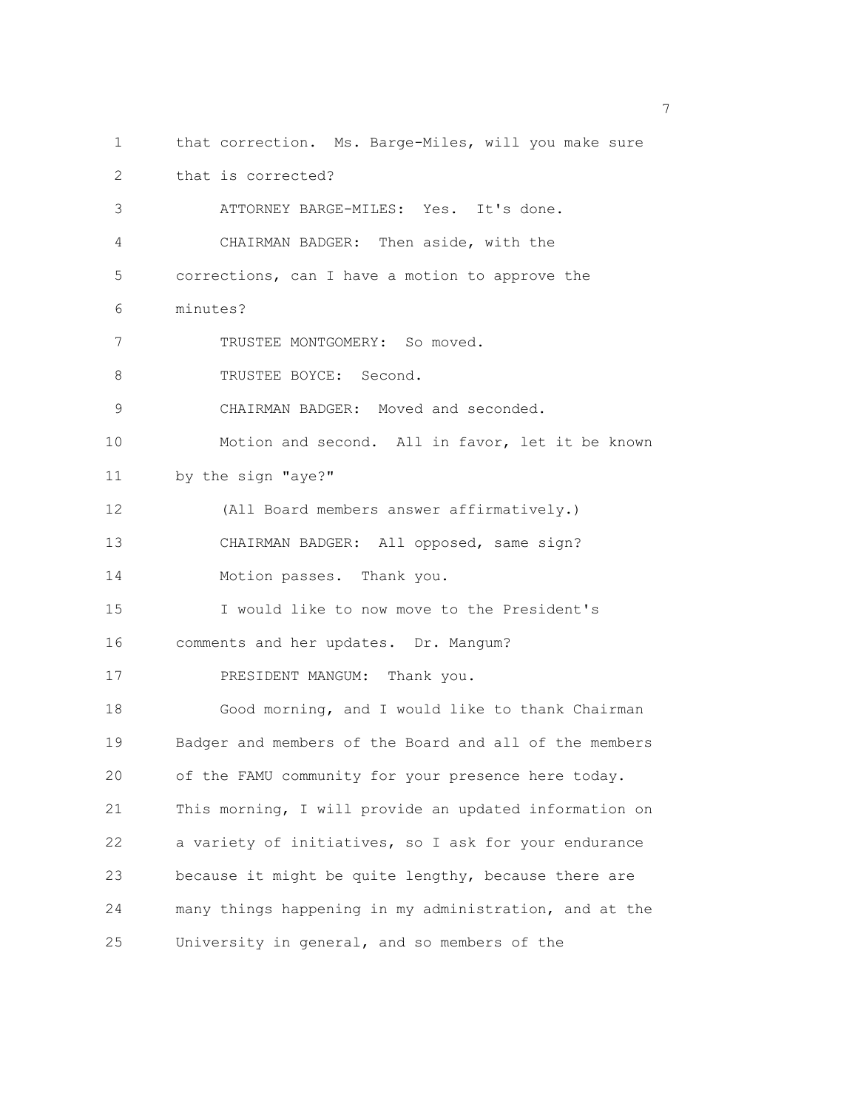1 that correction. Ms. Barge-Miles, will you make sure 2 that is corrected? 3 ATTORNEY BARGE-MILES: Yes. It's done. 4 CHAIRMAN BADGER: Then aside, with the 5 corrections, can I have a motion to approve the 6 minutes? 7 TRUSTEE MONTGOMERY: So moved. 8 TRUSTEE BOYCE: Second. 9 CHAIRMAN BADGER: Moved and seconded. 10 Motion and second. All in favor, let it be known 11 by the sign "aye?" 12 (All Board members answer affirmatively.) 13 CHAIRMAN BADGER: All opposed, same sign? 14 Motion passes. Thank you. 15 I would like to now move to the President's 16 comments and her updates. Dr. Mangum? 17 PRESIDENT MANGUM: Thank you. 18 Good morning, and I would like to thank Chairman 19 Badger and members of the Board and all of the members 20 of the FAMU community for your presence here today. 21 This morning, I will provide an updated information on 22 a variety of initiatives, so I ask for your endurance 23 because it might be quite lengthy, because there are 24 many things happening in my administration, and at the 25 University in general, and so members of the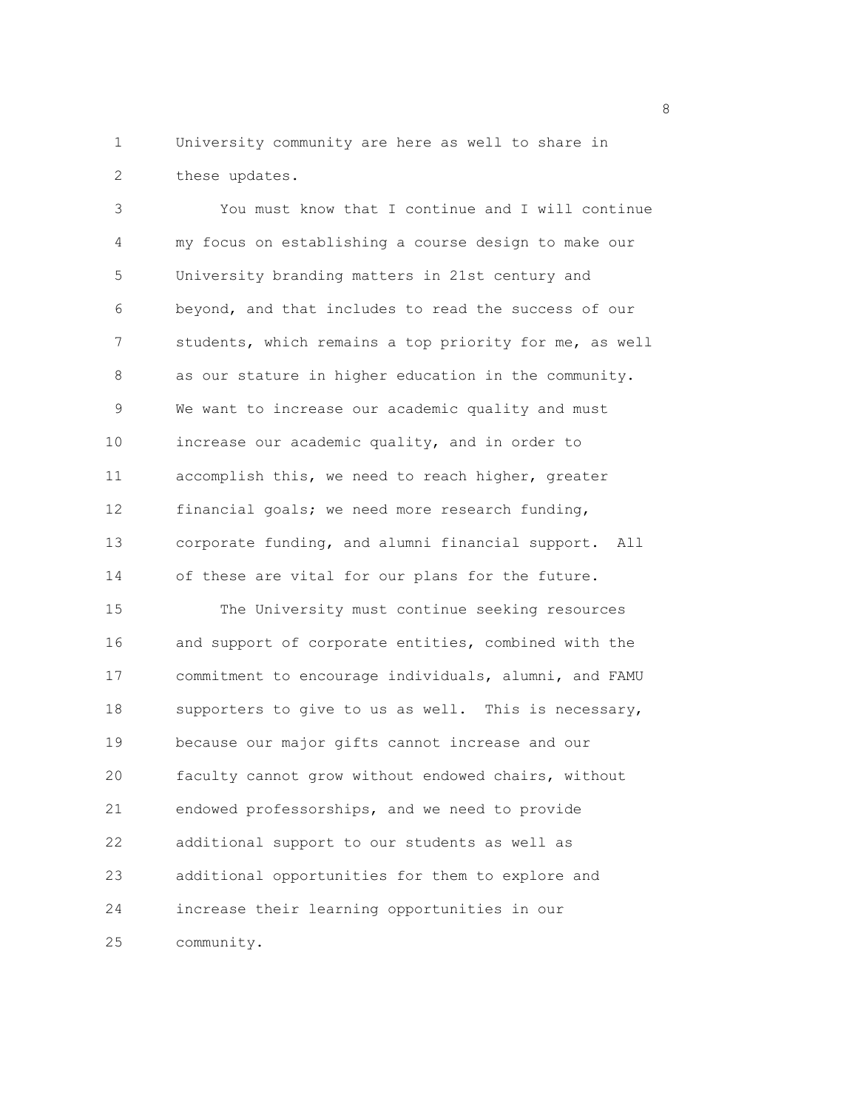1 University community are here as well to share in 2 these updates.

3 You must know that I continue and I will continue 4 my focus on establishing a course design to make our 5 University branding matters in 21st century and 6 beyond, and that includes to read the success of our 7 students, which remains a top priority for me, as well 8 as our stature in higher education in the community. 9 We want to increase our academic quality and must 10 increase our academic quality, and in order to 11 accomplish this, we need to reach higher, greater 12 financial goals; we need more research funding, 13 corporate funding, and alumni financial support. All 14 of these are vital for our plans for the future. 15 The University must continue seeking resources 16 and support of corporate entities, combined with the 17 commitment to encourage individuals, alumni, and FAMU 18 supporters to give to us as well. This is necessary, 19 because our major gifts cannot increase and our 20 faculty cannot grow without endowed chairs, without 21 endowed professorships, and we need to provide 22 additional support to our students as well as 23 additional opportunities for them to explore and 24 increase their learning opportunities in our 25 community.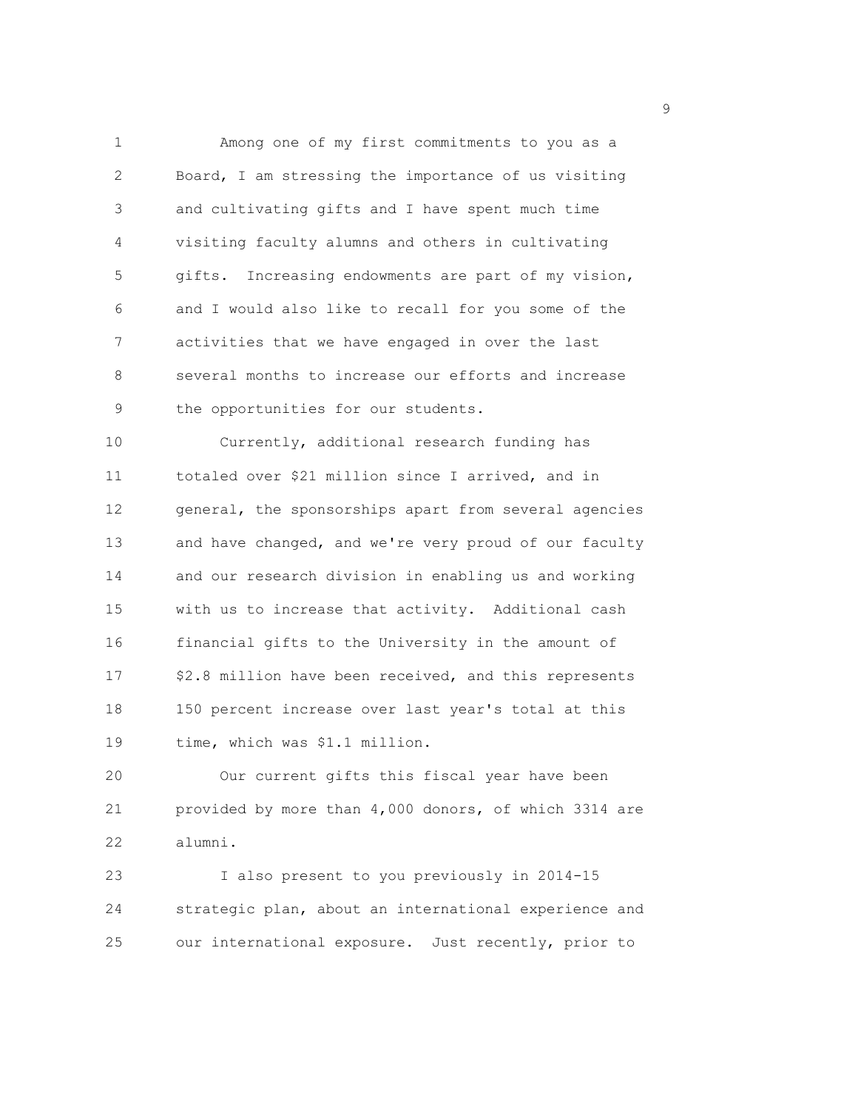1 Among one of my first commitments to you as a 2 Board, I am stressing the importance of us visiting 3 and cultivating gifts and I have spent much time 4 visiting faculty alumns and others in cultivating 5 gifts. Increasing endowments are part of my vision, 6 and I would also like to recall for you some of the 7 activities that we have engaged in over the last 8 several months to increase our efforts and increase 9 the opportunities for our students. 10 Currently, additional research funding has

11 totaled over \$21 million since I arrived, and in 12 general, the sponsorships apart from several agencies 13 and have changed, and we're very proud of our faculty 14 and our research division in enabling us and working 15 with us to increase that activity. Additional cash 16 financial gifts to the University in the amount of 17 \$2.8 million have been received, and this represents 18 150 percent increase over last year's total at this 19 time, which was \$1.1 million.

20 Our current gifts this fiscal year have been 21 provided by more than 4,000 donors, of which 3314 are 22 alumni.

23 I also present to you previously in 2014-15 24 strategic plan, about an international experience and 25 our international exposure. Just recently, prior to

en de la provincia de la provincia de la provincia de la provincia de la provincia de la provincia de la provi<br>1900 : la provincia de la provincia de la provincia de la provincia de la provincia de la provincia de la prov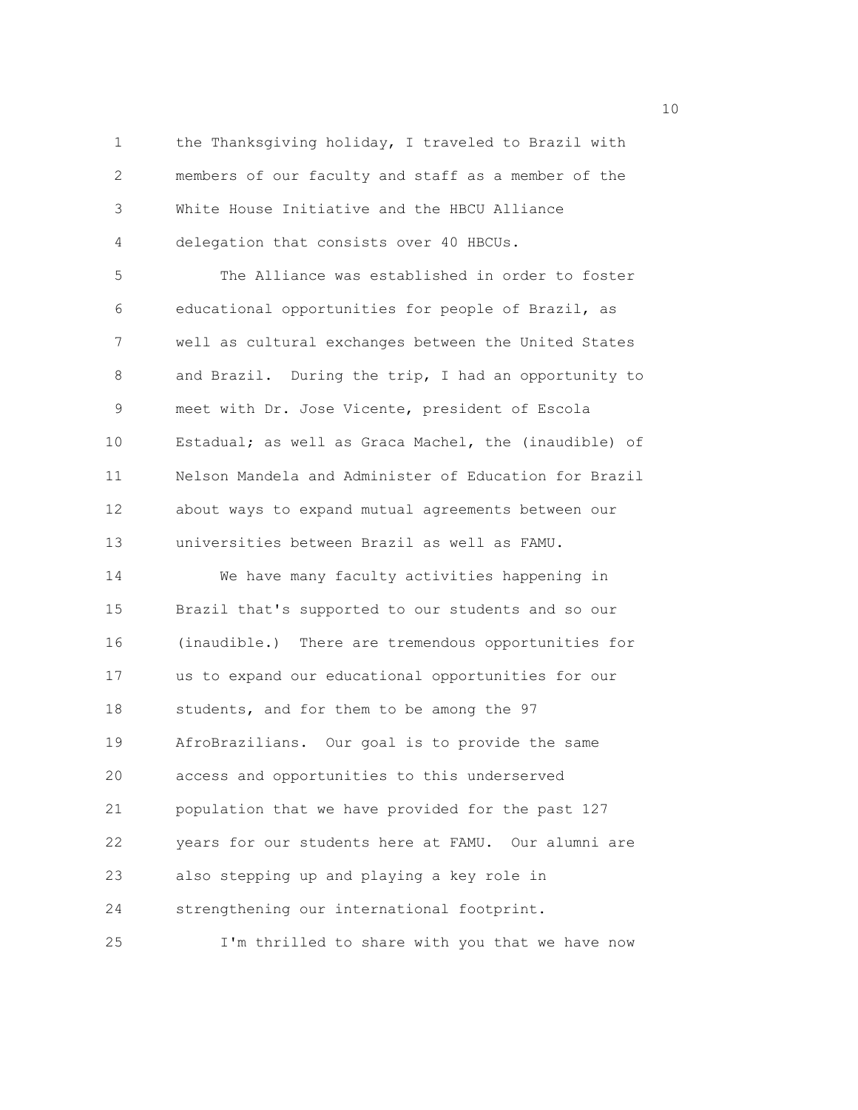1 the Thanksgiving holiday, I traveled to Brazil with 2 members of our faculty and staff as a member of the 3 White House Initiative and the HBCU Alliance 4 delegation that consists over 40 HBCUs.

5 The Alliance was established in order to foster 6 educational opportunities for people of Brazil, as 7 well as cultural exchanges between the United States 8 and Brazil. During the trip, I had an opportunity to 9 meet with Dr. Jose Vicente, president of Escola 10 Estadual; as well as Graca Machel, the (inaudible) of 11 Nelson Mandela and Administer of Education for Brazil 12 about ways to expand mutual agreements between our 13 universities between Brazil as well as FAMU. 14 We have many faculty activities happening in

15 Brazil that's supported to our students and so our 16 (inaudible.) There are tremendous opportunities for 17 us to expand our educational opportunities for our 18 students, and for them to be among the 97 19 AfroBrazilians. Our goal is to provide the same 20 access and opportunities to this underserved 21 population that we have provided for the past 127 22 years for our students here at FAMU. Our alumni are 23 also stepping up and playing a key role in 24 strengthening our international footprint. 25 I'm thrilled to share with you that we have now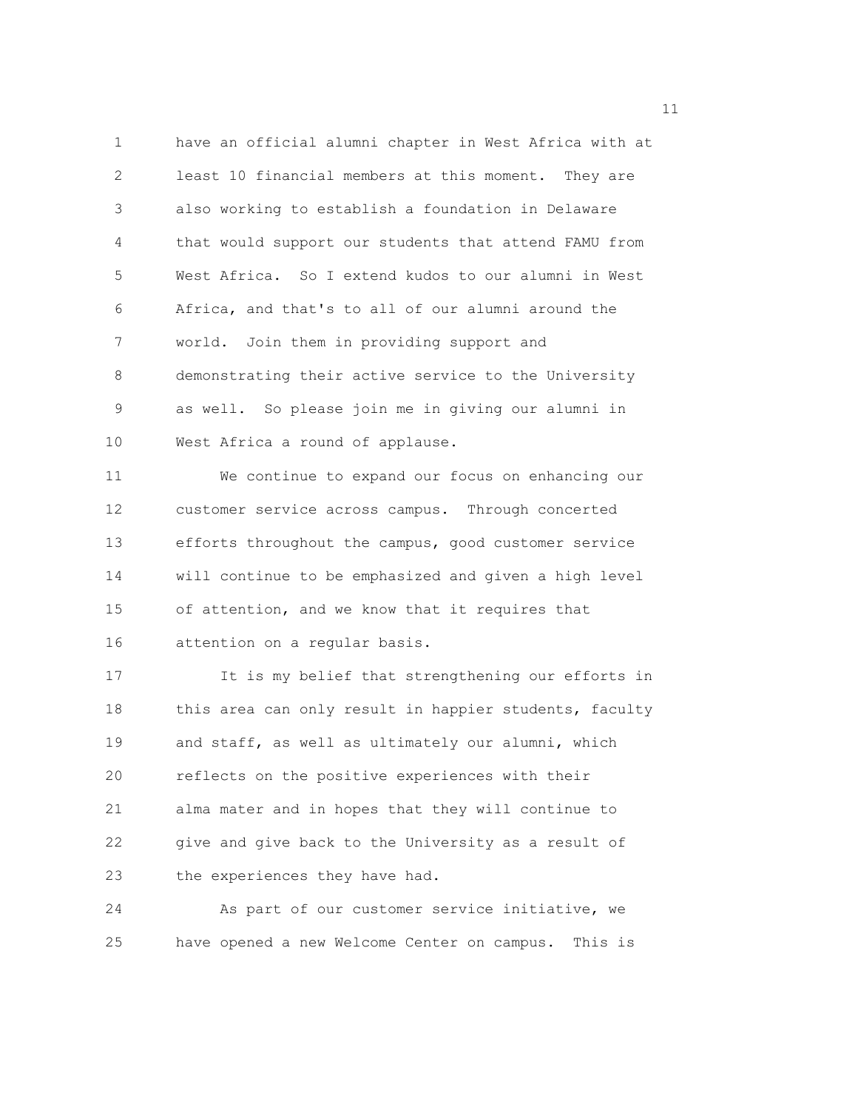1 have an official alumni chapter in West Africa with at 2 least 10 financial members at this moment. They are 3 also working to establish a foundation in Delaware 4 that would support our students that attend FAMU from 5 West Africa. So I extend kudos to our alumni in West 6 Africa, and that's to all of our alumni around the 7 world. Join them in providing support and 8 demonstrating their active service to the University 9 as well. So please join me in giving our alumni in 10 West Africa a round of applause.

11 We continue to expand our focus on enhancing our 12 customer service across campus. Through concerted 13 efforts throughout the campus, good customer service 14 will continue to be emphasized and given a high level 15 of attention, and we know that it requires that 16 attention on a regular basis.

17 It is my belief that strengthening our efforts in 18 this area can only result in happier students, faculty 19 and staff, as well as ultimately our alumni, which 20 reflects on the positive experiences with their 21 alma mater and in hopes that they will continue to 22 give and give back to the University as a result of 23 the experiences they have had.

24 As part of our customer service initiative, we 25 have opened a new Welcome Center on campus. This is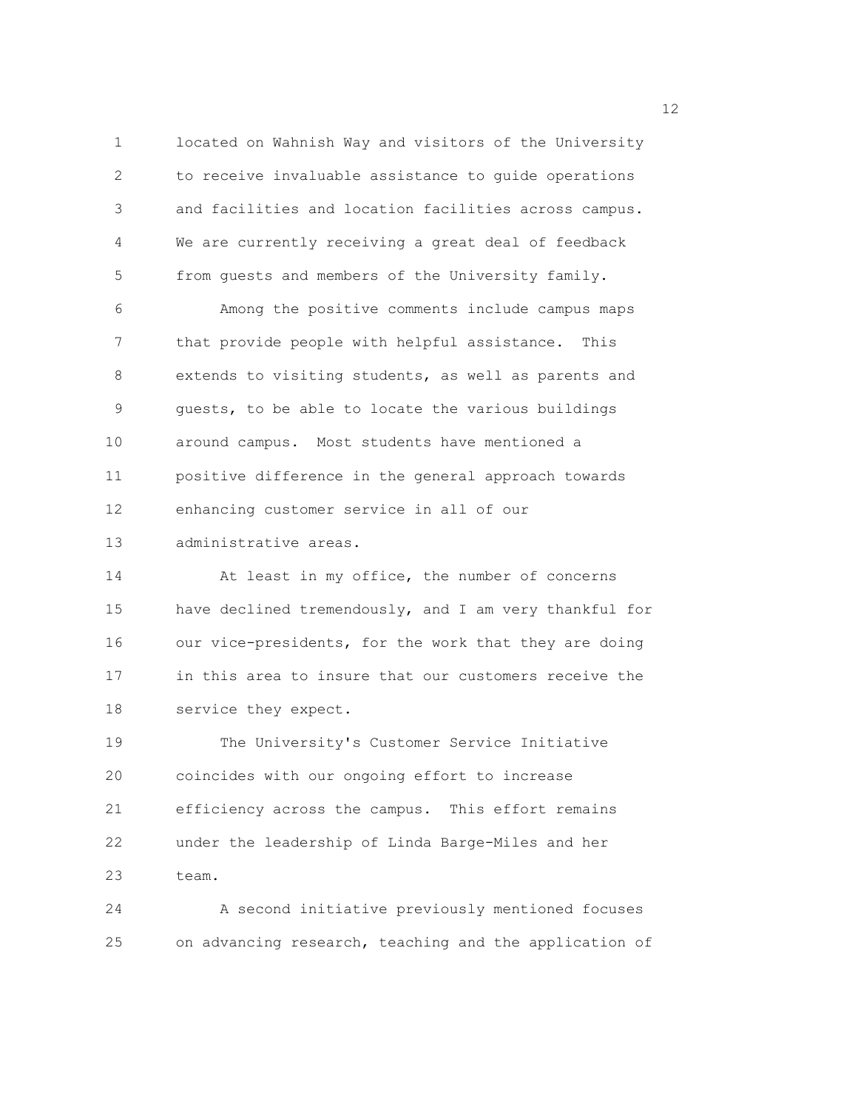1 located on Wahnish Way and visitors of the University 2 to receive invaluable assistance to guide operations 3 and facilities and location facilities across campus. 4 We are currently receiving a great deal of feedback 5 from guests and members of the University family. 6 Among the positive comments include campus maps 7 that provide people with helpful assistance. This 8 extends to visiting students, as well as parents and 9 guests, to be able to locate the various buildings 10 around campus. Most students have mentioned a 11 positive difference in the general approach towards 12 enhancing customer service in all of our 13 administrative areas. 14 At least in my office, the number of concerns 15 have declined tremendously, and I am very thankful for 16 our vice-presidents, for the work that they are doing 17 in this area to insure that our customers receive the 18 service they expect.

19 The University's Customer Service Initiative 20 coincides with our ongoing effort to increase 21 efficiency across the campus. This effort remains 22 under the leadership of Linda Barge-Miles and her 23 team.

24 A second initiative previously mentioned focuses 25 on advancing research, teaching and the application of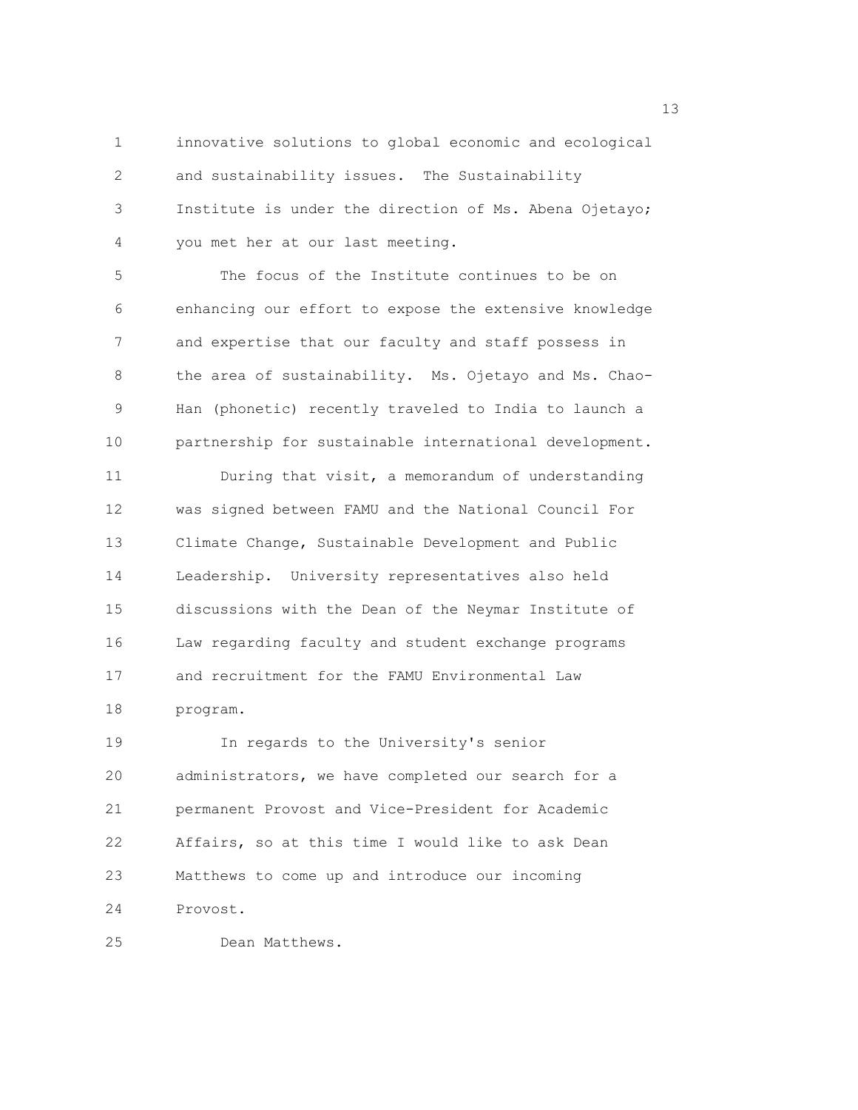1 innovative solutions to global economic and ecological 2 and sustainability issues. The Sustainability 3 Institute is under the direction of Ms. Abena Ojetayo; 4 you met her at our last meeting.

5 The focus of the Institute continues to be on 6 enhancing our effort to expose the extensive knowledge 7 and expertise that our faculty and staff possess in 8 the area of sustainability. Ms. Ojetayo and Ms. Chao-9 Han (phonetic) recently traveled to India to launch a 10 partnership for sustainable international development.

11 During that visit, a memorandum of understanding 12 was signed between FAMU and the National Council For 13 Climate Change, Sustainable Development and Public 14 Leadership. University representatives also held 15 discussions with the Dean of the Neymar Institute of 16 Law regarding faculty and student exchange programs 17 and recruitment for the FAMU Environmental Law 18 program.

19 In regards to the University's senior 20 administrators, we have completed our search for a 21 permanent Provost and Vice-President for Academic 22 Affairs, so at this time I would like to ask Dean 23 Matthews to come up and introduce our incoming 24 Provost.

25 Dean Matthews.

13 and 13 and 13 and 13 and 13 and 13 and 13 and 13 and 13 and 13 and 13 and 13 and 13 and 13 and 13 and 13 and 13 and 13 and 13 and 13 and 13 and 13 and 13 and 13 and 13 and 13 and 13 and 13 and 13 and 13 and 13 and 13 an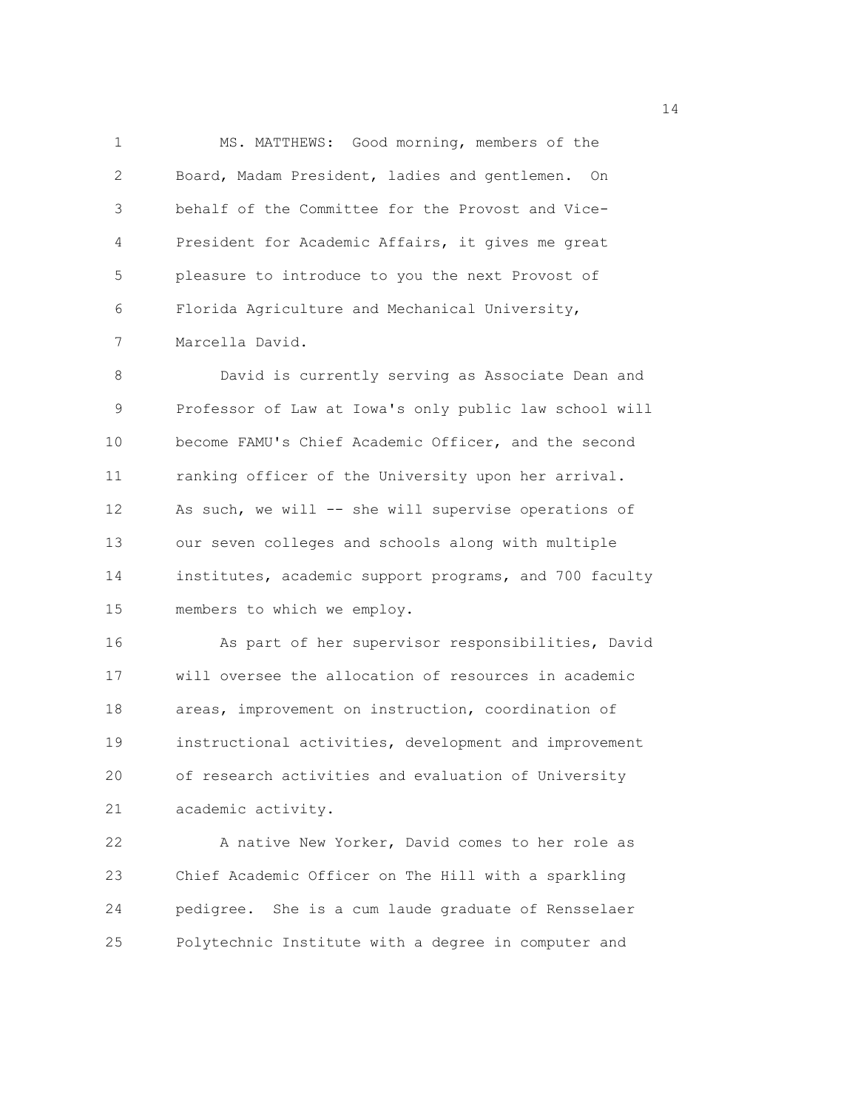1 MS. MATTHEWS: Good morning, members of the 2 Board, Madam President, ladies and gentlemen. On 3 behalf of the Committee for the Provost and Vice-4 President for Academic Affairs, it gives me great 5 pleasure to introduce to you the next Provost of 6 Florida Agriculture and Mechanical University, 7 Marcella David.

8 David is currently serving as Associate Dean and 9 Professor of Law at Iowa's only public law school will 10 become FAMU's Chief Academic Officer, and the second 11 ranking officer of the University upon her arrival. 12 As such, we will -- she will supervise operations of 13 our seven colleges and schools along with multiple 14 institutes, academic support programs, and 700 faculty 15 members to which we employ.

16 As part of her supervisor responsibilities, David 17 will oversee the allocation of resources in academic 18 areas, improvement on instruction, coordination of 19 instructional activities, development and improvement 20 of research activities and evaluation of University 21 academic activity.

22 A native New Yorker, David comes to her role as 23 Chief Academic Officer on The Hill with a sparkling 24 pedigree. She is a cum laude graduate of Rensselaer 25 Polytechnic Institute with a degree in computer and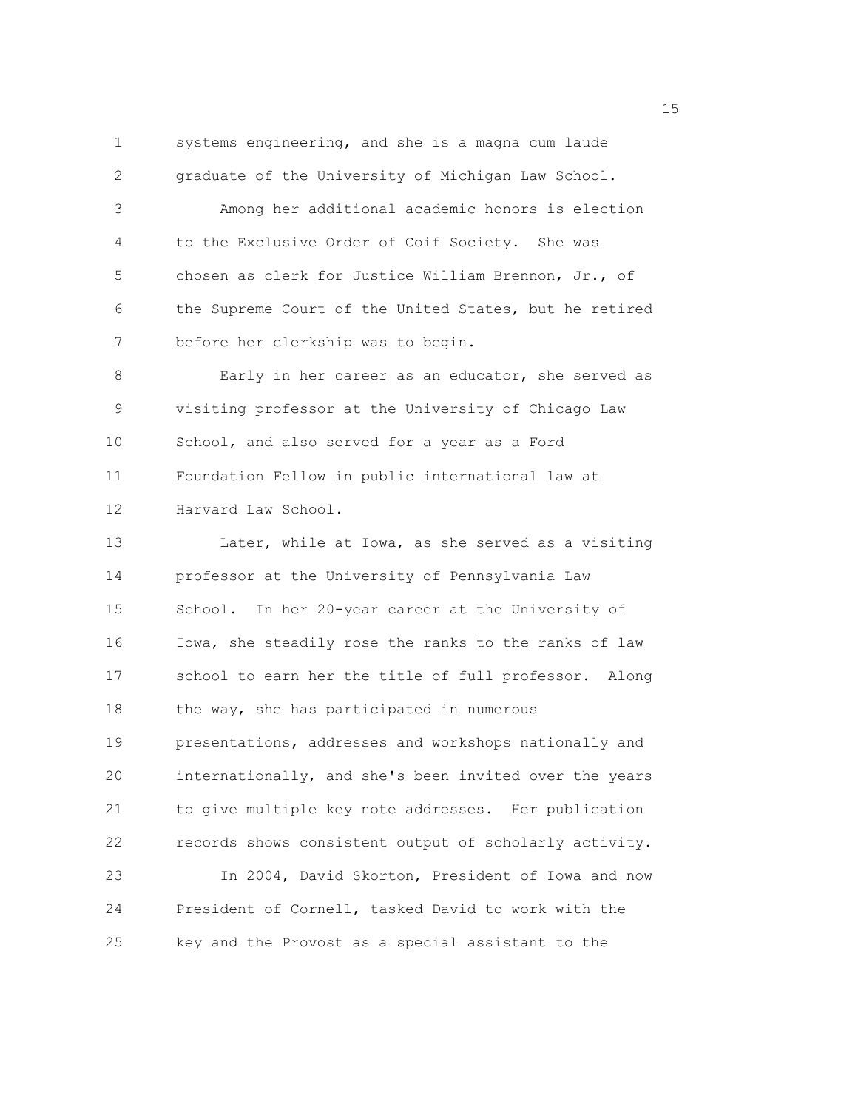1 systems engineering, and she is a magna cum laude 2 graduate of the University of Michigan Law School. 3 Among her additional academic honors is election

4 to the Exclusive Order of Coif Society. She was 5 chosen as clerk for Justice William Brennon, Jr., of 6 the Supreme Court of the United States, but he retired 7 before her clerkship was to begin.

8 Early in her career as an educator, she served as 9 visiting professor at the University of Chicago Law 10 School, and also served for a year as a Ford 11 Foundation Fellow in public international law at 12 Harvard Law School.

13 Later, while at Iowa, as she served as a visiting 14 professor at the University of Pennsylvania Law 15 School. In her 20-year career at the University of 16 Iowa, she steadily rose the ranks to the ranks of law 17 school to earn her the title of full professor. Along 18 the way, she has participated in numerous 19 presentations, addresses and workshops nationally and 20 internationally, and she's been invited over the years 21 to give multiple key note addresses. Her publication 22 records shows consistent output of scholarly activity. 23 In 2004, David Skorton, President of Iowa and now 24 President of Cornell, tasked David to work with the 25 key and the Provost as a special assistant to the

n 15 ann an 15 an t-Òire ann an 15 an t-Òire an t-Òire an t-Òire an t-Òire ann an 15 an t-Òire an t-Òire an t-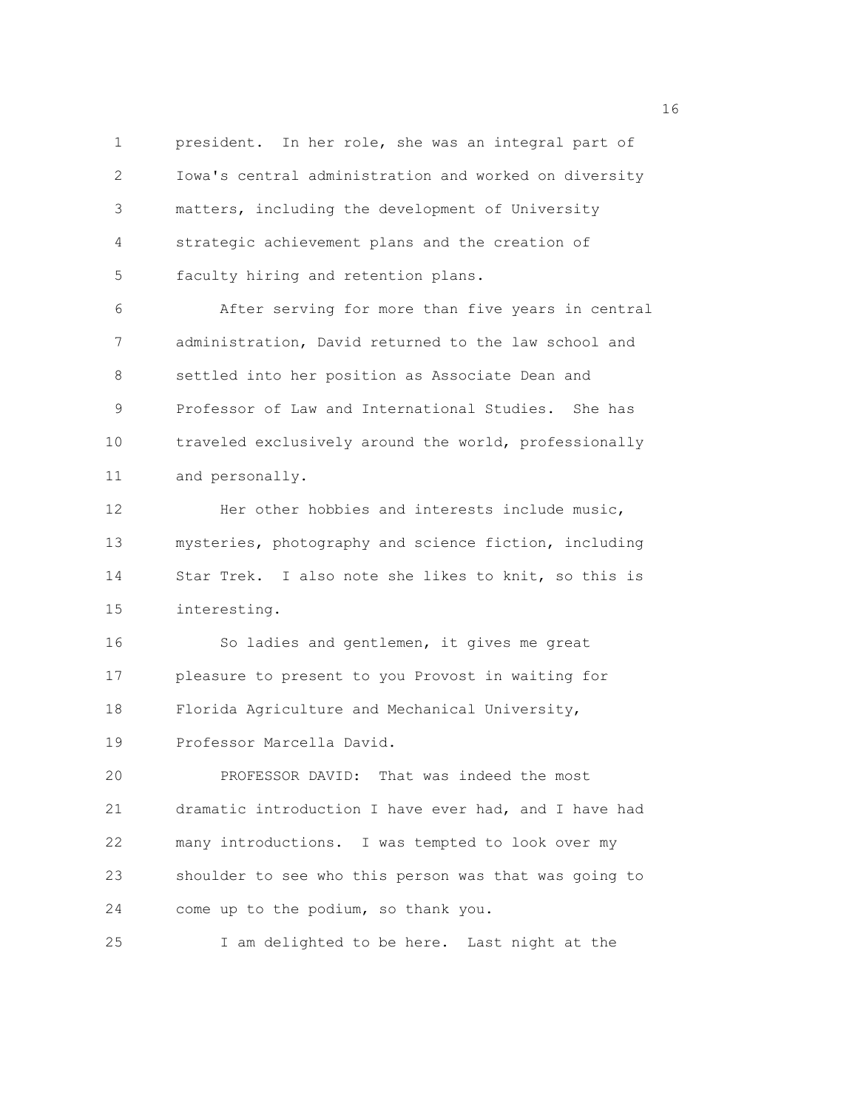1 president. In her role, she was an integral part of 2 Iowa's central administration and worked on diversity 3 matters, including the development of University 4 strategic achievement plans and the creation of 5 faculty hiring and retention plans.

6 After serving for more than five years in central 7 administration, David returned to the law school and 8 settled into her position as Associate Dean and 9 Professor of Law and International Studies. She has 10 traveled exclusively around the world, professionally 11 and personally.

12 Her other hobbies and interests include music, 13 mysteries, photography and science fiction, including 14 Star Trek. I also note she likes to knit, so this is 15 interesting.

16 So ladies and gentlemen, it gives me great 17 pleasure to present to you Provost in waiting for 18 Florida Agriculture and Mechanical University,

19 Professor Marcella David.

20 PROFESSOR DAVID: That was indeed the most 21 dramatic introduction I have ever had, and I have had 22 many introductions. I was tempted to look over my 23 shoulder to see who this person was that was going to 24 come up to the podium, so thank you.

25 I am delighted to be here. Last night at the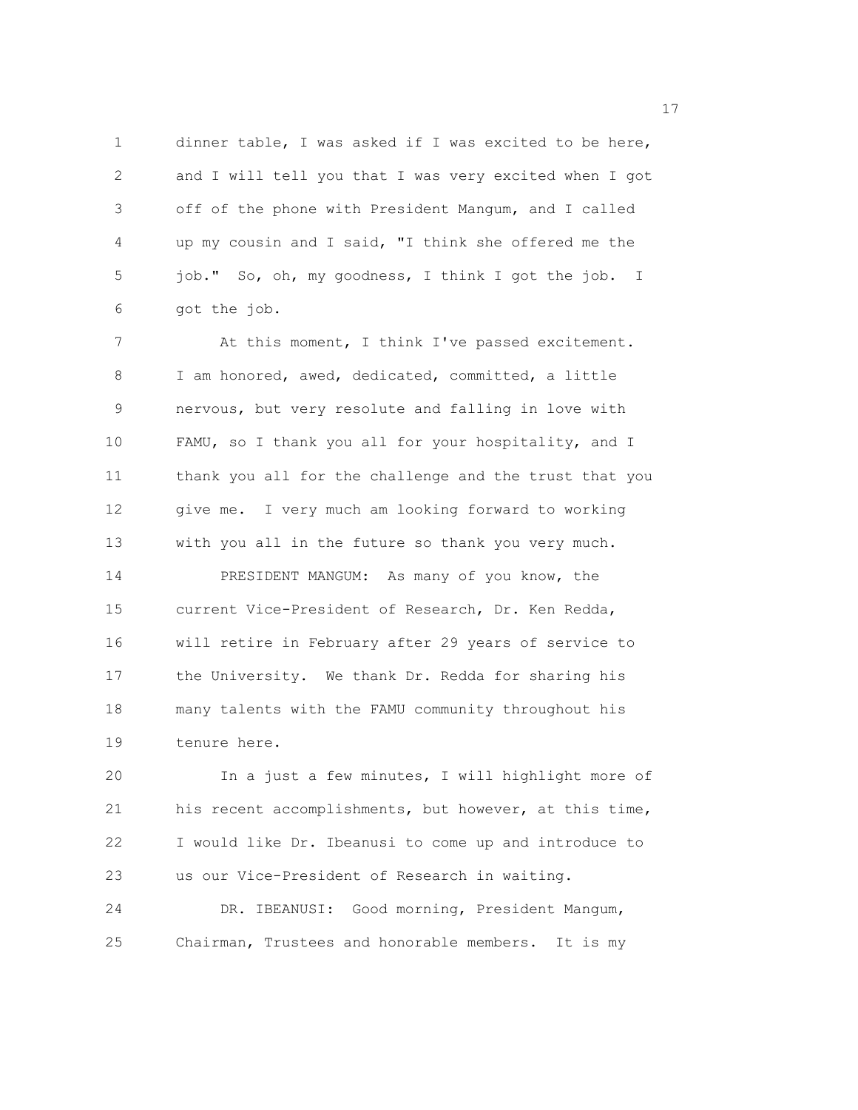1 dinner table, I was asked if I was excited to be here, 2 and I will tell you that I was very excited when I got 3 off of the phone with President Mangum, and I called 4 up my cousin and I said, "I think she offered me the 5 job." So, oh, my goodness, I think I got the job. I 6 got the job.

7 At this moment, I think I've passed excitement. 8 I am honored, awed, dedicated, committed, a little 9 nervous, but very resolute and falling in love with 10 FAMU, so I thank you all for your hospitality, and I 11 thank you all for the challenge and the trust that you 12 give me. I very much am looking forward to working 13 with you all in the future so thank you very much. 14 PRESIDENT MANGUM: As many of you know, the 15 current Vice-President of Research, Dr. Ken Redda, 16 will retire in February after 29 years of service to 17 the University. We thank Dr. Redda for sharing his 18 many talents with the FAMU community throughout his 19 tenure here.

20 In a just a few minutes, I will highlight more of 21 his recent accomplishments, but however, at this time, 22 I would like Dr. Ibeanusi to come up and introduce to 23 us our Vice-President of Research in waiting.

24 DR. IBEANUSI: Good morning, President Mangum, 25 Chairman, Trustees and honorable members. It is my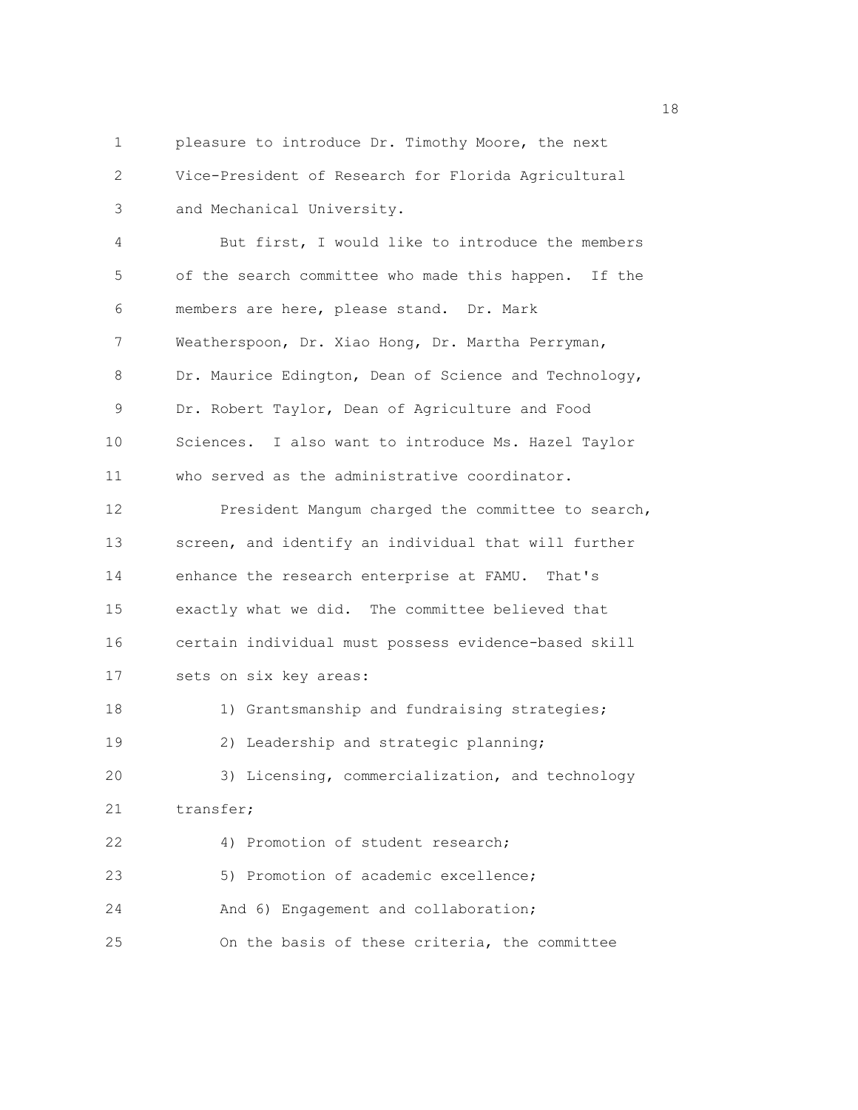1 pleasure to introduce Dr. Timothy Moore, the next 2 Vice-President of Research for Florida Agricultural 3 and Mechanical University. 4 But first, I would like to introduce the members 5 of the search committee who made this happen. If the 6 members are here, please stand. Dr. Mark 7 Weatherspoon, Dr. Xiao Hong, Dr. Martha Perryman, 8 Dr. Maurice Edington, Dean of Science and Technology, 9 Dr. Robert Taylor, Dean of Agriculture and Food 10 Sciences. I also want to introduce Ms. Hazel Taylor 11 who served as the administrative coordinator. 12 President Mangum charged the committee to search, 13 screen, and identify an individual that will further 14 enhance the research enterprise at FAMU. That's 15 exactly what we did. The committee believed that 16 certain individual must possess evidence-based skill 17 sets on six key areas: 18 1) Grantsmanship and fundraising strategies; 19 2) Leadership and strategic planning;

20 3) Licensing, commercialization, and technology 21 transfer; 22 4) Promotion of student research; 23 5) Promotion of academic excellence; 24 And 6) Engagement and collaboration;

25 On the basis of these criteria, the committee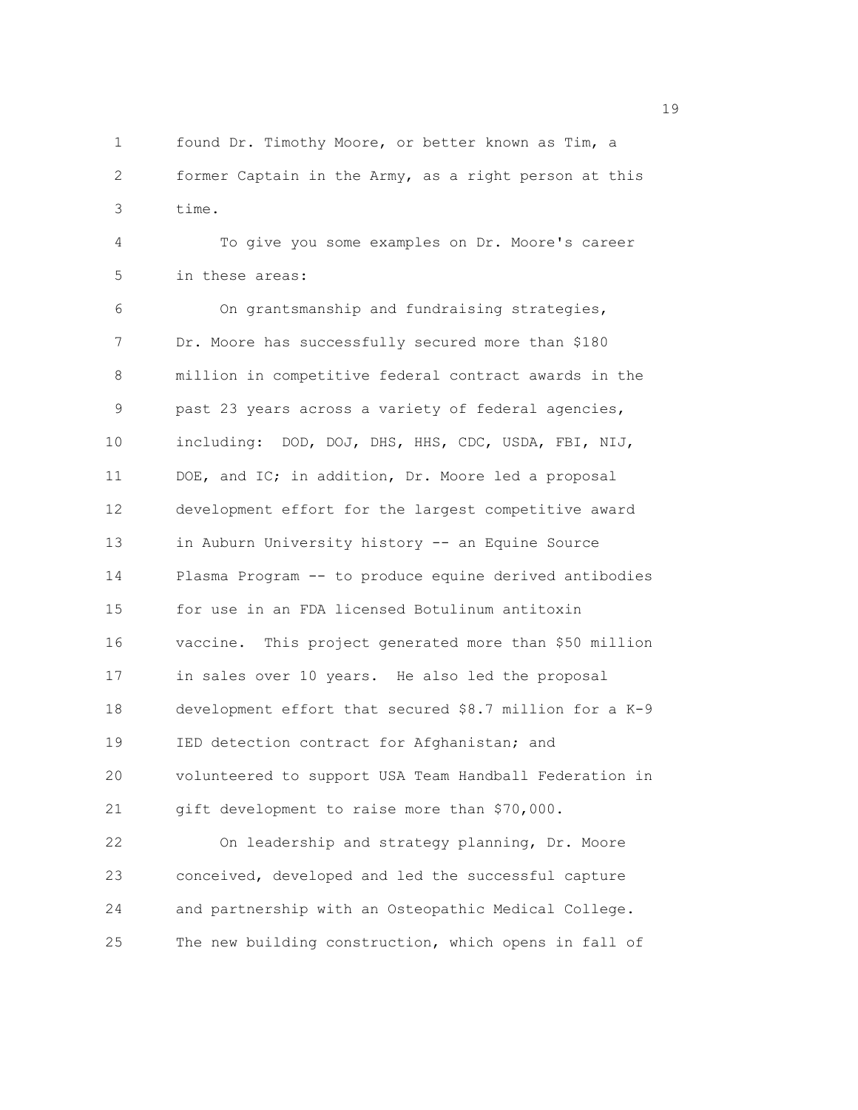1 found Dr. Timothy Moore, or better known as Tim, a 2 former Captain in the Army, as a right person at this 3 time.

4 To give you some examples on Dr. Moore's career 5 in these areas:

6 On grantsmanship and fundraising strategies, 7 Dr. Moore has successfully secured more than \$180 8 million in competitive federal contract awards in the 9 past 23 years across a variety of federal agencies, 10 including: DOD, DOJ, DHS, HHS, CDC, USDA, FBI, NIJ, 11 DOE, and IC; in addition, Dr. Moore led a proposal 12 development effort for the largest competitive award 13 in Auburn University history -- an Equine Source 14 Plasma Program -- to produce equine derived antibodies 15 for use in an FDA licensed Botulinum antitoxin 16 vaccine. This project generated more than \$50 million 17 in sales over 10 years. He also led the proposal 18 development effort that secured \$8.7 million for a K-9 19 IED detection contract for Afghanistan; and 20 volunteered to support USA Team Handball Federation in 21 gift development to raise more than \$70,000.

22 On leadership and strategy planning, Dr. Moore 23 conceived, developed and led the successful capture 24 and partnership with an Osteopathic Medical College. 25 The new building construction, which opens in fall of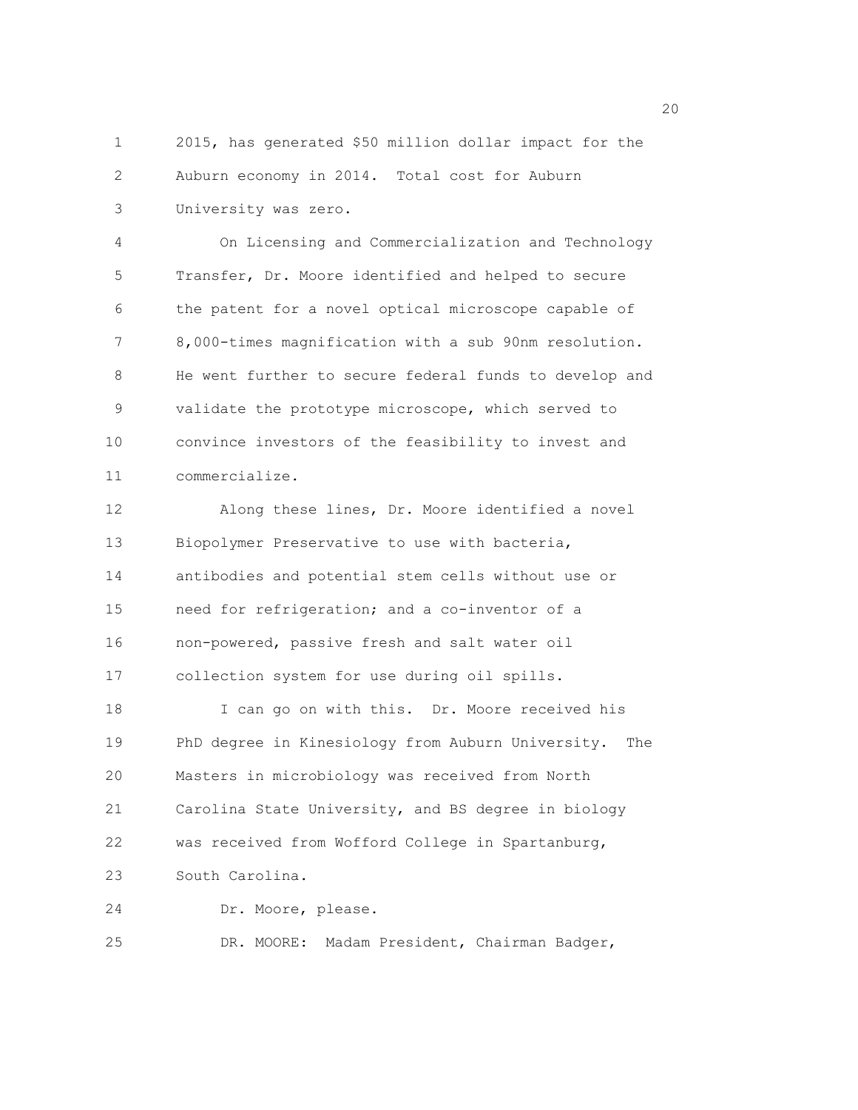1 2015, has generated \$50 million dollar impact for the 2 Auburn economy in 2014. Total cost for Auburn 3 University was zero.

4 On Licensing and Commercialization and Technology 5 Transfer, Dr. Moore identified and helped to secure 6 the patent for a novel optical microscope capable of 7 8,000-times magnification with a sub 90nm resolution. 8 He went further to secure federal funds to develop and 9 validate the prototype microscope, which served to 10 convince investors of the feasibility to invest and 11 commercialize.

12 Along these lines, Dr. Moore identified a novel 13 Biopolymer Preservative to use with bacteria, 14 antibodies and potential stem cells without use or 15 need for refrigeration; and a co-inventor of a 16 non-powered, passive fresh and salt water oil 17 collection system for use during oil spills. 18 I can go on with this. Dr. Moore received his 19 PhD degree in Kinesiology from Auburn University. The 20 Masters in microbiology was received from North 21 Carolina State University, and BS degree in biology 22 was received from Wofford College in Spartanburg, 23 South Carolina. 24 Dr. Moore, please.

25 DR. MOORE: Madam President, Chairman Badger,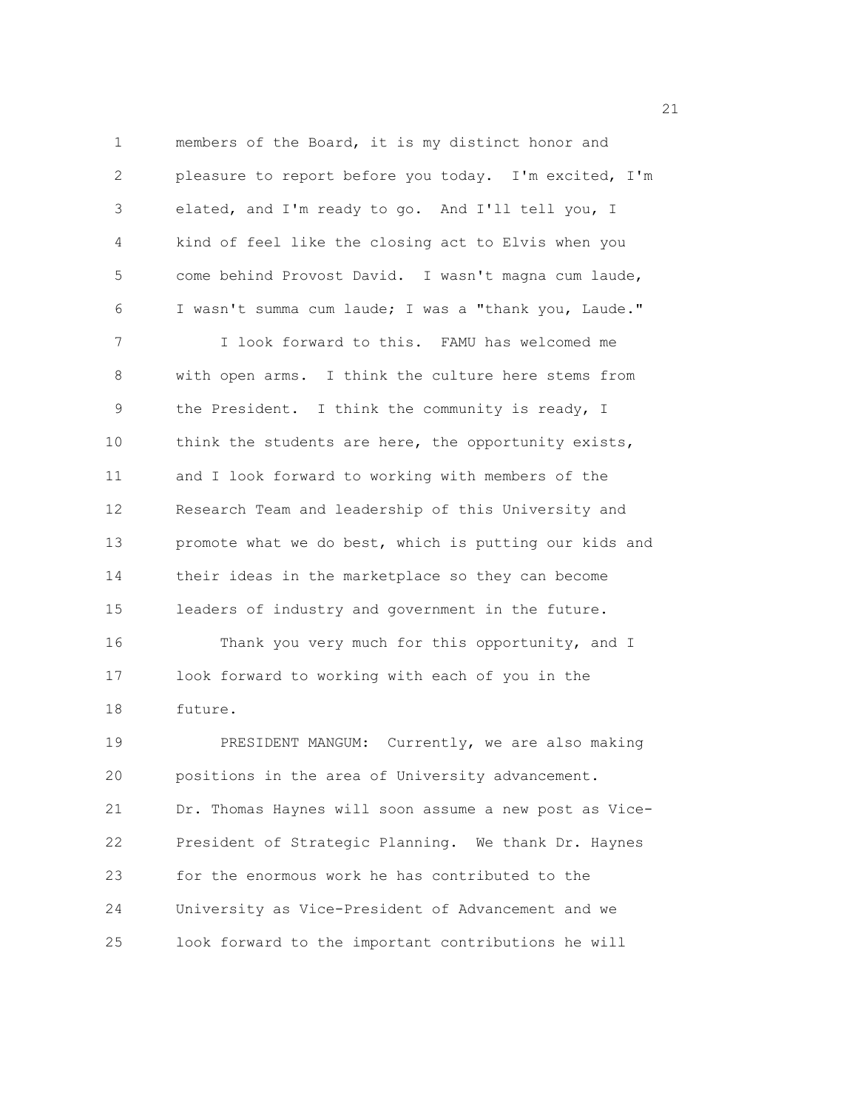1 members of the Board, it is my distinct honor and 2 pleasure to report before you today. I'm excited, I'm 3 elated, and I'm ready to go. And I'll tell you, I 4 kind of feel like the closing act to Elvis when you 5 come behind Provost David. I wasn't magna cum laude, 6 I wasn't summa cum laude; I was a "thank you, Laude." 7 I look forward to this. FAMU has welcomed me 8 with open arms. I think the culture here stems from 9 the President. I think the community is ready, I 10 think the students are here, the opportunity exists, 11 and I look forward to working with members of the 12 Research Team and leadership of this University and 13 promote what we do best, which is putting our kids and 14 their ideas in the marketplace so they can become 15 leaders of industry and government in the future. 16 Thank you very much for this opportunity, and I 17 look forward to working with each of you in the 18 future. 19 PRESIDENT MANGUM: Currently, we are also making 20 positions in the area of University advancement. 21 Dr. Thomas Haynes will soon assume a new post as Vice-22 President of Strategic Planning. We thank Dr. Haynes 23 for the enormous work he has contributed to the 24 University as Vice-President of Advancement and we 25 look forward to the important contributions he will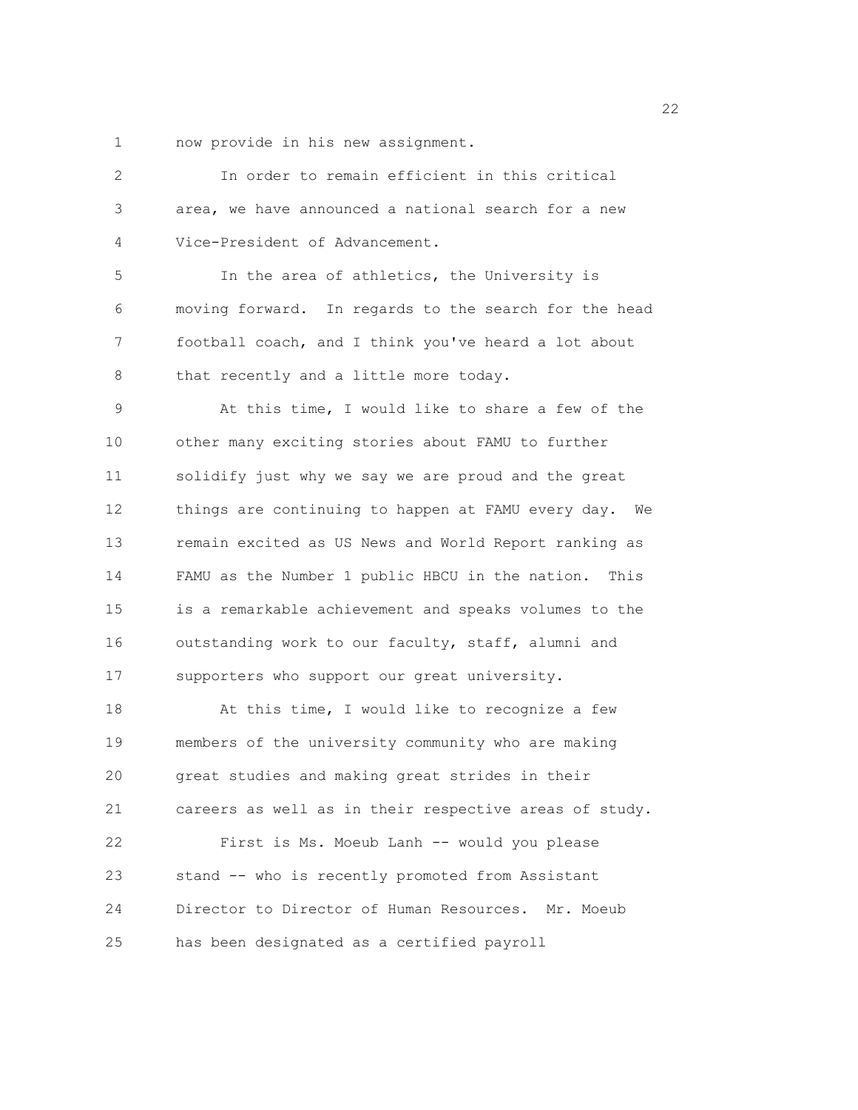1 now provide in his new assignment.

| $\overline{c}$ | In order to remain efficient in this critical          |
|----------------|--------------------------------------------------------|
| 3              | area, we have announced a national search for a new    |
| 4              | Vice-President of Advancement.                         |
| 5              | In the area of athletics, the University is            |
| 6              | moving forward. In regards to the search for the head  |
| 7              | football coach, and I think you've heard a lot about   |
| 8              | that recently and a little more today.                 |
| 9              | At this time, I would like to share a few of the       |
| 10             | other many exciting stories about FAMU to further      |
| 11             | solidify just why we say we are proud and the great    |
| 12             | things are continuing to happen at FAMU every day. We  |
| 13             | remain excited as US News and World Report ranking as  |
| 14             | FAMU as the Number 1 public HBCU in the nation. This   |
| 15             | is a remarkable achievement and speaks volumes to the  |
| 16             | outstanding work to our faculty, staff, alumni and     |
| 17             | supporters who support our great university.           |
| 18             | At this time, I would like to recognize a few          |
| 19             | members of the university community who are making     |
| 20             | great studies and making great strides in their        |
| 21             | careers as well as in their respective areas of study. |
| 22             | First is Ms. Moeub Lanh -- would you please            |
| 23             | stand -- who is recently promoted from Assistant       |
| 24             | Director to Director of Human Resources. Mr. Moeub     |
| 25             | has been designated as a certified payroll             |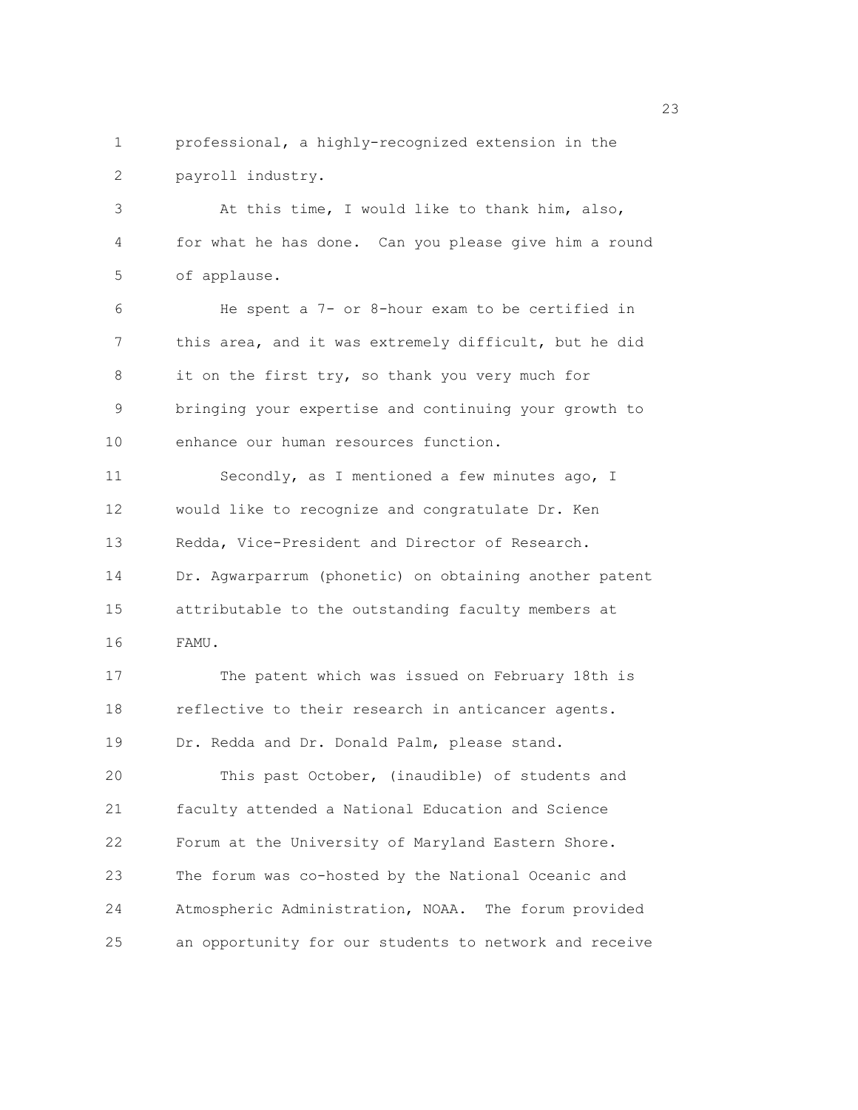1 professional, a highly-recognized extension in the 2 payroll industry.

3 At this time, I would like to thank him, also, 4 for what he has done. Can you please give him a round 5 of applause.

6 He spent a 7- or 8-hour exam to be certified in 7 this area, and it was extremely difficult, but he did 8 it on the first try, so thank you very much for 9 bringing your expertise and continuing your growth to 10 enhance our human resources function.

11 Secondly, as I mentioned a few minutes ago, I 12 would like to recognize and congratulate Dr. Ken 13 Redda, Vice-President and Director of Research. 14 Dr. Agwarparrum (phonetic) on obtaining another patent 15 attributable to the outstanding faculty members at 16 FAMU.

17 The patent which was issued on February 18th is 18 reflective to their research in anticancer agents. 19 Dr. Redda and Dr. Donald Palm, please stand.

20 This past October, (inaudible) of students and 21 faculty attended a National Education and Science 22 Forum at the University of Maryland Eastern Shore. 23 The forum was co-hosted by the National Oceanic and 24 Atmospheric Administration, NOAA. The forum provided 25 an opportunity for our students to network and receive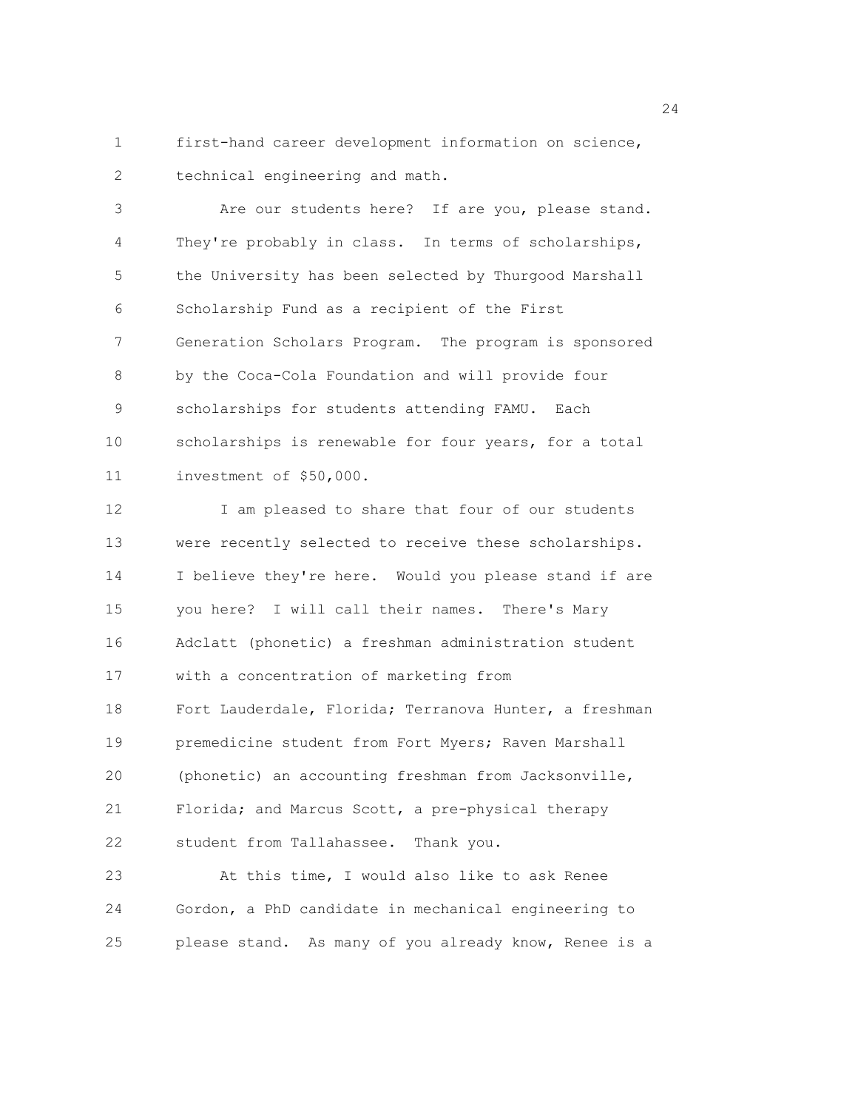1 first-hand career development information on science, 2 technical engineering and math.

3 Are our students here? If are you, please stand. 4 They're probably in class. In terms of scholarships, 5 the University has been selected by Thurgood Marshall 6 Scholarship Fund as a recipient of the First 7 Generation Scholars Program. The program is sponsored 8 by the Coca-Cola Foundation and will provide four 9 scholarships for students attending FAMU. Each 10 scholarships is renewable for four years, for a total 11 investment of \$50,000.

12 I am pleased to share that four of our students 13 were recently selected to receive these scholarships. 14 I believe they're here. Would you please stand if are 15 you here? I will call their names. There's Mary 16 Adclatt (phonetic) a freshman administration student 17 with a concentration of marketing from 18 Fort Lauderdale, Florida; Terranova Hunter, a freshman 19 premedicine student from Fort Myers; Raven Marshall 20 (phonetic) an accounting freshman from Jacksonville, 21 Florida; and Marcus Scott, a pre-physical therapy 22 student from Tallahassee. Thank you. 23 At this time, I would also like to ask Renee 24 Gordon, a PhD candidate in mechanical engineering to

25 please stand. As many of you already know, Renee is a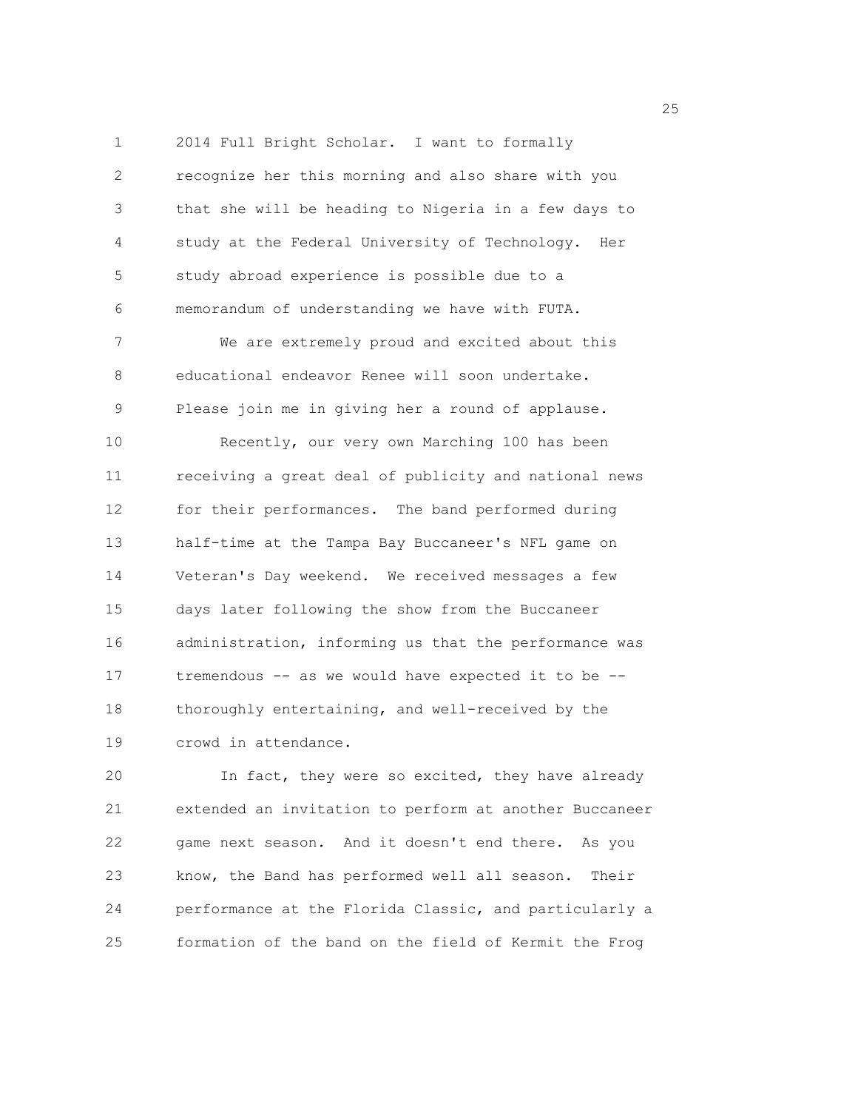1 2014 Full Bright Scholar. I want to formally 2 recognize her this morning and also share with you 3 that she will be heading to Nigeria in a few days to 4 study at the Federal University of Technology. Her 5 study abroad experience is possible due to a 6 memorandum of understanding we have with FUTA. 7 We are extremely proud and excited about this 8 educational endeavor Renee will soon undertake. 9 Please join me in giving her a round of applause. 10 Recently, our very own Marching 100 has been 11 receiving a great deal of publicity and national news 12 for their performances. The band performed during 13 half-time at the Tampa Bay Buccaneer's NFL game on 14 Veteran's Day weekend. We received messages a few 15 days later following the show from the Buccaneer 16 administration, informing us that the performance was 17 tremendous -- as we would have expected it to be -- 18 thoroughly entertaining, and well-received by the 19 crowd in attendance.

20 In fact, they were so excited, they have already 21 extended an invitation to perform at another Buccaneer 22 game next season. And it doesn't end there. As you 23 know, the Band has performed well all season. Their 24 performance at the Florida Classic, and particularly a 25 formation of the band on the field of Kermit the Frog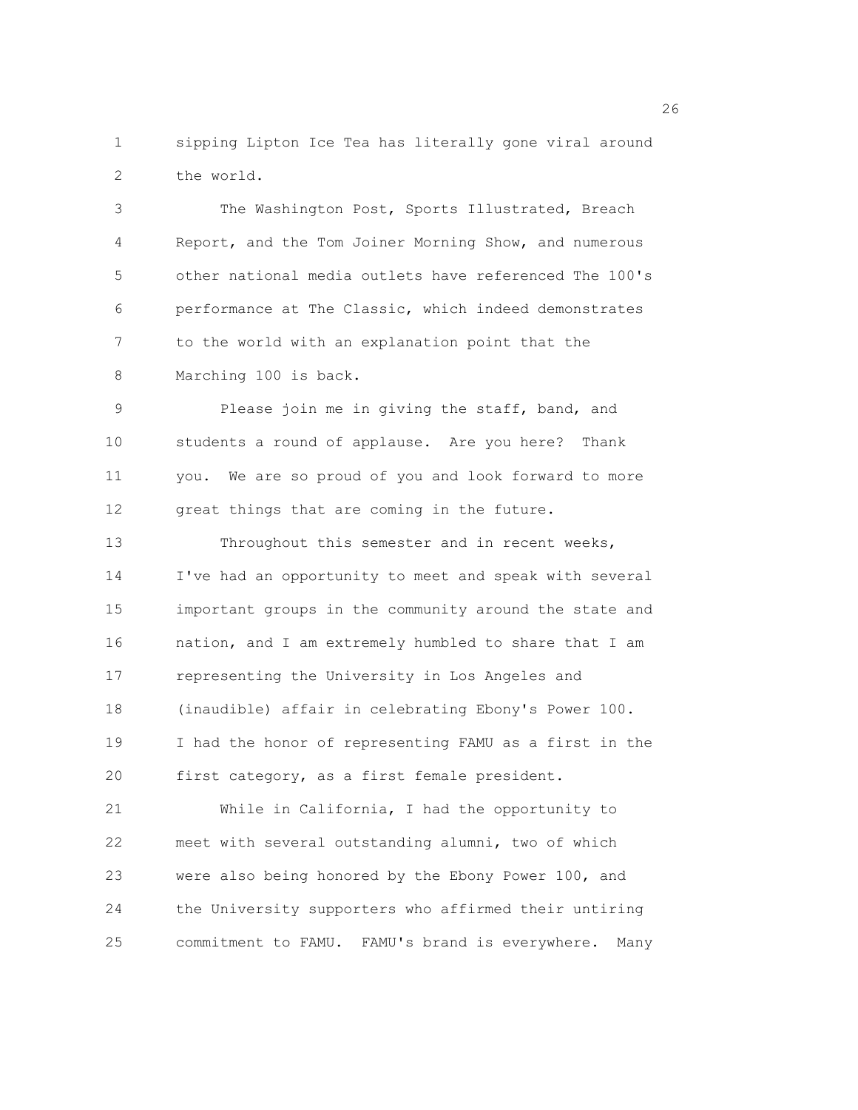1 sipping Lipton Ice Tea has literally gone viral around 2 the world.

3 The Washington Post, Sports Illustrated, Breach 4 Report, and the Tom Joiner Morning Show, and numerous 5 other national media outlets have referenced The 100's 6 performance at The Classic, which indeed demonstrates 7 to the world with an explanation point that the 8 Marching 100 is back.

9 Please join me in giving the staff, band, and 10 students a round of applause. Are you here? Thank 11 you. We are so proud of you and look forward to more 12 great things that are coming in the future.

13 Throughout this semester and in recent weeks, 14 I've had an opportunity to meet and speak with several 15 important groups in the community around the state and 16 nation, and I am extremely humbled to share that I am 17 representing the University in Los Angeles and 18 (inaudible) affair in celebrating Ebony's Power 100. 19 I had the honor of representing FAMU as a first in the 20 first category, as a first female president. 21 While in California, I had the opportunity to

22 meet with several outstanding alumni, two of which 23 were also being honored by the Ebony Power 100, and 24 the University supporters who affirmed their untiring 25 commitment to FAMU. FAMU's brand is everywhere. Many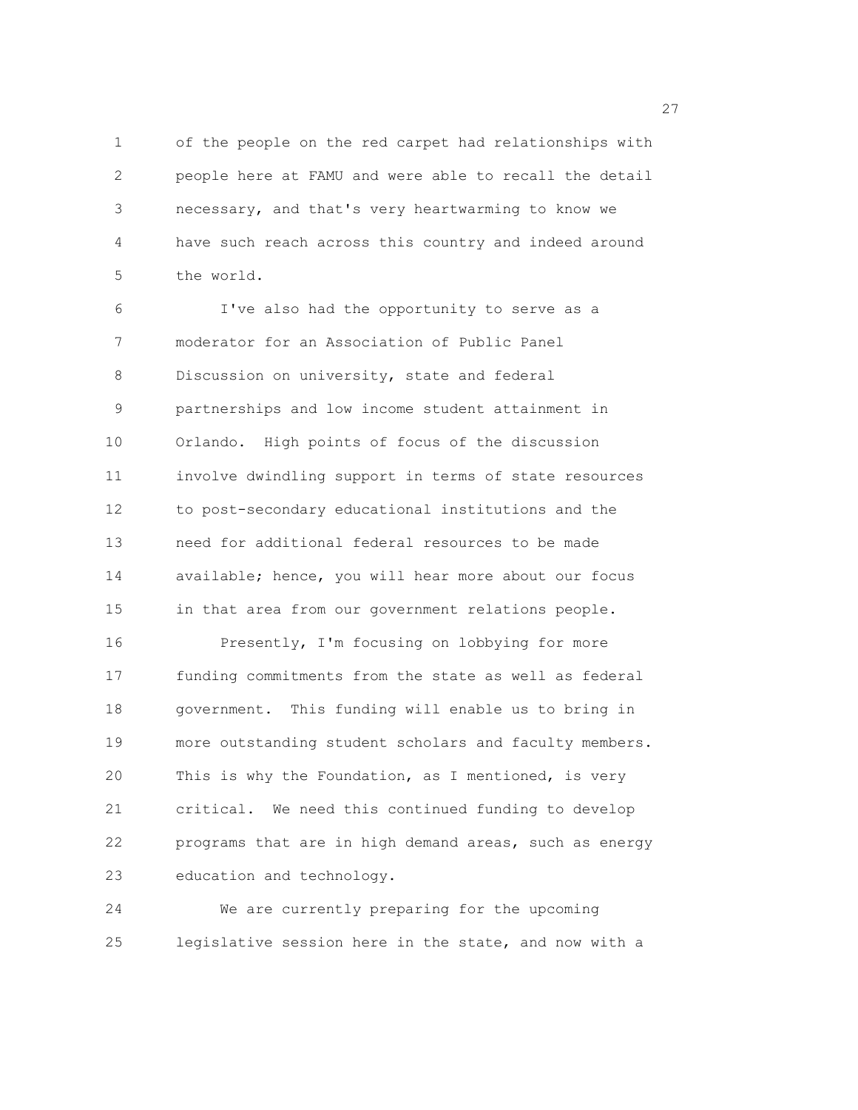1 of the people on the red carpet had relationships with 2 people here at FAMU and were able to recall the detail 3 necessary, and that's very heartwarming to know we 4 have such reach across this country and indeed around 5 the world.

6 I've also had the opportunity to serve as a 7 moderator for an Association of Public Panel 8 Discussion on university, state and federal 9 partnerships and low income student attainment in 10 Orlando. High points of focus of the discussion 11 involve dwindling support in terms of state resources 12 to post-secondary educational institutions and the 13 need for additional federal resources to be made 14 available; hence, you will hear more about our focus 15 in that area from our government relations people. 16 Presently, I'm focusing on lobbying for more 17 funding commitments from the state as well as federal 18 government. This funding will enable us to bring in 19 more outstanding student scholars and faculty members. 20 This is why the Foundation, as I mentioned, is very 21 critical. We need this continued funding to develop 22 programs that are in high demand areas, such as energy 23 education and technology.

24 We are currently preparing for the upcoming 25 legislative session here in the state, and now with a

<u>27</u>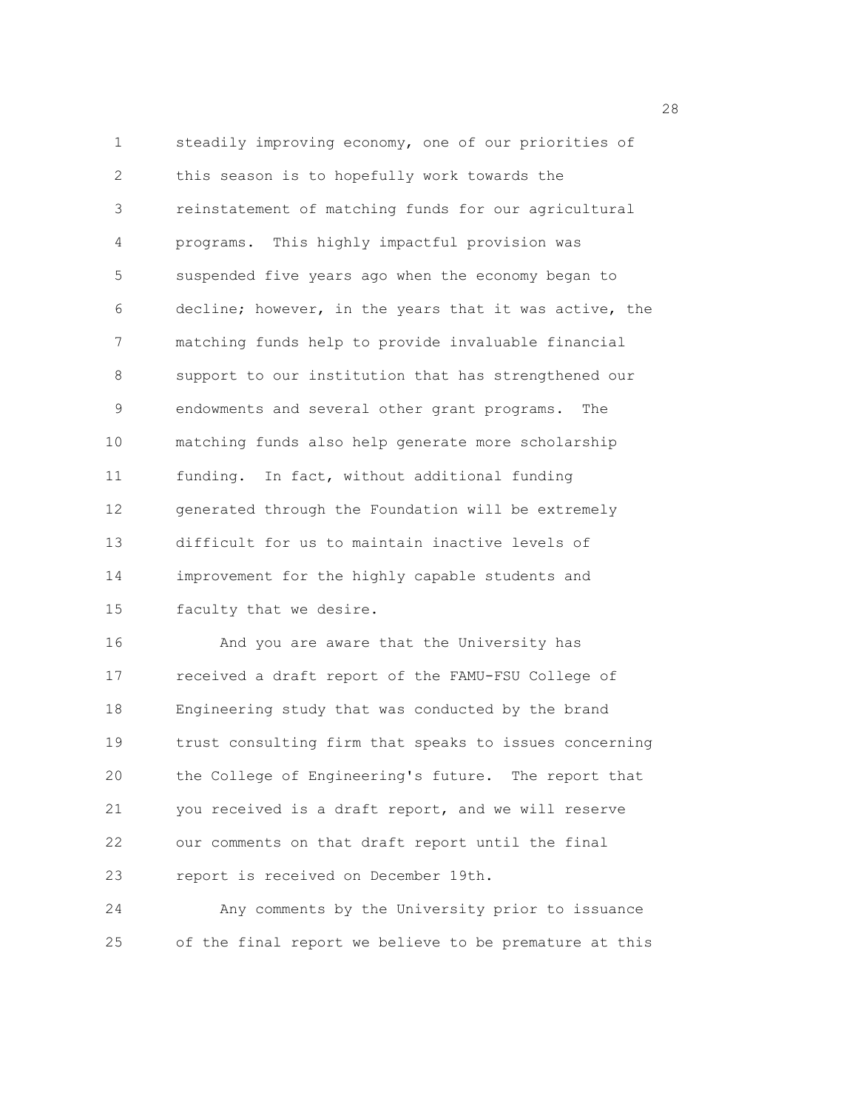1 steadily improving economy, one of our priorities of 2 this season is to hopefully work towards the 3 reinstatement of matching funds for our agricultural 4 programs. This highly impactful provision was 5 suspended five years ago when the economy began to 6 decline; however, in the years that it was active, the 7 matching funds help to provide invaluable financial 8 support to our institution that has strengthened our 9 endowments and several other grant programs. The 10 matching funds also help generate more scholarship 11 funding. In fact, without additional funding 12 generated through the Foundation will be extremely 13 difficult for us to maintain inactive levels of 14 improvement for the highly capable students and 15 faculty that we desire. 16 And you are aware that the University has 17 received a draft report of the FAMU-FSU College of 18 Engineering study that was conducted by the brand 19 trust consulting firm that speaks to issues concerning 20 the College of Engineering's future. The report that 21 you received is a draft report, and we will reserve 22 our comments on that draft report until the final 23 report is received on December 19th.

24 Any comments by the University prior to issuance 25 of the final report we believe to be premature at this

28 and 28 and 28 and 28 and 28 and 28 and 28 and 28 and 28 and 28 and 28 and 28 and 28 and 28 and 28 and 28 and 28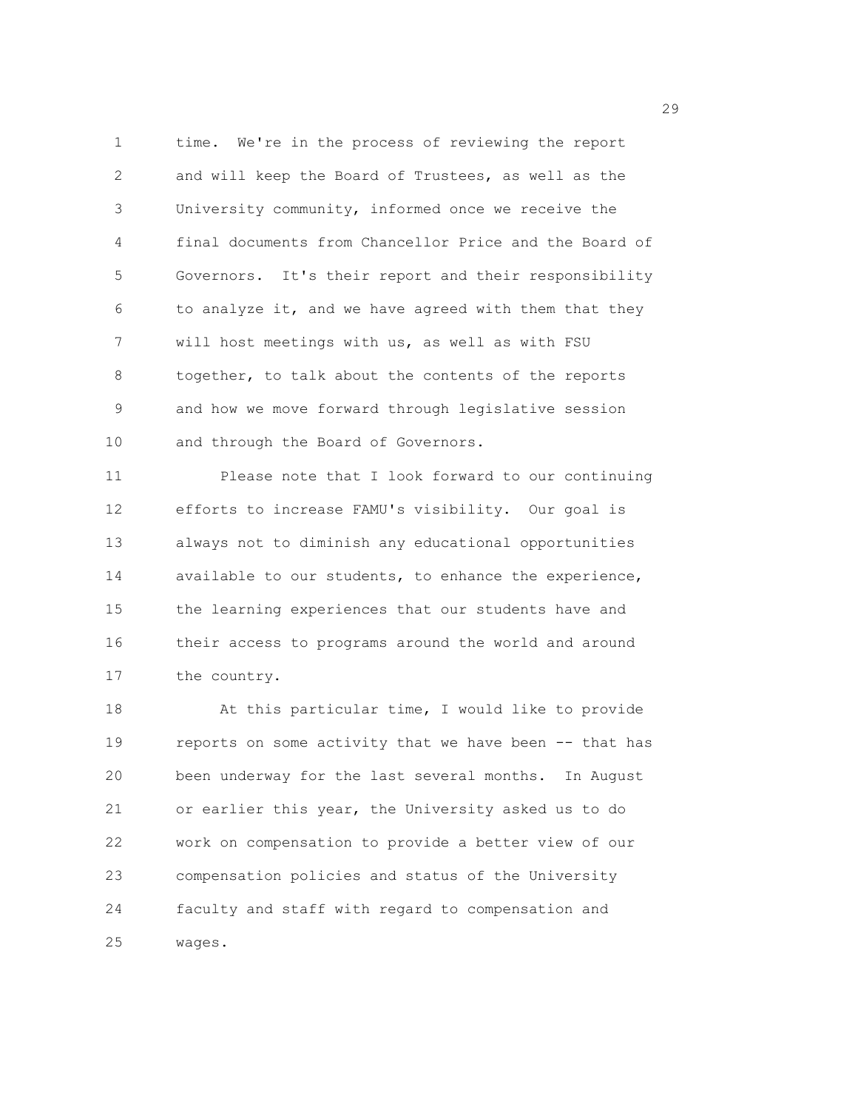1 time. We're in the process of reviewing the report 2 and will keep the Board of Trustees, as well as the 3 University community, informed once we receive the 4 final documents from Chancellor Price and the Board of 5 Governors. It's their report and their responsibility 6 to analyze it, and we have agreed with them that they 7 will host meetings with us, as well as with FSU 8 together, to talk about the contents of the reports 9 and how we move forward through legislative session 10 and through the Board of Governors.

11 Please note that I look forward to our continuing 12 efforts to increase FAMU's visibility. Our goal is 13 always not to diminish any educational opportunities 14 available to our students, to enhance the experience, 15 the learning experiences that our students have and 16 their access to programs around the world and around 17 the country.

18 At this particular time, I would like to provide 19 reports on some activity that we have been -- that has 20 been underway for the last several months. In August 21 or earlier this year, the University asked us to do 22 work on compensation to provide a better view of our 23 compensation policies and status of the University 24 faculty and staff with regard to compensation and 25 wages.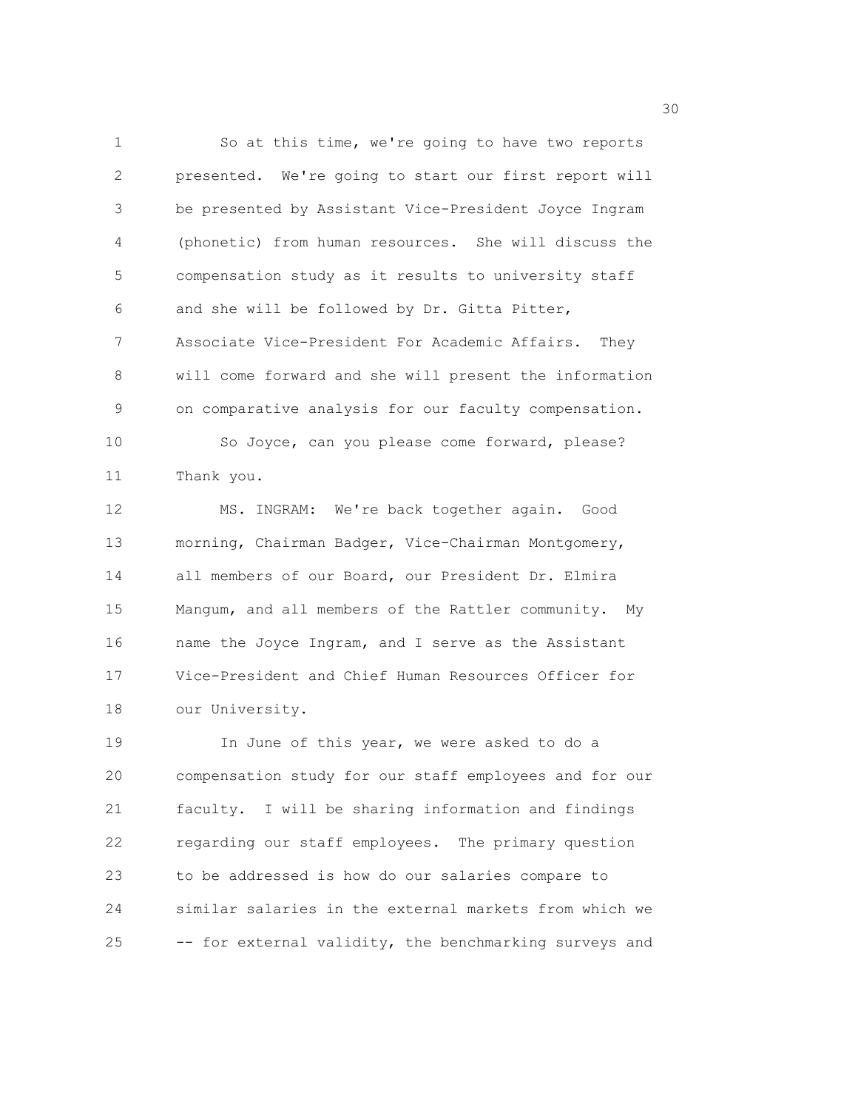1 So at this time, we're going to have two reports 2 presented. We're going to start our first report will 3 be presented by Assistant Vice-President Joyce Ingram 4 (phonetic) from human resources. She will discuss the 5 compensation study as it results to university staff 6 and she will be followed by Dr. Gitta Pitter, 7 Associate Vice-President For Academic Affairs. They 8 will come forward and she will present the information 9 on comparative analysis for our faculty compensation. 10 So Joyce, can you please come forward, please? 11 Thank you. 12 MS. INGRAM: We're back together again. Good 13 morning, Chairman Badger, Vice-Chairman Montgomery, 14 all members of our Board, our President Dr. Elmira 15 Mangum, and all members of the Rattler community. My 16 name the Joyce Ingram, and I serve as the Assistant 17 Vice-President and Chief Human Resources Officer for

18 our University.

19 In June of this year, we were asked to do a 20 compensation study for our staff employees and for our 21 faculty. I will be sharing information and findings 22 regarding our staff employees. The primary question 23 to be addressed is how do our salaries compare to 24 similar salaries in the external markets from which we 25 -- for external validity, the benchmarking surveys and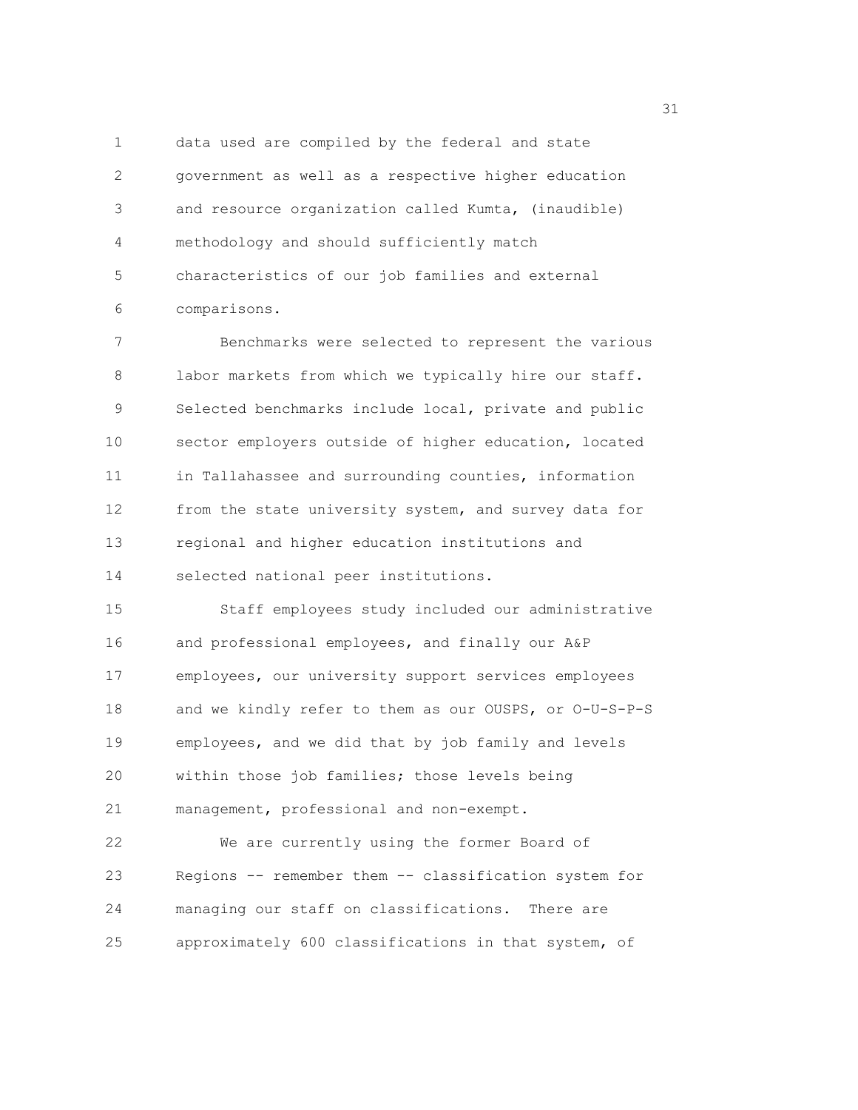1 data used are compiled by the federal and state 2 government as well as a respective higher education 3 and resource organization called Kumta, (inaudible) 4 methodology and should sufficiently match 5 characteristics of our job families and external 6 comparisons.

7 Benchmarks were selected to represent the various 8 labor markets from which we typically hire our staff. 9 Selected benchmarks include local, private and public 10 sector employers outside of higher education, located 11 in Tallahassee and surrounding counties, information 12 from the state university system, and survey data for 13 regional and higher education institutions and 14 selected national peer institutions.

15 Staff employees study included our administrative 16 and professional employees, and finally our A&P 17 employees, our university support services employees 18 and we kindly refer to them as our OUSPS, or O-U-S-P-S 19 employees, and we did that by job family and levels 20 within those job families; those levels being 21 management, professional and non-exempt.

22 We are currently using the former Board of 23 Regions -- remember them -- classification system for 24 managing our staff on classifications. There are 25 approximately 600 classifications in that system, of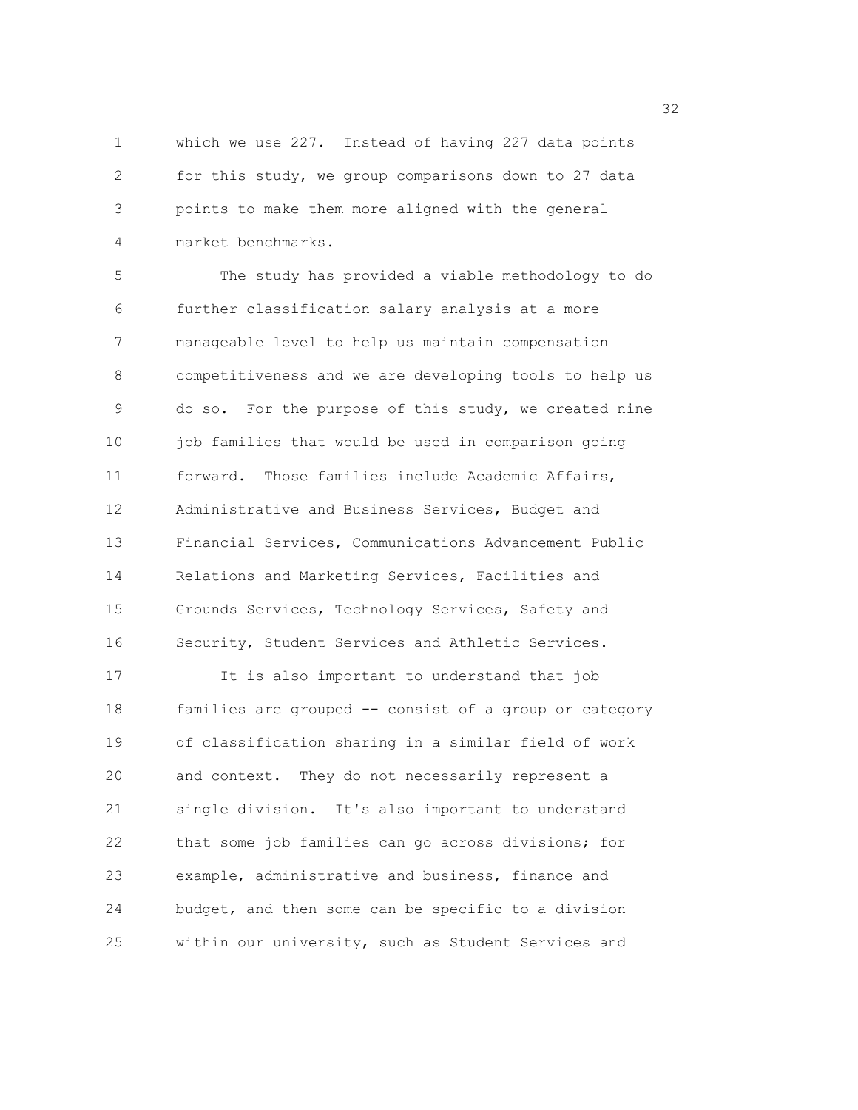1 which we use 227. Instead of having 227 data points 2 for this study, we group comparisons down to 27 data 3 points to make them more aligned with the general 4 market benchmarks.

5 The study has provided a viable methodology to do 6 further classification salary analysis at a more 7 manageable level to help us maintain compensation 8 competitiveness and we are developing tools to help us 9 do so. For the purpose of this study, we created nine 10 job families that would be used in comparison going 11 forward. Those families include Academic Affairs, 12 Administrative and Business Services, Budget and 13 Financial Services, Communications Advancement Public 14 Relations and Marketing Services, Facilities and 15 Grounds Services, Technology Services, Safety and 16 Security, Student Services and Athletic Services. 17 It is also important to understand that job 18 families are grouped -- consist of a group or category 19 of classification sharing in a similar field of work 20 and context. They do not necessarily represent a

21 single division. It's also important to understand 22 that some job families can go across divisions; for 23 example, administrative and business, finance and 24 budget, and then some can be specific to a division 25 within our university, such as Student Services and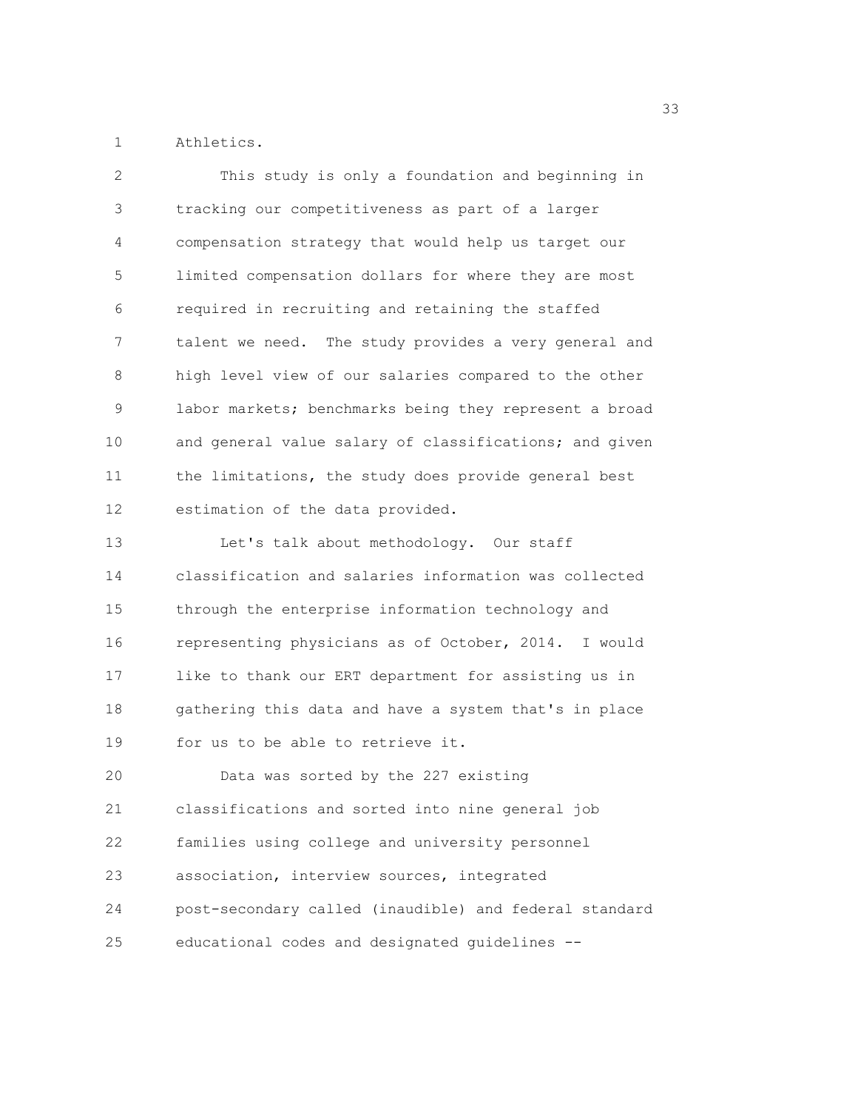1 Athletics.

| 2           | This study is only a foundation and beginning in       |
|-------------|--------------------------------------------------------|
| 3           | tracking our competitiveness as part of a larger       |
| 4           | compensation strategy that would help us target our    |
| 5           | limited compensation dollars for where they are most   |
| 6           | required in recruiting and retaining the staffed       |
| 7           | talent we need. The study provides a very general and  |
| 8           | high level view of our salaries compared to the other  |
| $\mathsf 9$ | labor markets; benchmarks being they represent a broad |
| 10          | and general value salary of classifications; and given |
| 11          | the limitations, the study does provide general best   |
| 12          | estimation of the data provided.                       |
| 13          | Let's talk about methodology. Our staff                |
| 14          | classification and salaries information was collected  |
| 15          | through the enterprise information technology and      |
| 16          | representing physicians as of October, 2014. I would   |
| 17          | like to thank our ERT department for assisting us in   |
| 18          | gathering this data and have a system that's in place  |
| 19          | for us to be able to retrieve it.                      |
| 20          | Data was sorted by the 227 existing                    |
| 21          | classifications and sorted into nine general job       |
| 22          | families using college and university personnel        |
| 23          | association, interview sources, integrated             |
| 24          | post-secondary called (inaudible) and federal standard |
| 25          | educational codes and designated guidelines --         |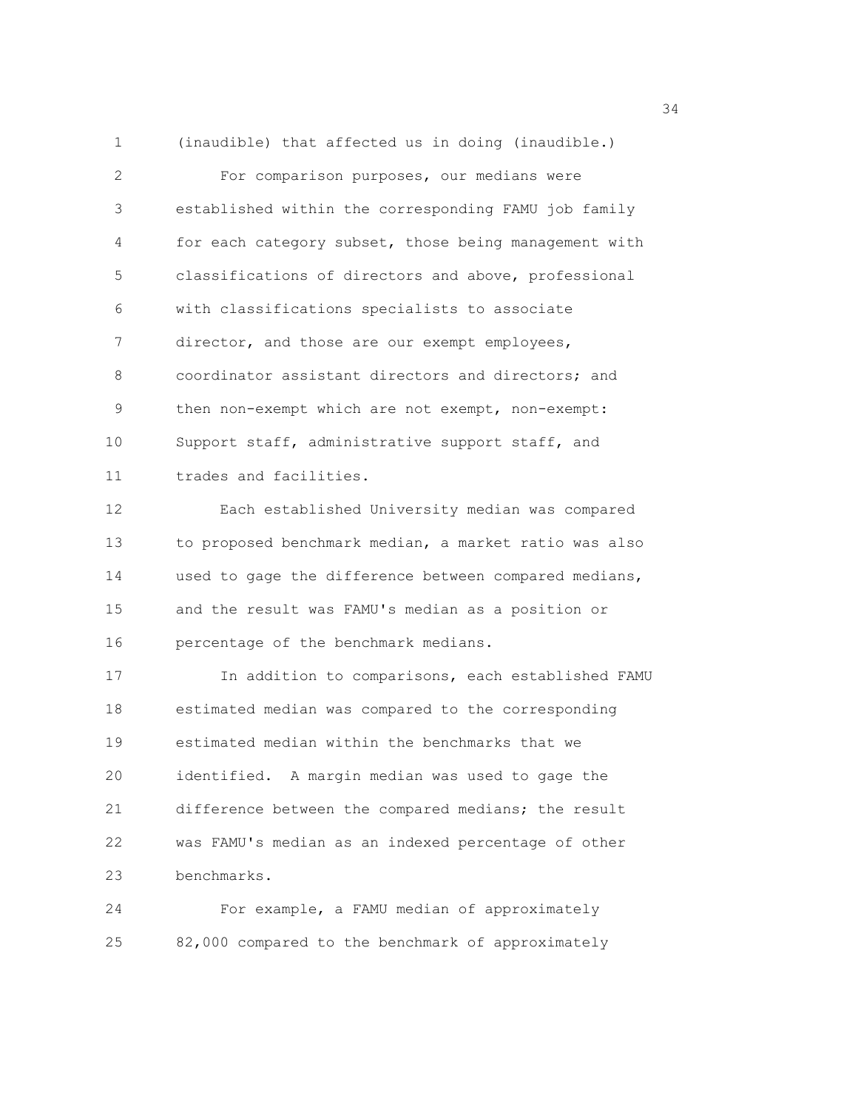1 (inaudible) that affected us in doing (inaudible.) 2 For comparison purposes, our medians were 3 established within the corresponding FAMU job family 4 for each category subset, those being management with 5 classifications of directors and above, professional 6 with classifications specialists to associate 7 director, and those are our exempt employees, 8 coordinator assistant directors and directors; and 9 then non-exempt which are not exempt, non-exempt: 10 Support staff, administrative support staff, and 11 trades and facilities. 12 Each established University median was compared 13 to proposed benchmark median, a market ratio was also 14 used to gage the difference between compared medians,

15 and the result was FAMU's median as a position or 16 percentage of the benchmark medians.

17 In addition to comparisons, each established FAMU 18 estimated median was compared to the corresponding 19 estimated median within the benchmarks that we 20 identified. A margin median was used to gage the 21 difference between the compared medians; the result 22 was FAMU's median as an indexed percentage of other 23 benchmarks.

24 For example, a FAMU median of approximately 25 82,000 compared to the benchmark of approximately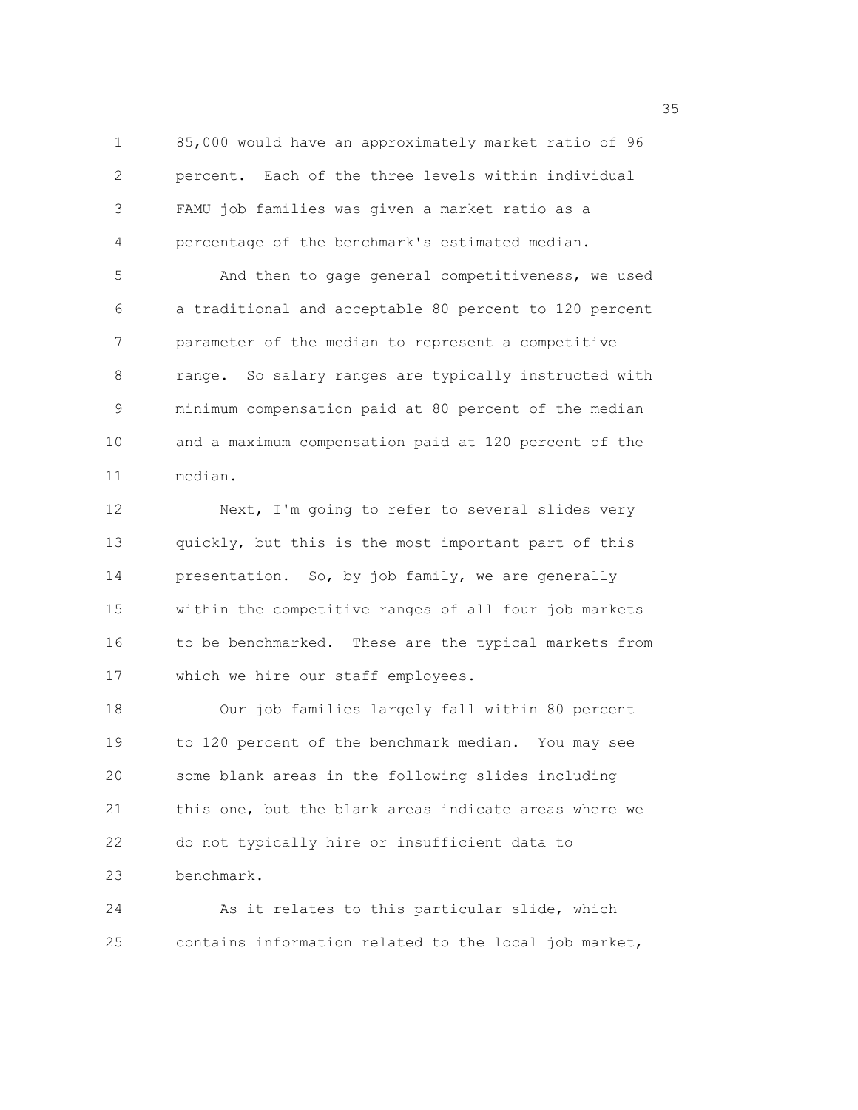1 85,000 would have an approximately market ratio of 96 2 percent. Each of the three levels within individual 3 FAMU job families was given a market ratio as a 4 percentage of the benchmark's estimated median. 5 And then to gage general competitiveness, we used 6 a traditional and acceptable 80 percent to 120 percent

7 parameter of the median to represent a competitive 8 range. So salary ranges are typically instructed with 9 minimum compensation paid at 80 percent of the median 10 and a maximum compensation paid at 120 percent of the 11 median.

12 Next, I'm going to refer to several slides very 13 quickly, but this is the most important part of this 14 presentation. So, by job family, we are generally 15 within the competitive ranges of all four job markets 16 to be benchmarked. These are the typical markets from 17 which we hire our staff employees.

18 Our job families largely fall within 80 percent 19 to 120 percent of the benchmark median. You may see 20 some blank areas in the following slides including 21 this one, but the blank areas indicate areas where we 22 do not typically hire or insufficient data to 23 benchmark.

24 As it relates to this particular slide, which 25 contains information related to the local job market,

<u>35 September 2005 September 2005 September 2005 September 2005 September 2005 September 2005 September 2005 S</u>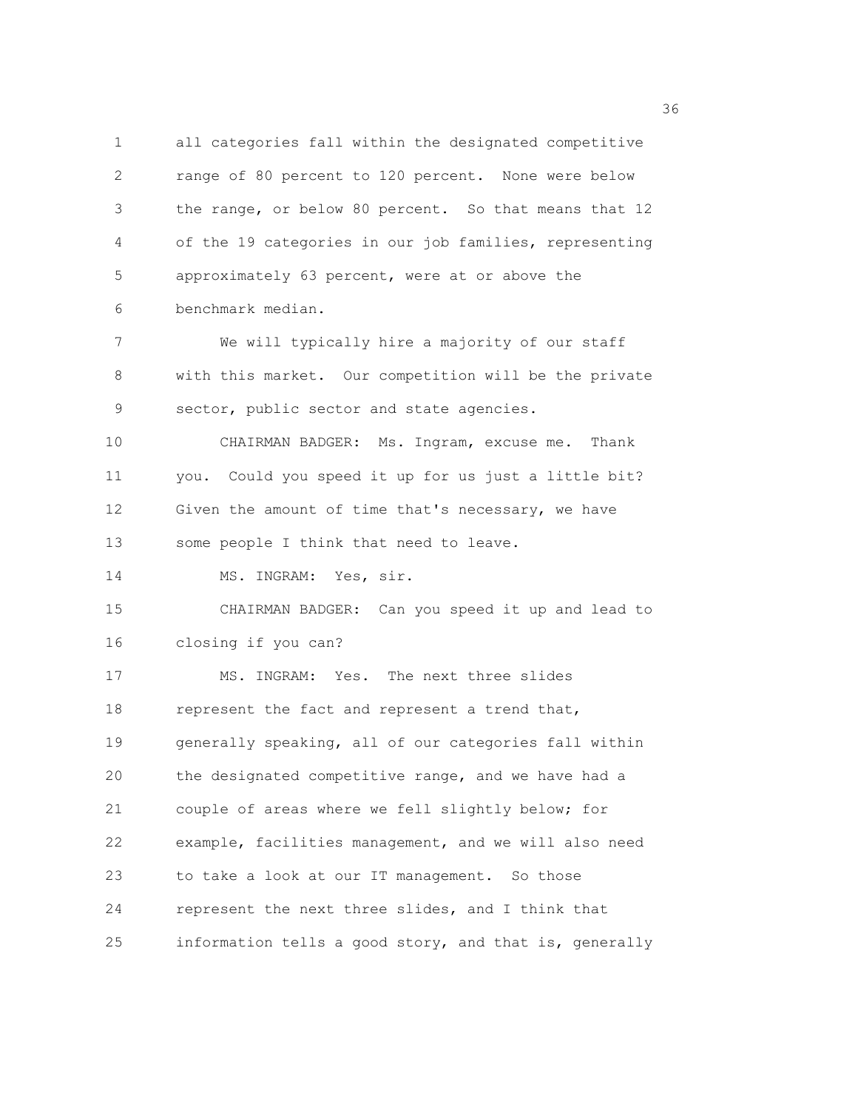1 all categories fall within the designated competitive 2 range of 80 percent to 120 percent. None were below 3 the range, or below 80 percent. So that means that 12 4 of the 19 categories in our job families, representing 5 approximately 63 percent, were at or above the 6 benchmark median.

7 We will typically hire a majority of our staff 8 with this market. Our competition will be the private 9 sector, public sector and state agencies.

10 CHAIRMAN BADGER: Ms. Ingram, excuse me. Thank 11 you. Could you speed it up for us just a little bit? 12 Given the amount of time that's necessary, we have 13 some people I think that need to leave.

14 MS. INGRAM: Yes, sir.

15 CHAIRMAN BADGER: Can you speed it up and lead to 16 closing if you can?

17 MS. INGRAM: Yes. The next three slides 18 represent the fact and represent a trend that, 19 generally speaking, all of our categories fall within 20 the designated competitive range, and we have had a 21 couple of areas where we fell slightly below; for 22 example, facilities management, and we will also need 23 to take a look at our IT management. So those 24 represent the next three slides, and I think that 25 information tells a good story, and that is, generally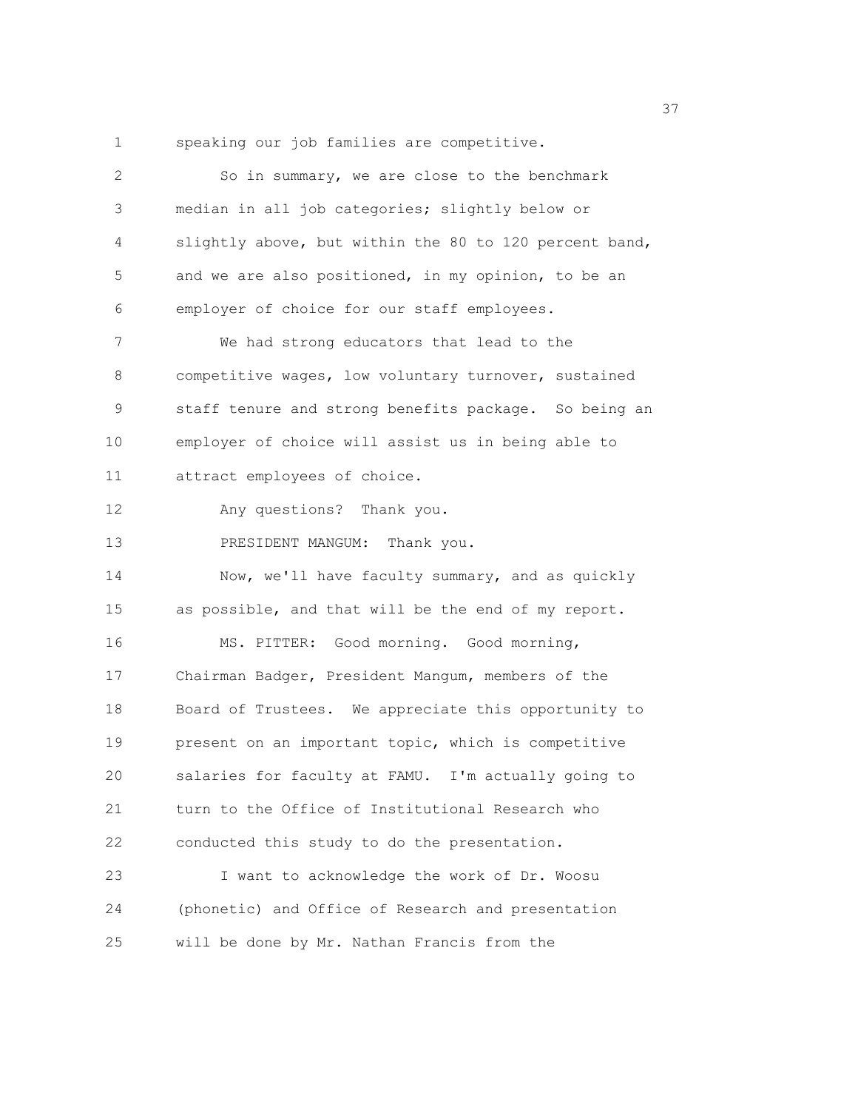1 speaking our job families are competitive.

| 2  | So in summary, we are close to the benchmark           |
|----|--------------------------------------------------------|
| 3  | median in all job categories; slightly below or        |
| 4  | slightly above, but within the 80 to 120 percent band, |
| 5  | and we are also positioned, in my opinion, to be an    |
| 6  | employer of choice for our staff employees.            |
| 7  | We had strong educators that lead to the               |
| 8  | competitive wages, low voluntary turnover, sustained   |
| 9  | staff tenure and strong benefits package. So being an  |
| 10 | employer of choice will assist us in being able to     |
| 11 | attract employees of choice.                           |
| 12 | Any questions? Thank you.                              |
| 13 | PRESIDENT MANGUM: Thank you.                           |
| 14 | Now, we'll have faculty summary, and as quickly        |
| 15 | as possible, and that will be the end of my report.    |
| 16 | MS. PITTER: Good morning. Good morning,                |
| 17 | Chairman Badger, President Mangum, members of the      |
| 18 | Board of Trustees. We appreciate this opportunity to   |
| 19 | present on an important topic, which is competitive    |
| 20 | salaries for faculty at FAMU. I'm actually going to    |
| 21 | turn to the Office of Institutional Research who       |
| 22 | conducted this study to do the presentation.           |
| 23 | I want to acknowledge the work of Dr. Woosu            |
| 24 | (phonetic) and Office of Research and presentation     |
| 25 | will be done by Mr. Nathan Francis from the            |

<u>37</u>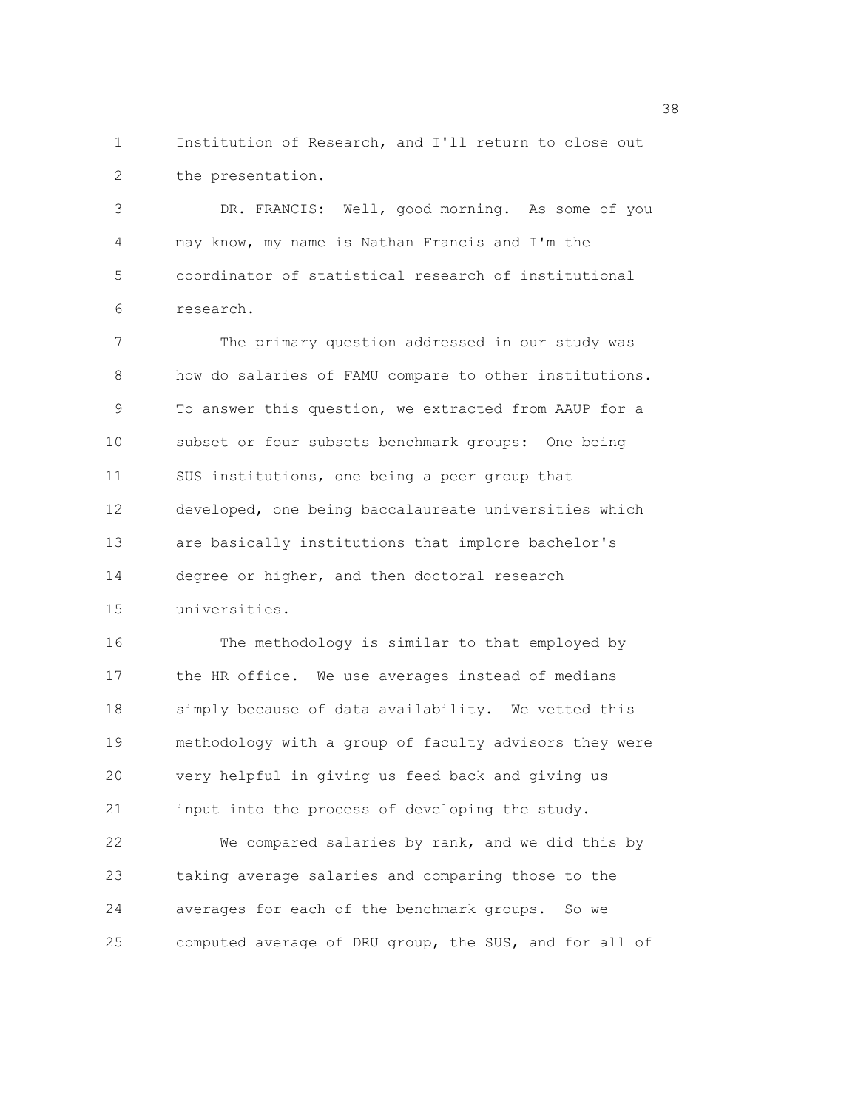1 Institution of Research, and I'll return to close out 2 the presentation.

3 DR. FRANCIS: Well, good morning. As some of you 4 may know, my name is Nathan Francis and I'm the 5 coordinator of statistical research of institutional 6 research.

7 The primary question addressed in our study was 8 how do salaries of FAMU compare to other institutions. 9 To answer this question, we extracted from AAUP for a 10 subset or four subsets benchmark groups: One being 11 SUS institutions, one being a peer group that 12 developed, one being baccalaureate universities which 13 are basically institutions that implore bachelor's 14 degree or higher, and then doctoral research 15 universities.

16 The methodology is similar to that employed by 17 the HR office. We use averages instead of medians 18 simply because of data availability. We vetted this 19 methodology with a group of faculty advisors they were 20 very helpful in giving us feed back and giving us 21 input into the process of developing the study.

22 We compared salaries by rank, and we did this by 23 taking average salaries and comparing those to the 24 averages for each of the benchmark groups. So we 25 computed average of DRU group, the SUS, and for all of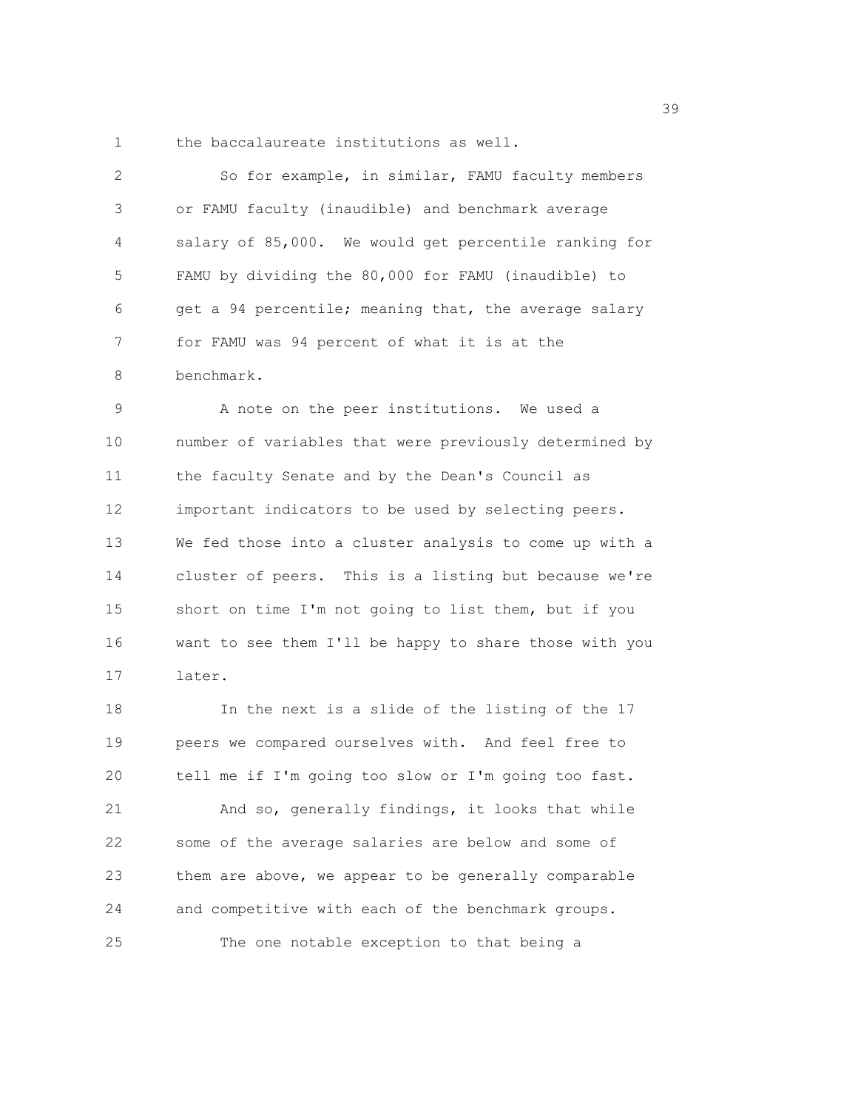1 the baccalaureate institutions as well.

2 So for example, in similar, FAMU faculty members 3 or FAMU faculty (inaudible) and benchmark average 4 salary of 85,000. We would get percentile ranking for 5 FAMU by dividing the 80,000 for FAMU (inaudible) to 6 get a 94 percentile; meaning that, the average salary 7 for FAMU was 94 percent of what it is at the 8 benchmark.

9 A note on the peer institutions. We used a 10 number of variables that were previously determined by 11 the faculty Senate and by the Dean's Council as 12 important indicators to be used by selecting peers. 13 We fed those into a cluster analysis to come up with a 14 cluster of peers. This is a listing but because we're 15 short on time I'm not going to list them, but if you 16 want to see them I'll be happy to share those with you 17 later.

18 In the next is a slide of the listing of the 17 19 peers we compared ourselves with. And feel free to 20 tell me if I'm going too slow or I'm going too fast. 21 And so, generally findings, it looks that while 22 some of the average salaries are below and some of 23 them are above, we appear to be generally comparable 24 and competitive with each of the benchmark groups. 25 The one notable exception to that being a

39 and 2012 and 2013 and 2013 and 2013 and 2013 and 2013 and 2013 and 2013 and 2013 and 2013 and 2013 and 2013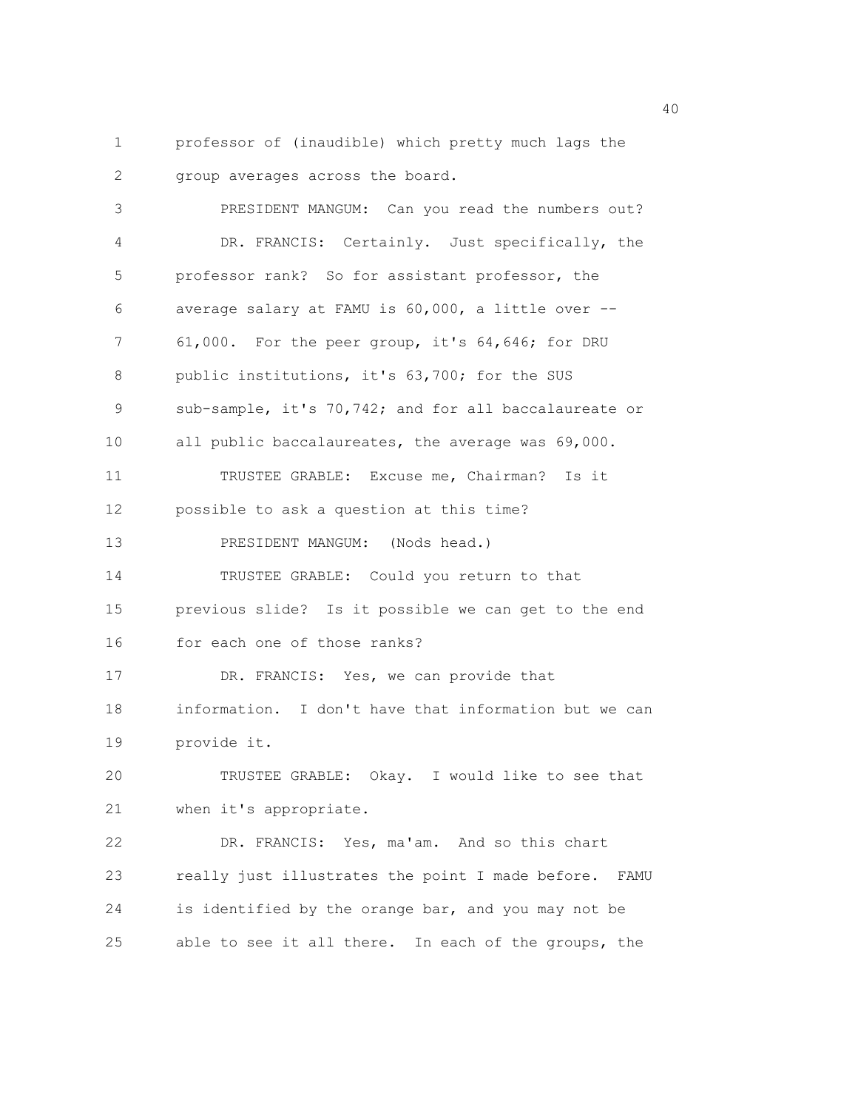1 professor of (inaudible) which pretty much lags the 2 group averages across the board.

3 PRESIDENT MANGUM: Can you read the numbers out? 4 DR. FRANCIS: Certainly. Just specifically, the 5 professor rank? So for assistant professor, the 6 average salary at FAMU is 60,000, a little over -- 7 61,000. For the peer group, it's 64,646; for DRU 8 public institutions, it's 63,700; for the SUS 9 sub-sample, it's 70,742; and for all baccalaureate or 10 all public baccalaureates, the average was 69,000. 11 TRUSTEE GRABLE: Excuse me, Chairman? Is it 12 possible to ask a question at this time? 13 PRESIDENT MANGUM: (Nods head.) 14 TRUSTEE GRABLE: Could you return to that 15 previous slide? Is it possible we can get to the end 16 for each one of those ranks? 17 DR. FRANCIS: Yes, we can provide that 18 information. I don't have that information but we can 19 provide it. 20 TRUSTEE GRABLE: Okay. I would like to see that 21 when it's appropriate. 22 DR. FRANCIS: Yes, ma'am. And so this chart 23 really just illustrates the point I made before. FAMU 24 is identified by the orange bar, and you may not be 25 able to see it all there. In each of the groups, the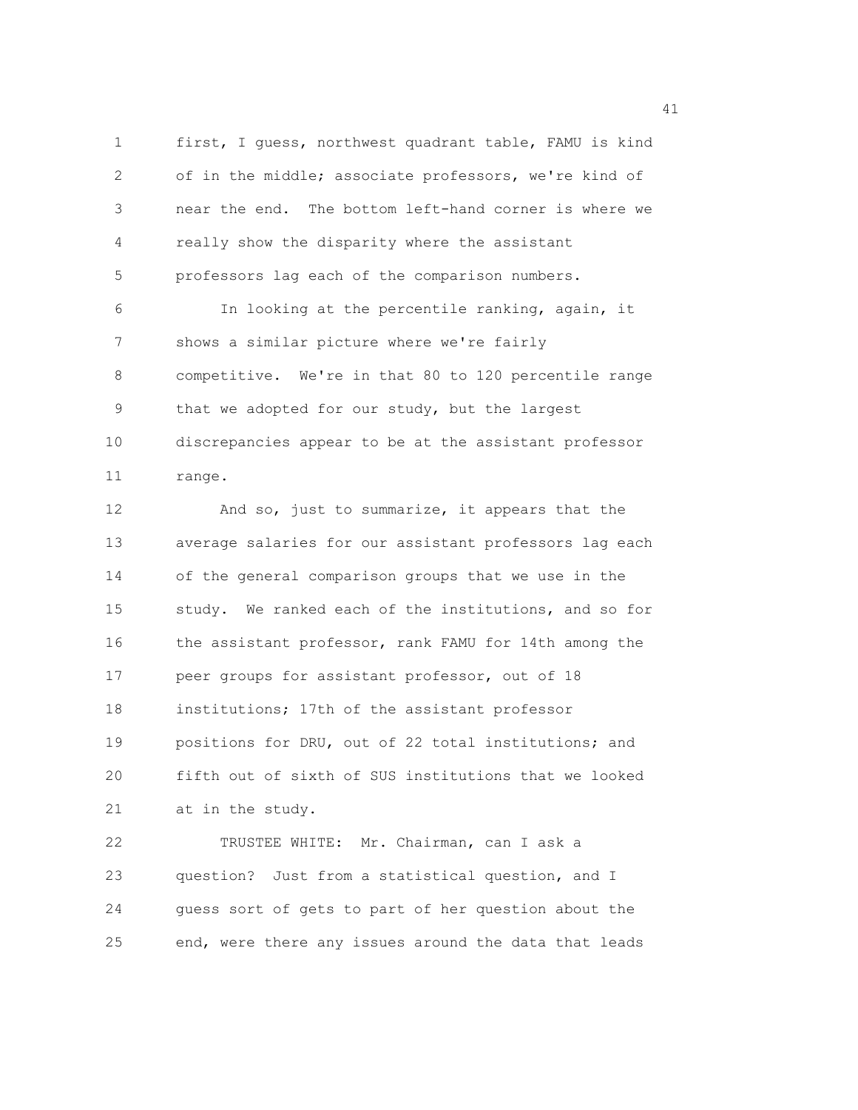1 first, I guess, northwest quadrant table, FAMU is kind 2 of in the middle; associate professors, we're kind of 3 near the end. The bottom left-hand corner is where we 4 really show the disparity where the assistant 5 professors lag each of the comparison numbers. 6 In looking at the percentile ranking, again, it

7 shows a similar picture where we're fairly 8 competitive. We're in that 80 to 120 percentile range 9 that we adopted for our study, but the largest 10 discrepancies appear to be at the assistant professor 11 range.

12 And so, just to summarize, it appears that the 13 average salaries for our assistant professors lag each 14 of the general comparison groups that we use in the 15 study. We ranked each of the institutions, and so for 16 the assistant professor, rank FAMU for 14th among the 17 peer groups for assistant professor, out of 18 18 institutions; 17th of the assistant professor 19 positions for DRU, out of 22 total institutions; and 20 fifth out of sixth of SUS institutions that we looked 21 at in the study.

22 TRUSTEE WHITE: Mr. Chairman, can I ask a 23 question? Just from a statistical question, and I 24 guess sort of gets to part of her question about the 25 end, were there any issues around the data that leads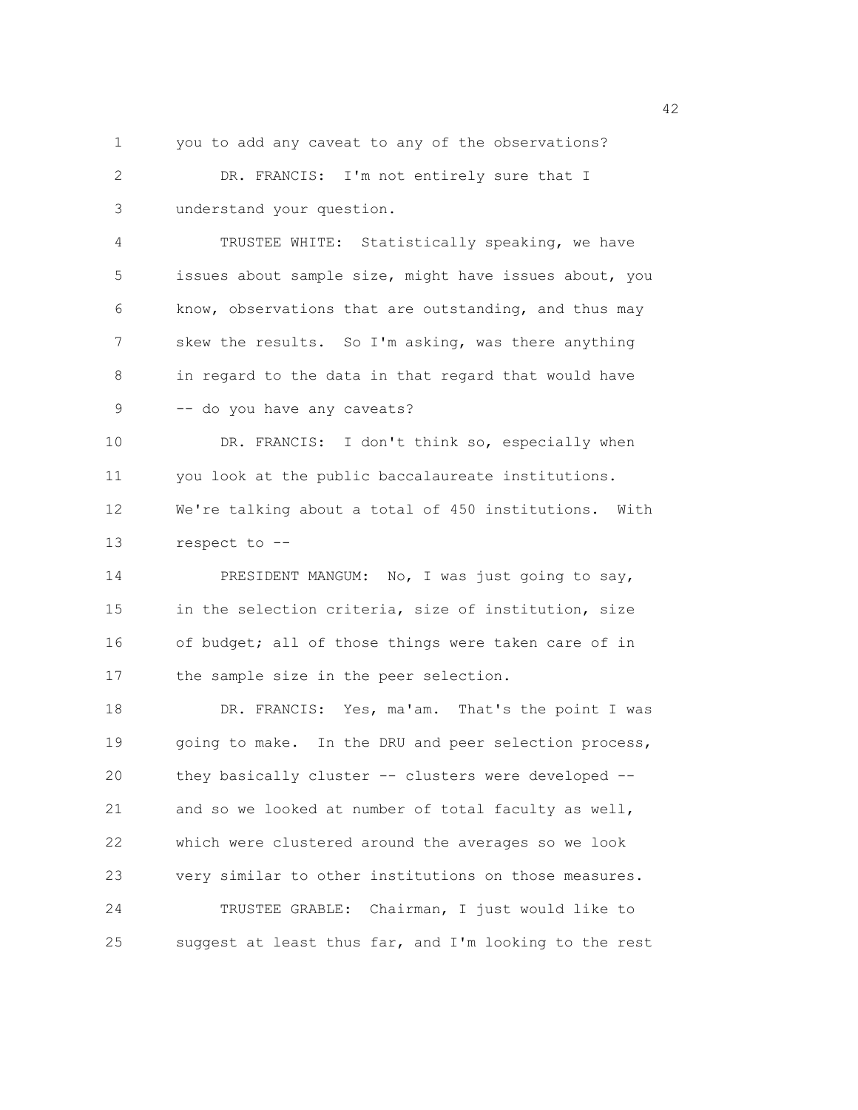1 you to add any caveat to any of the observations?

2 DR. FRANCIS: I'm not entirely sure that I 3 understand your question.

4 TRUSTEE WHITE: Statistically speaking, we have 5 issues about sample size, might have issues about, you 6 know, observations that are outstanding, and thus may 7 skew the results. So I'm asking, was there anything 8 in regard to the data in that regard that would have 9 -- do you have any caveats?

10 DR. FRANCIS: I don't think so, especially when 11 you look at the public baccalaureate institutions. 12 We're talking about a total of 450 institutions. With 13 respect to --

14 PRESIDENT MANGUM: No, I was just going to say, 15 in the selection criteria, size of institution, size 16 of budget; all of those things were taken care of in 17 the sample size in the peer selection.

18 DR. FRANCIS: Yes, ma'am. That's the point I was 19 going to make. In the DRU and peer selection process, 20 they basically cluster -- clusters were developed -- 21 and so we looked at number of total faculty as well, 22 which were clustered around the averages so we look 23 very similar to other institutions on those measures. 24 TRUSTEE GRABLE: Chairman, I just would like to 25 suggest at least thus far, and I'm looking to the rest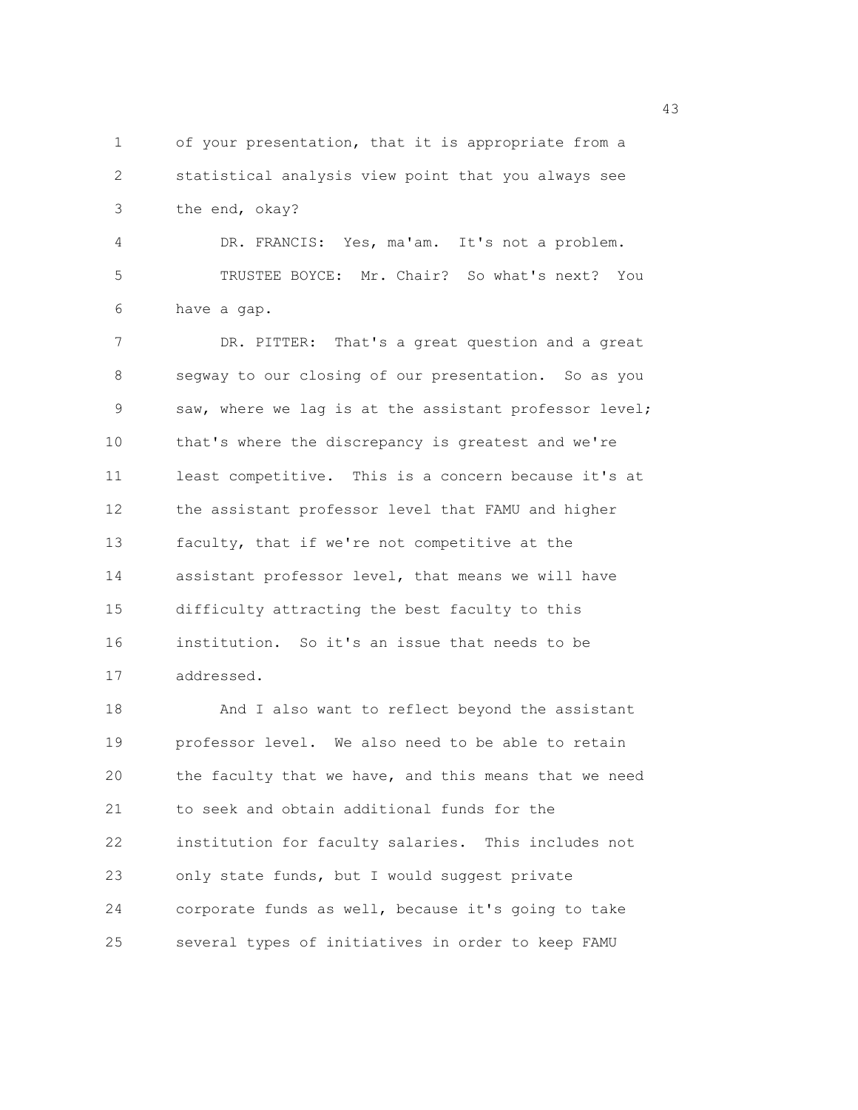1 of your presentation, that it is appropriate from a 2 statistical analysis view point that you always see 3 the end, okay? 4 DR. FRANCIS: Yes, ma'am. It's not a problem. 5 TRUSTEE BOYCE: Mr. Chair? So what's next? You 6 have a gap. 7 DR. PITTER: That's a great question and a great 8 segway to our closing of our presentation. So as you 9 saw, where we lag is at the assistant professor level; 10 that's where the discrepancy is greatest and we're 11 least competitive. This is a concern because it's at 12 the assistant professor level that FAMU and higher 13 faculty, that if we're not competitive at the 14 assistant professor level, that means we will have 15 difficulty attracting the best faculty to this 16 institution. So it's an issue that needs to be 17 addressed. 18 And I also want to reflect beyond the assistant 19 professor level. We also need to be able to retain 20 the faculty that we have, and this means that we need 21 to seek and obtain additional funds for the 22 institution for faculty salaries. This includes not

23 only state funds, but I would suggest private 24 corporate funds as well, because it's going to take 25 several types of initiatives in order to keep FAMU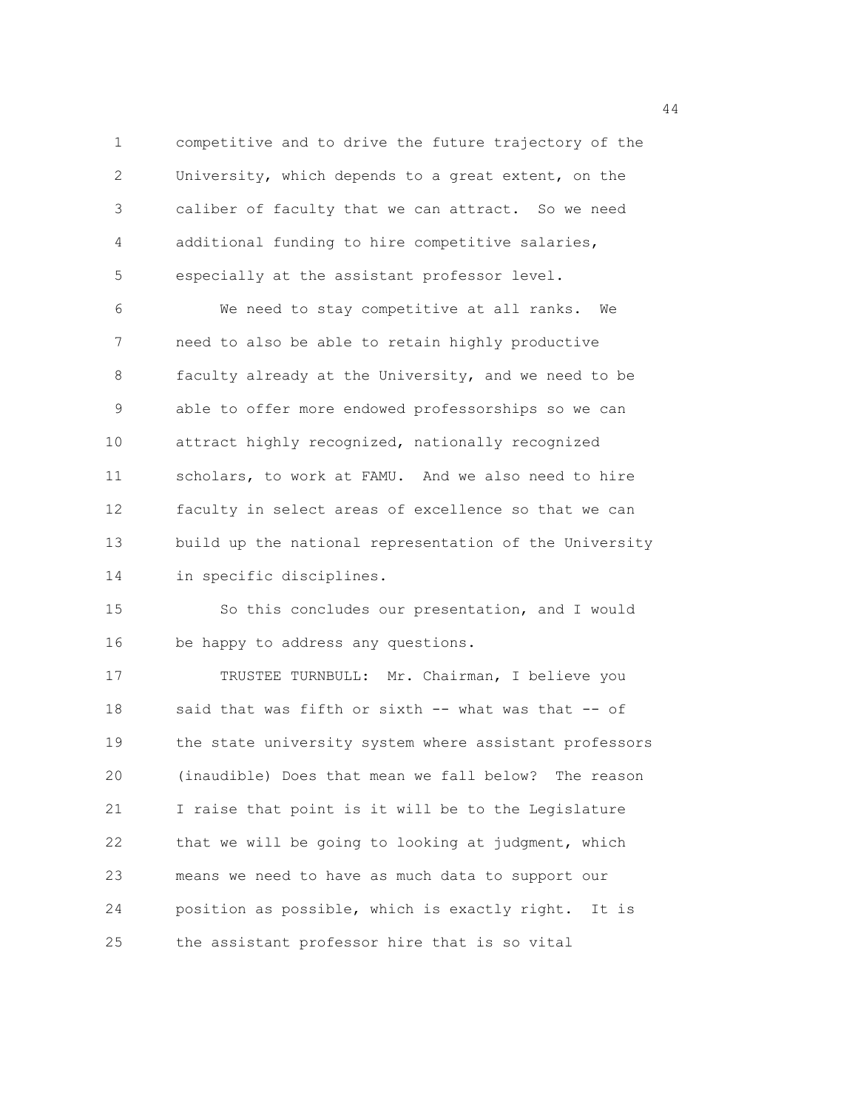1 competitive and to drive the future trajectory of the 2 University, which depends to a great extent, on the 3 caliber of faculty that we can attract. So we need 4 additional funding to hire competitive salaries, 5 especially at the assistant professor level.

6 We need to stay competitive at all ranks. We 7 need to also be able to retain highly productive 8 faculty already at the University, and we need to be 9 able to offer more endowed professorships so we can 10 attract highly recognized, nationally recognized 11 scholars, to work at FAMU. And we also need to hire 12 faculty in select areas of excellence so that we can 13 build up the national representation of the University 14 in specific disciplines.

15 So this concludes our presentation, and I would 16 be happy to address any questions.

17 TRUSTEE TURNBULL: Mr. Chairman, I believe you 18 said that was fifth or sixth -- what was that -- of 19 the state university system where assistant professors 20 (inaudible) Does that mean we fall below? The reason 21 I raise that point is it will be to the Legislature 22 that we will be going to looking at judgment, which 23 means we need to have as much data to support our 24 position as possible, which is exactly right. It is 25 the assistant professor hire that is so vital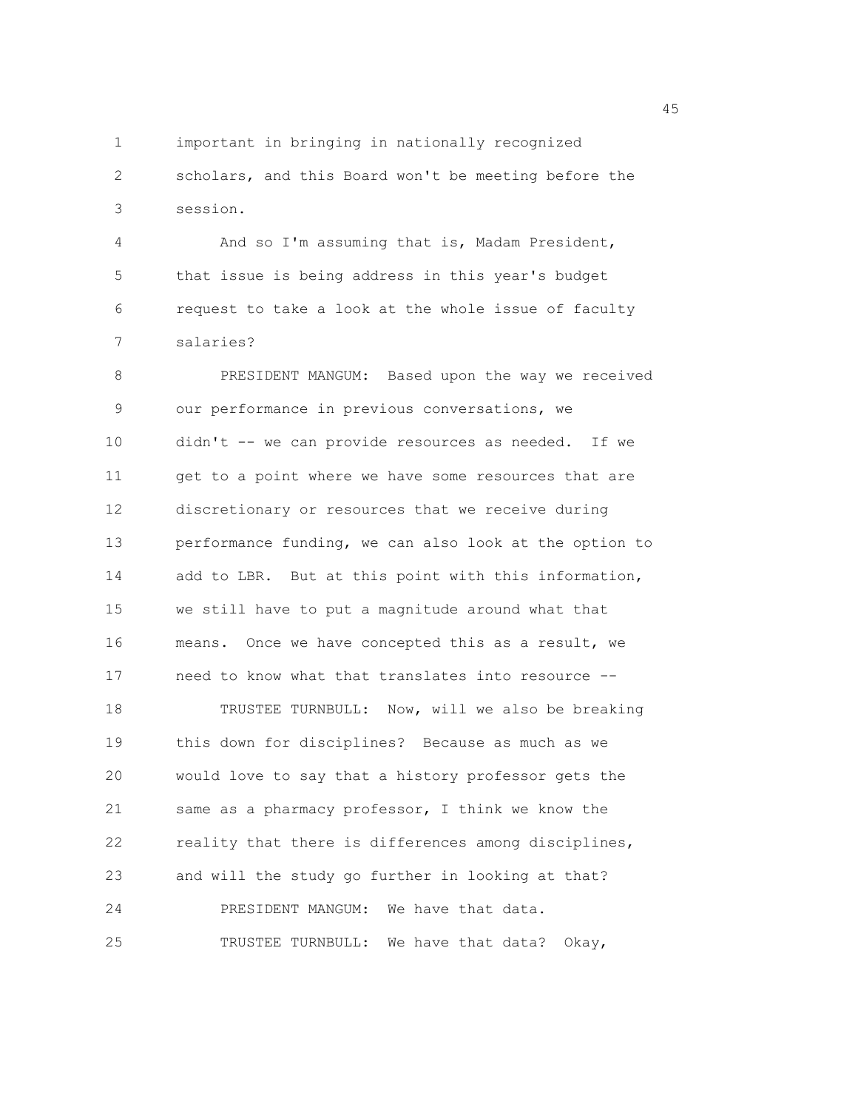1 important in bringing in nationally recognized 2 scholars, and this Board won't be meeting before the 3 session.

4 And so I'm assuming that is, Madam President, 5 that issue is being address in this year's budget 6 request to take a look at the whole issue of faculty 7 salaries?

8 PRESIDENT MANGUM: Based upon the way we received 9 our performance in previous conversations, we 10 didn't -- we can provide resources as needed. If we 11 get to a point where we have some resources that are 12 discretionary or resources that we receive during 13 performance funding, we can also look at the option to 14 add to LBR. But at this point with this information, 15 we still have to put a magnitude around what that 16 means. Once we have concepted this as a result, we 17 need to know what that translates into resource -- 18 TRUSTEE TURNBULL: Now, will we also be breaking 19 this down for disciplines? Because as much as we 20 would love to say that a history professor gets the 21 same as a pharmacy professor, I think we know the 22 reality that there is differences among disciplines, 23 and will the study go further in looking at that? 24 PRESIDENT MANGUM: We have that data. 25 TRUSTEE TURNBULL: We have that data? Okay,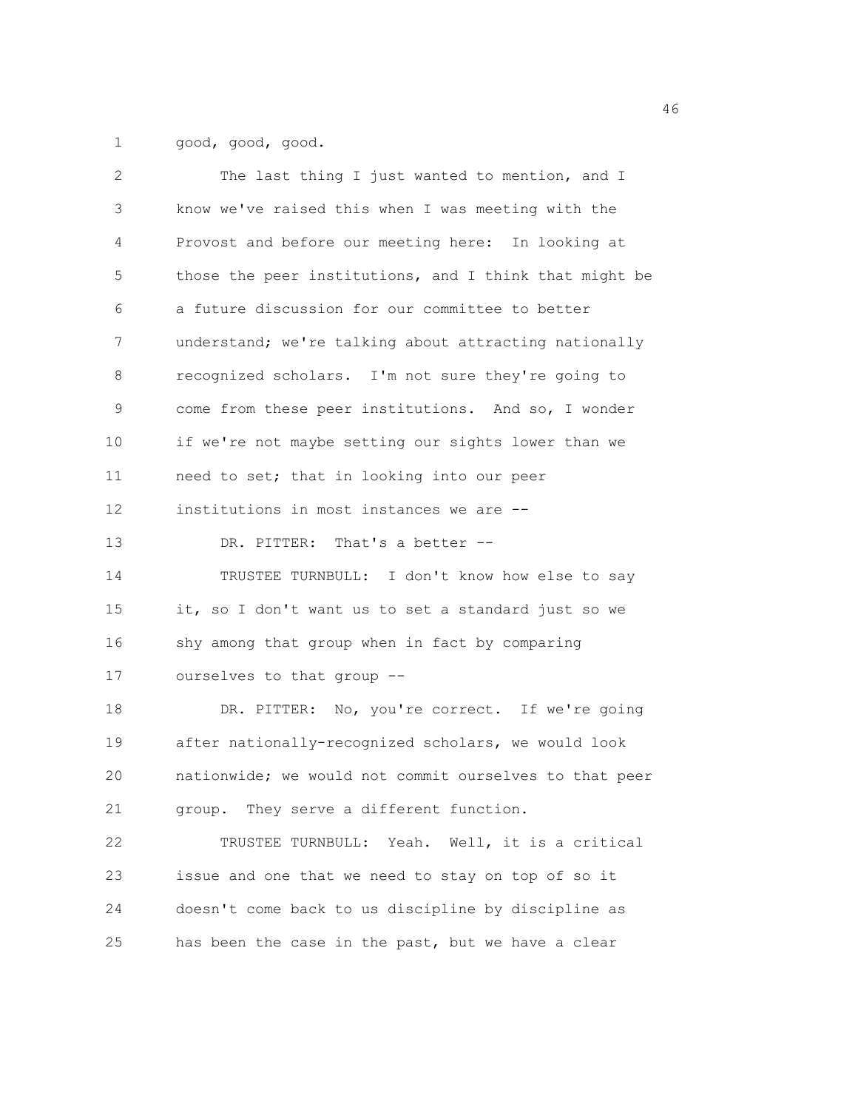1 good, good, good.

| 2           | The last thing I just wanted to mention, and I         |
|-------------|--------------------------------------------------------|
| $\mathsf 3$ | know we've raised this when I was meeting with the     |
| 4           | Provost and before our meeting here: In looking at     |
| 5           | those the peer institutions, and I think that might be |
| 6           | a future discussion for our committee to better        |
| 7           | understand; we're talking about attracting nationally  |
| 8           | recognized scholars. I'm not sure they're going to     |
| 9           | come from these peer institutions. And so, I wonder    |
| 10          | if we're not maybe setting our sights lower than we    |
| 11          | need to set; that in looking into our peer             |
| 12          | institutions in most instances we are --               |
| 13          | DR. PITTER: That's a better --                         |
| 14          | TRUSTEE TURNBULL: I don't know how else to say         |
| 15          | it, so I don't want us to set a standard just so we    |
| 16          | shy among that group when in fact by comparing         |
| 17          | ourselves to that group --                             |
| 18          | DR. PITTER: No, you're correct. If we're going         |
| 19          | after nationally-recognized scholars, we would look    |
| 20          | nationwide; we would not commit ourselves to that peer |
| 21          | group. They serve a different function.                |
| 22          | TRUSTEE TURNBULL: Yeah. Well, it is a critical         |
| 23          | issue and one that we need to stay on top of so it     |
| 24          | doesn't come back to us discipline by discipline as    |
| 25          | has been the case in the past, but we have a clear     |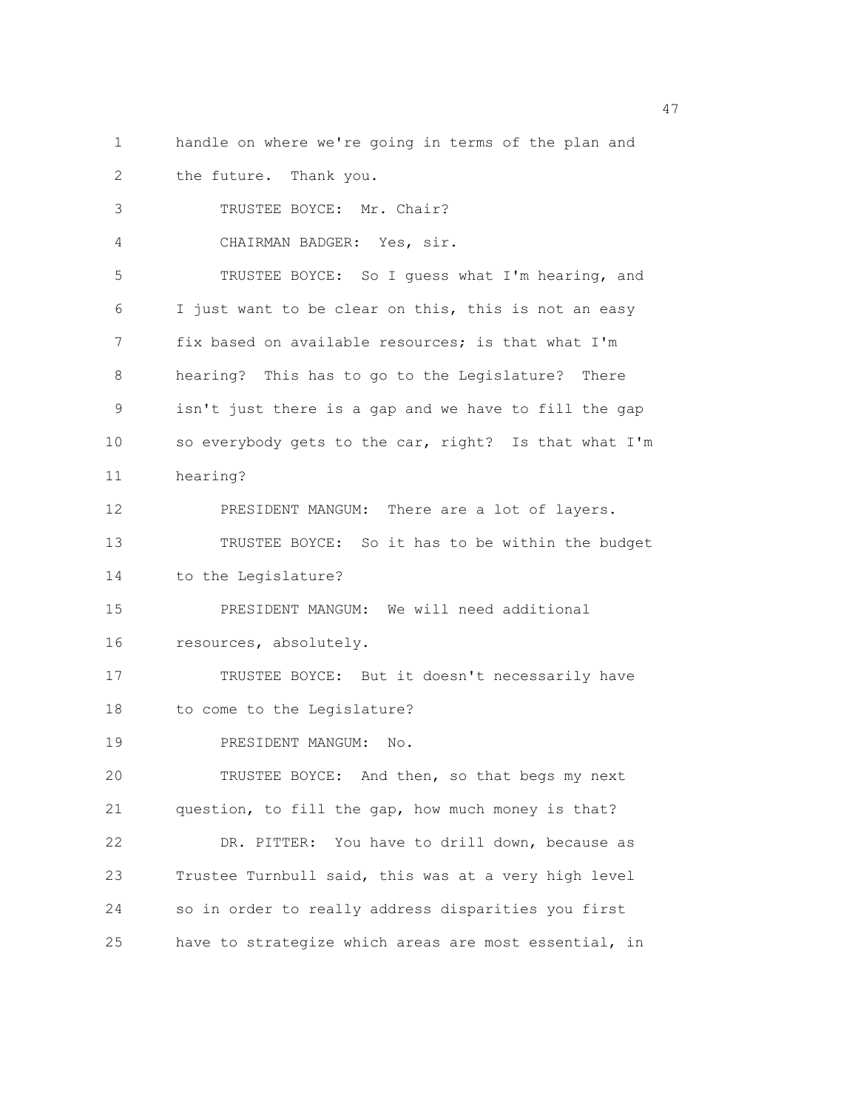1 handle on where we're going in terms of the plan and 2 the future. Thank you.

3 TRUSTEE BOYCE: Mr. Chair? 4 CHAIRMAN BADGER: Yes, sir. 5 TRUSTEE BOYCE: So I guess what I'm hearing, and 6 I just want to be clear on this, this is not an easy 7 fix based on available resources; is that what I'm 8 hearing? This has to go to the Legislature? There 9 isn't just there is a gap and we have to fill the gap 10 so everybody gets to the car, right? Is that what I'm 11 hearing? 12 PRESIDENT MANGUM: There are a lot of layers. 13 TRUSTEE BOYCE: So it has to be within the budget 14 to the Legislature? 15 PRESIDENT MANGUM: We will need additional 16 resources, absolutely. 17 TRUSTEE BOYCE: But it doesn't necessarily have 18 to come to the Legislature? 19 PRESIDENT MANGUM: No. 20 TRUSTEE BOYCE: And then, so that begs my next 21 question, to fill the gap, how much money is that? 22 DR. PITTER: You have to drill down, because as 23 Trustee Turnbull said, this was at a very high level 24 so in order to really address disparities you first 25 have to strategize which areas are most essential, in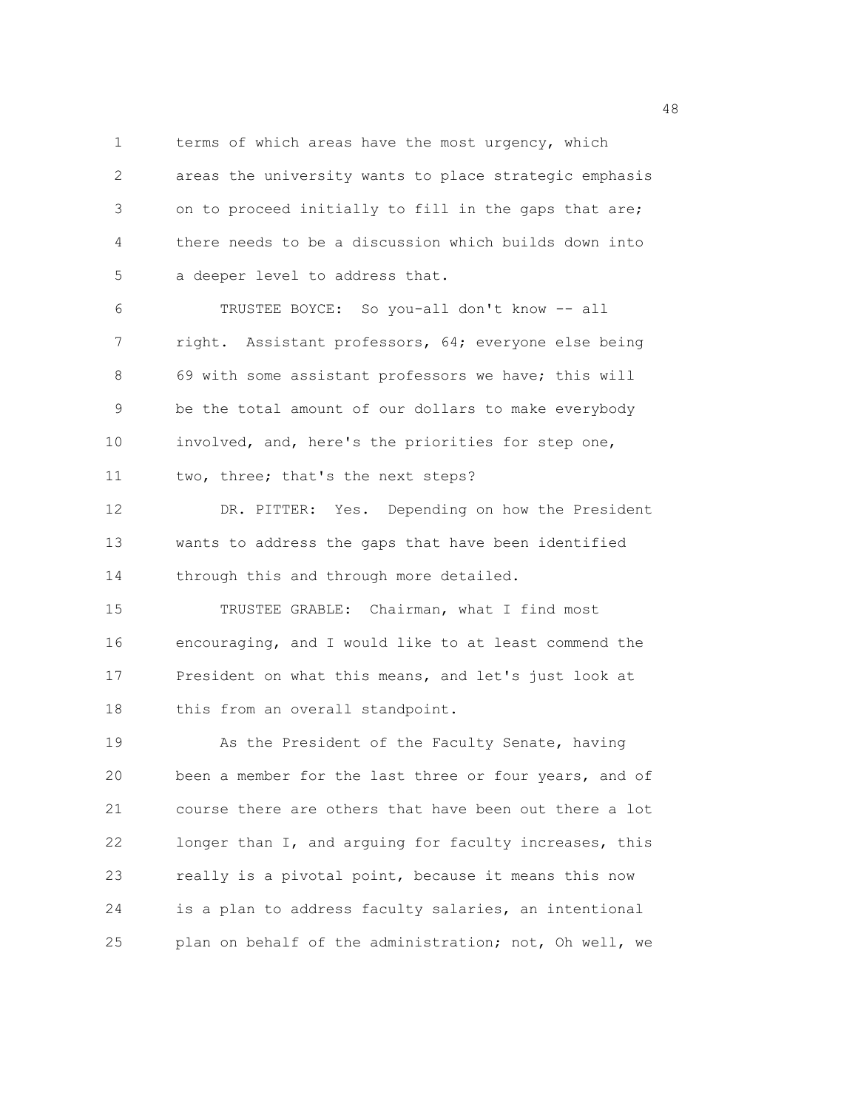1 terms of which areas have the most urgency, which 2 areas the university wants to place strategic emphasis 3 on to proceed initially to fill in the gaps that are; 4 there needs to be a discussion which builds down into 5 a deeper level to address that.

6 TRUSTEE BOYCE: So you-all don't know -- all 7 right. Assistant professors, 64; everyone else being 8 69 with some assistant professors we have; this will 9 be the total amount of our dollars to make everybody 10 involved, and, here's the priorities for step one, 11 two, three; that's the next steps?

12 DR. PITTER: Yes. Depending on how the President 13 wants to address the gaps that have been identified 14 through this and through more detailed.

15 TRUSTEE GRABLE: Chairman, what I find most 16 encouraging, and I would like to at least commend the 17 President on what this means, and let's just look at 18 this from an overall standpoint.

19 As the President of the Faculty Senate, having 20 been a member for the last three or four years, and of 21 course there are others that have been out there a lot 22 longer than I, and arguing for faculty increases, this 23 really is a pivotal point, because it means this now 24 is a plan to address faculty salaries, an intentional 25 plan on behalf of the administration; not, Oh well, we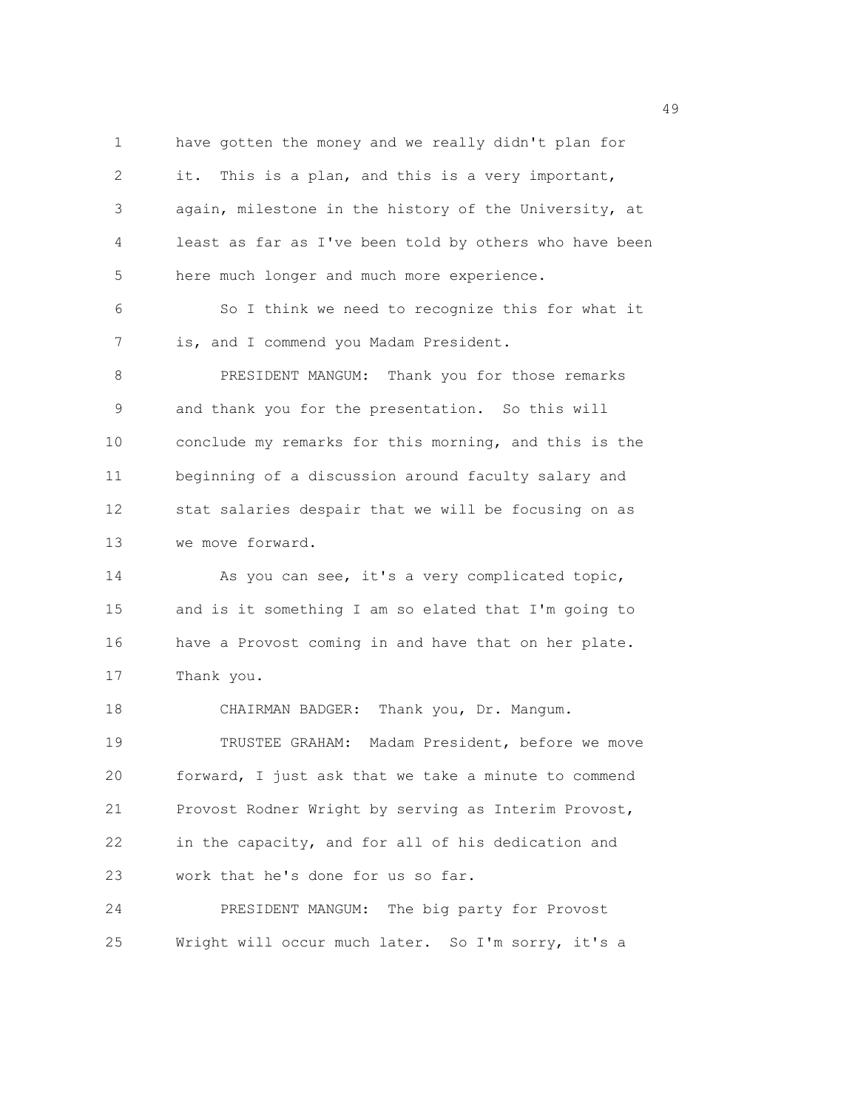1 have gotten the money and we really didn't plan for 2 it. This is a plan, and this is a very important, 3 again, milestone in the history of the University, at 4 least as far as I've been told by others who have been 5 here much longer and much more experience. 6 So I think we need to recognize this for what it 7 is, and I commend you Madam President. 8 PRESIDENT MANGUM: Thank you for those remarks 9 and thank you for the presentation. So this will 10 conclude my remarks for this morning, and this is the 11 beginning of a discussion around faculty salary and 12 stat salaries despair that we will be focusing on as 13 we move forward. 14 As you can see, it's a very complicated topic, 15 and is it something I am so elated that I'm going to 16 have a Provost coming in and have that on her plate. 17 Thank you. 18 CHAIRMAN BADGER: Thank you, Dr. Mangum. 19 TRUSTEE GRAHAM: Madam President, before we move 20 forward, I just ask that we take a minute to commend 21 Provost Rodner Wright by serving as Interim Provost, 22 in the capacity, and for all of his dedication and 23 work that he's done for us so far. 24 PRESIDENT MANGUM: The big party for Provost

25 Wright will occur much later. So I'm sorry, it's a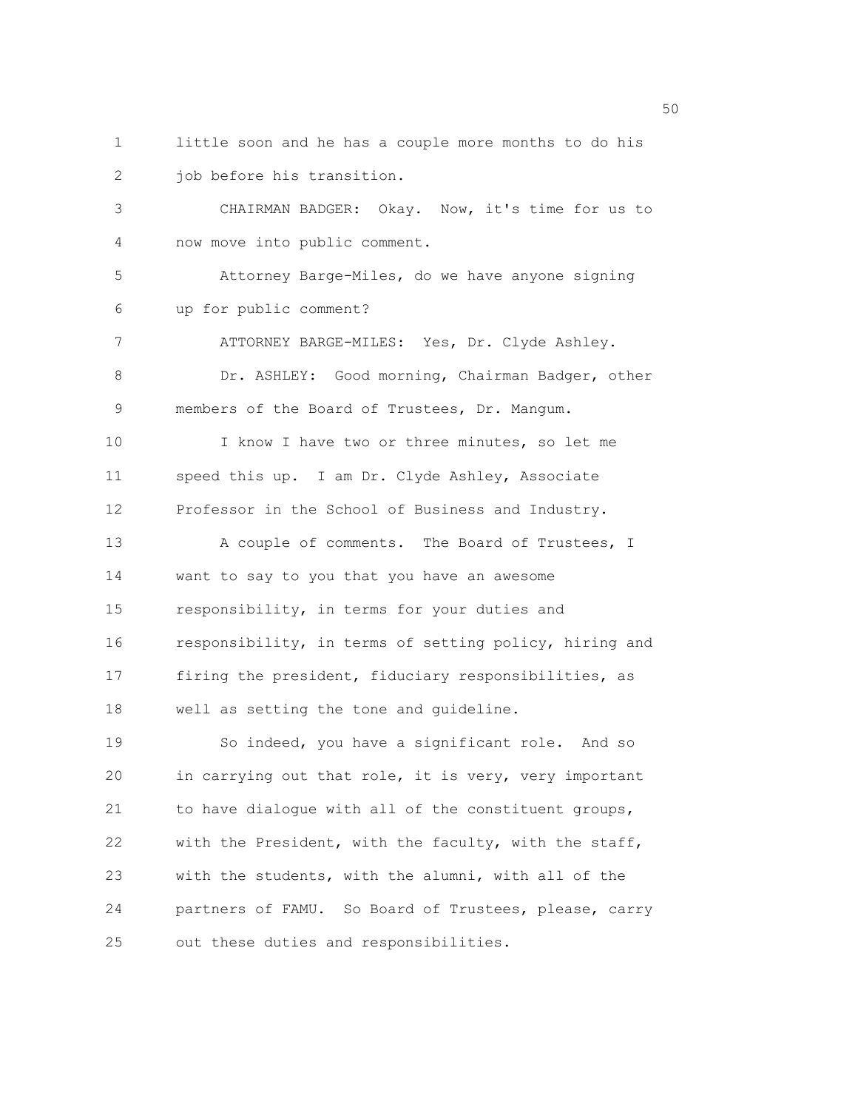1 little soon and he has a couple more months to do his 2 job before his transition.

3 CHAIRMAN BADGER: Okay. Now, it's time for us to 4 now move into public comment.

5 Attorney Barge-Miles, do we have anyone signing 6 up for public comment?

7 ATTORNEY BARGE-MILES: Yes, Dr. Clyde Ashley. 8 Dr. ASHLEY: Good morning, Chairman Badger, other 9 members of the Board of Trustees, Dr. Mangum. 10 I know I have two or three minutes, so let me 11 speed this up. I am Dr. Clyde Ashley, Associate 12 Professor in the School of Business and Industry.

13 A couple of comments. The Board of Trustees, I 14 want to say to you that you have an awesome 15 responsibility, in terms for your duties and 16 responsibility, in terms of setting policy, hiring and 17 firing the president, fiduciary responsibilities, as 18 well as setting the tone and guideline.

19 So indeed, you have a significant role. And so 20 in carrying out that role, it is very, very important 21 to have dialogue with all of the constituent groups, 22 with the President, with the faculty, with the staff, 23 with the students, with the alumni, with all of the 24 partners of FAMU. So Board of Trustees, please, carry 25 out these duties and responsibilities.

 $50<sub>50</sub>$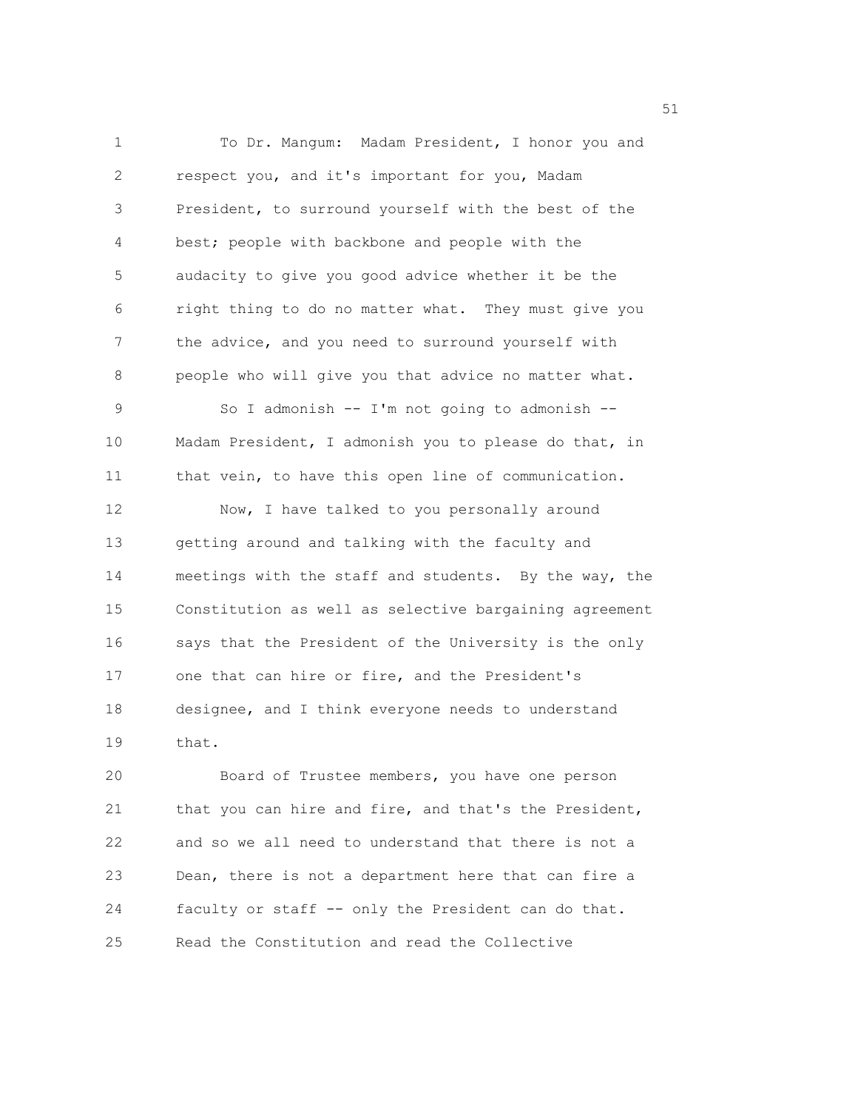1 To Dr. Mangum: Madam President, I honor you and 2 respect you, and it's important for you, Madam 3 President, to surround yourself with the best of the 4 best; people with backbone and people with the 5 audacity to give you good advice whether it be the 6 right thing to do no matter what. They must give you 7 the advice, and you need to surround yourself with 8 people who will give you that advice no matter what. 9 So I admonish -- I'm not going to admonish -- 10 Madam President, I admonish you to please do that, in 11 that vein, to have this open line of communication. 12 Now, I have talked to you personally around 13 getting around and talking with the faculty and 14 meetings with the staff and students. By the way, the 15 Constitution as well as selective bargaining agreement 16 says that the President of the University is the only 17 one that can hire or fire, and the President's 18 designee, and I think everyone needs to understand 19 that.

20 Board of Trustee members, you have one person 21 that you can hire and fire, and that's the President, 22 and so we all need to understand that there is not a 23 Dean, there is not a department here that can fire a 24 faculty or staff -- only the President can do that. 25 Read the Constitution and read the Collective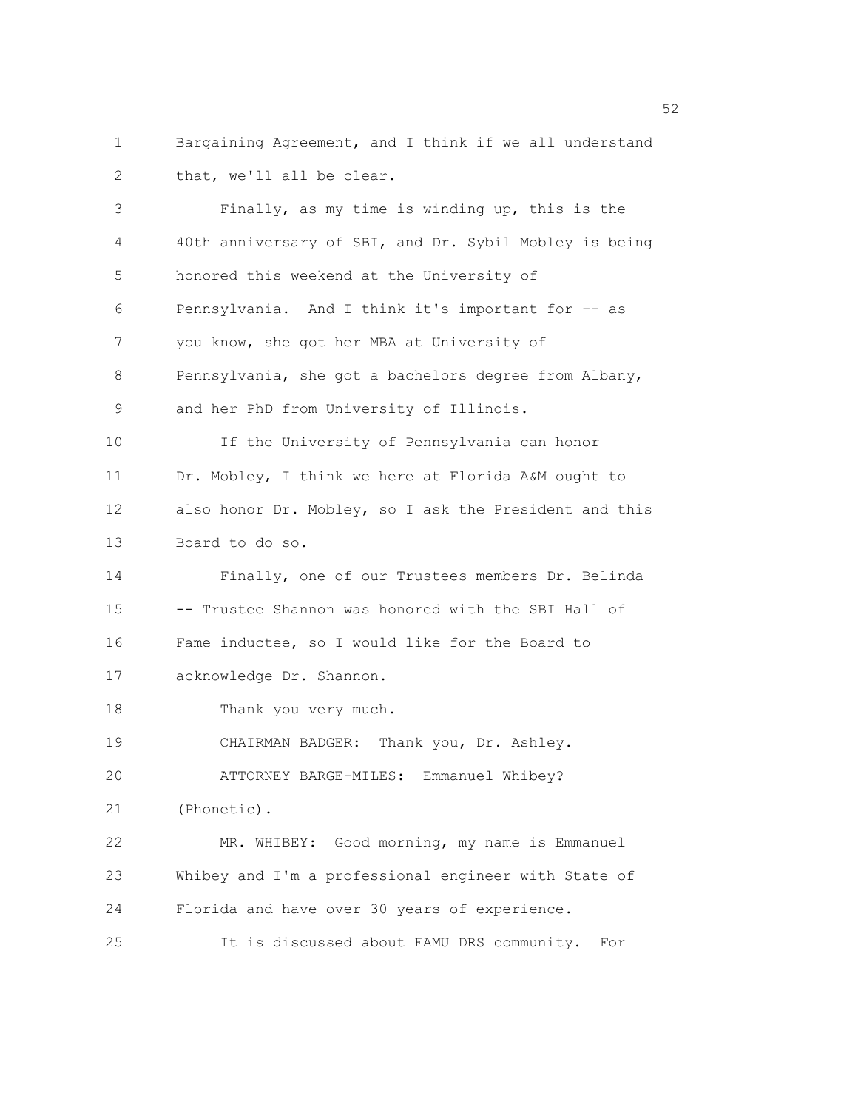1 Bargaining Agreement, and I think if we all understand 2 that, we'll all be clear.

3 Finally, as my time is winding up, this is the 4 40th anniversary of SBI, and Dr. Sybil Mobley is being 5 honored this weekend at the University of 6 Pennsylvania. And I think it's important for -- as 7 you know, she got her MBA at University of 8 Pennsylvania, she got a bachelors degree from Albany, 9 and her PhD from University of Illinois. 10 If the University of Pennsylvania can honor 11 Dr. Mobley, I think we here at Florida A&M ought to 12 also honor Dr. Mobley, so I ask the President and this 13 Board to do so. 14 Finally, one of our Trustees members Dr. Belinda 15 -- Trustee Shannon was honored with the SBI Hall of 16 Fame inductee, so I would like for the Board to 17 acknowledge Dr. Shannon. 18 Thank you very much. 19 CHAIRMAN BADGER: Thank you, Dr. Ashley. 20 ATTORNEY BARGE-MILES: Emmanuel Whibey? 21 (Phonetic). 22 MR. WHIBEY: Good morning, my name is Emmanuel 23 Whibey and I'm a professional engineer with State of 24 Florida and have over 30 years of experience. 25 It is discussed about FAMU DRS community. For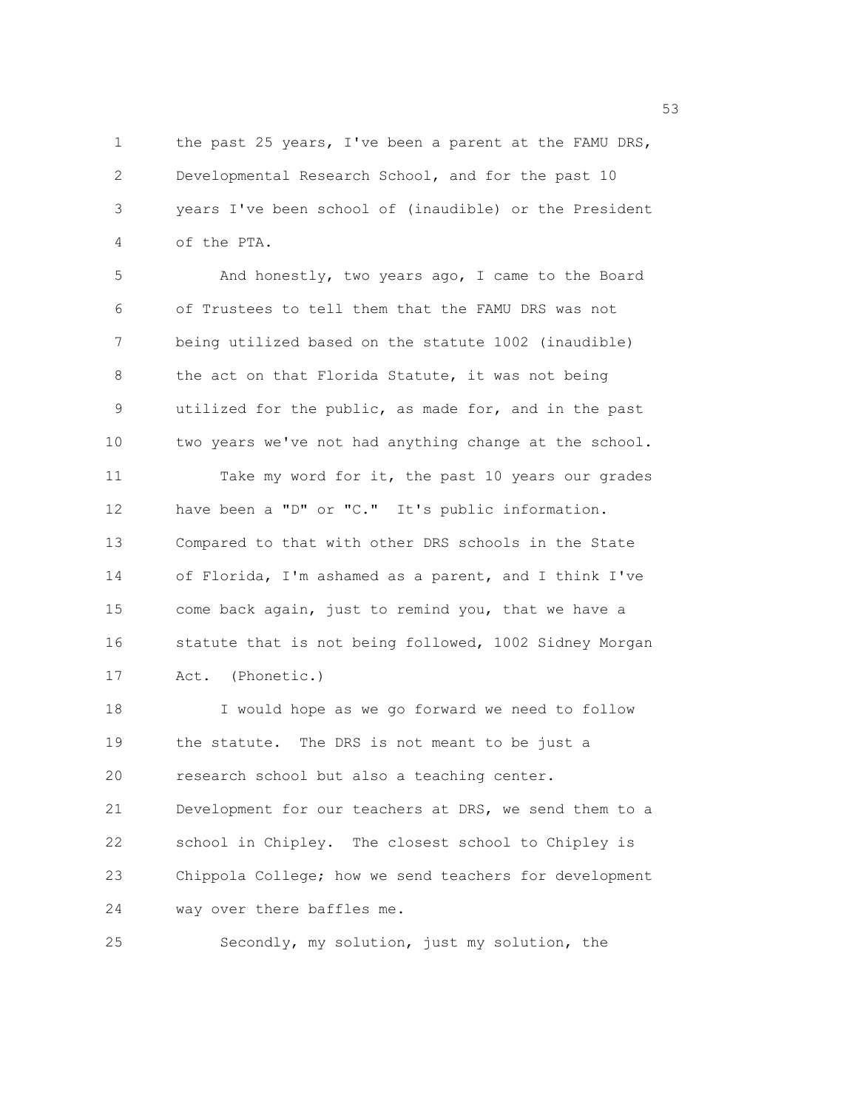1 the past 25 years, I've been a parent at the FAMU DRS, 2 Developmental Research School, and for the past 10 3 years I've been school of (inaudible) or the President 4 of the PTA.

5 And honestly, two years ago, I came to the Board 6 of Trustees to tell them that the FAMU DRS was not 7 being utilized based on the statute 1002 (inaudible) 8 the act on that Florida Statute, it was not being 9 utilized for the public, as made for, and in the past 10 two years we've not had anything change at the school. 11 Take my word for it, the past 10 years our grades 12 have been a "D" or "C." It's public information. 13 Compared to that with other DRS schools in the State 14 of Florida, I'm ashamed as a parent, and I think I've 15 come back again, just to remind you, that we have a 16 statute that is not being followed, 1002 Sidney Morgan 17 Act. (Phonetic.) 18 I would hope as we go forward we need to follow

19 the statute. The DRS is not meant to be just a 20 research school but also a teaching center. 21 Development for our teachers at DRS, we send them to a 22 school in Chipley. The closest school to Chipley is 23 Chippola College; how we send teachers for development 24 way over there baffles me.

25 Secondly, my solution, just my solution, the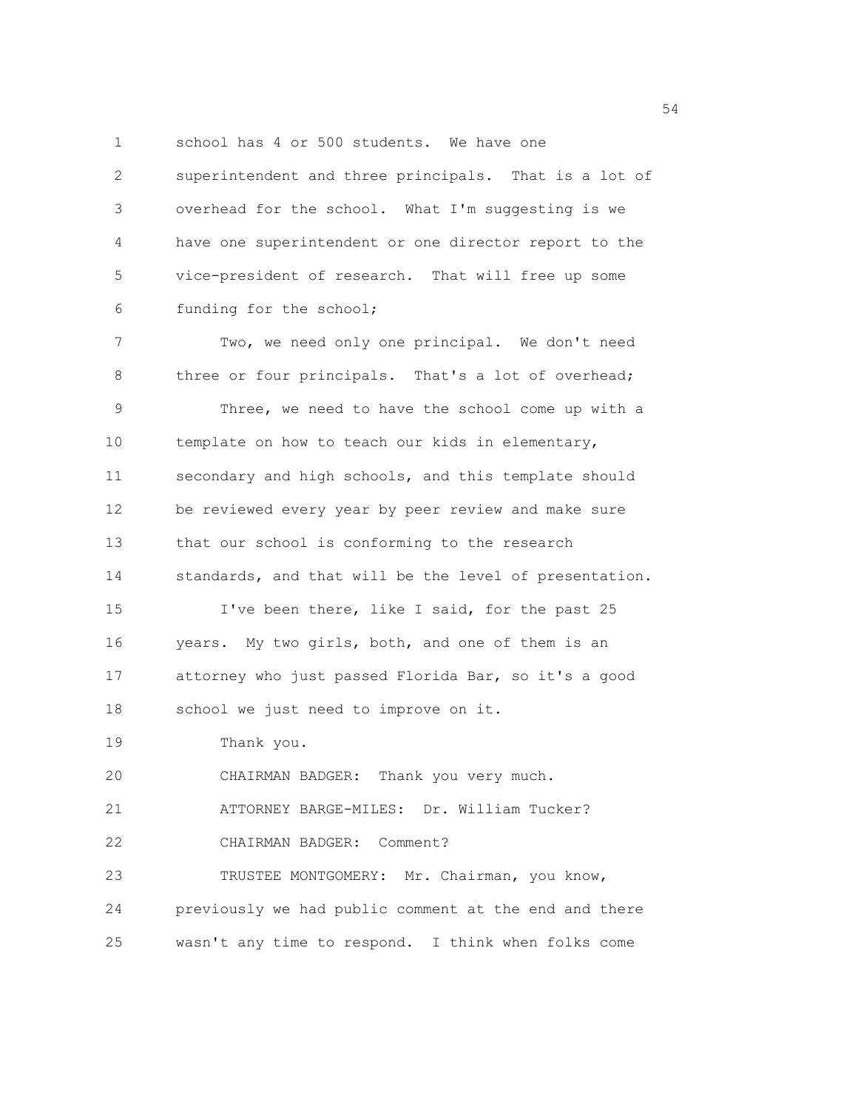1 school has 4 or 500 students. We have one

2 superintendent and three principals. That is a lot of 3 overhead for the school. What I'm suggesting is we 4 have one superintendent or one director report to the 5 vice-president of research. That will free up some 6 funding for the school; 7 Two, we need only one principal. We don't need 8 three or four principals. That's a lot of overhead; 9 Three, we need to have the school come up with a 10 template on how to teach our kids in elementary, 11 secondary and high schools, and this template should 12 be reviewed every year by peer review and make sure 13 that our school is conforming to the research 14 standards, and that will be the level of presentation. 15 I've been there, like I said, for the past 25 16 years. My two girls, both, and one of them is an 17 attorney who just passed Florida Bar, so it's a good 18 school we just need to improve on it. 19 Thank you. 20 CHAIRMAN BADGER: Thank you very much. 21 ATTORNEY BARGE-MILES: Dr. William Tucker? 22 CHAIRMAN BADGER: Comment? 23 TRUSTEE MONTGOMERY: Mr. Chairman, you know, 24 previously we had public comment at the end and there

25 wasn't any time to respond. I think when folks come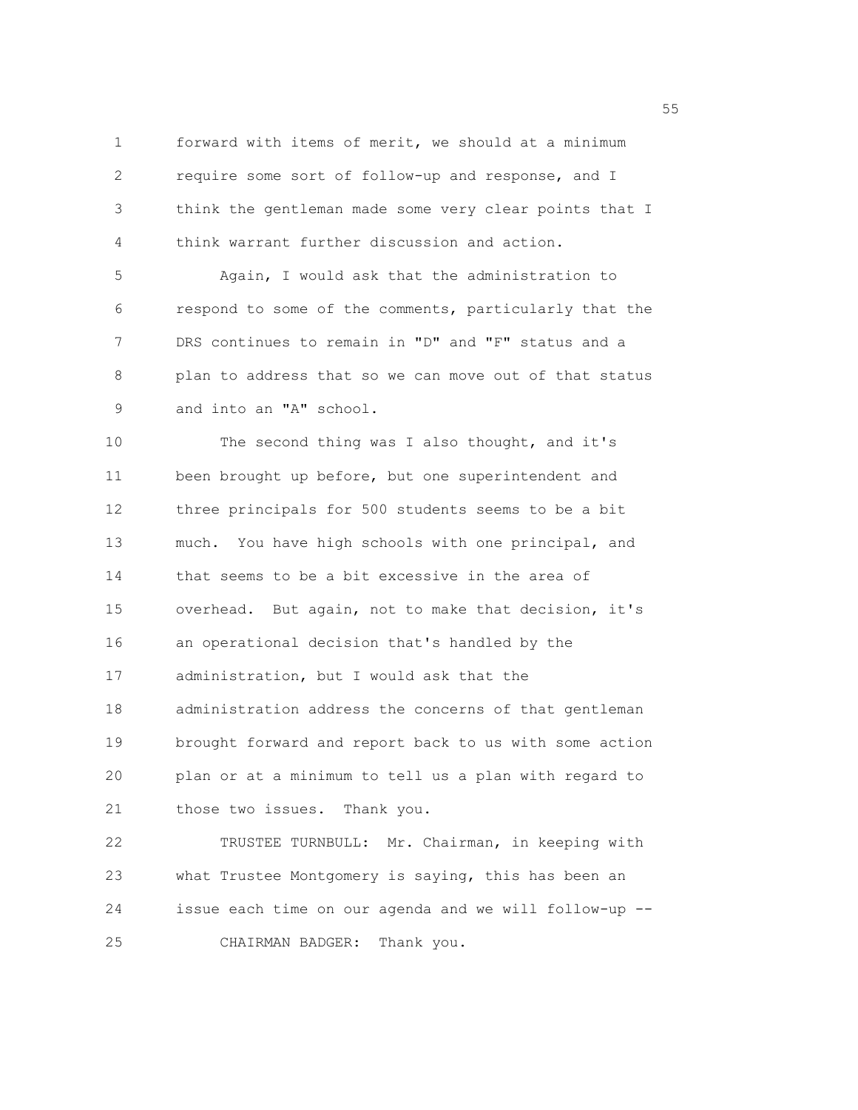1 forward with items of merit, we should at a minimum 2 require some sort of follow-up and response, and I 3 think the gentleman made some very clear points that I 4 think warrant further discussion and action.

5 Again, I would ask that the administration to 6 respond to some of the comments, particularly that the 7 DRS continues to remain in "D" and "F" status and a 8 plan to address that so we can move out of that status 9 and into an "A" school.

10 The second thing was I also thought, and it's 11 been brought up before, but one superintendent and 12 three principals for 500 students seems to be a bit 13 much. You have high schools with one principal, and 14 that seems to be a bit excessive in the area of 15 overhead. But again, not to make that decision, it's 16 an operational decision that's handled by the 17 administration, but I would ask that the 18 administration address the concerns of that gentleman 19 brought forward and report back to us with some action 20 plan or at a minimum to tell us a plan with regard to 21 those two issues. Thank you.

22 TRUSTEE TURNBULL: Mr. Chairman, in keeping with 23 what Trustee Montgomery is saying, this has been an 24 issue each time on our agenda and we will follow-up -- 25 CHAIRMAN BADGER: Thank you.

the state of the state of the state of the state of the state of the state of the state of the state of the state of the state of the state of the state of the state of the state of the state of the state of the state of t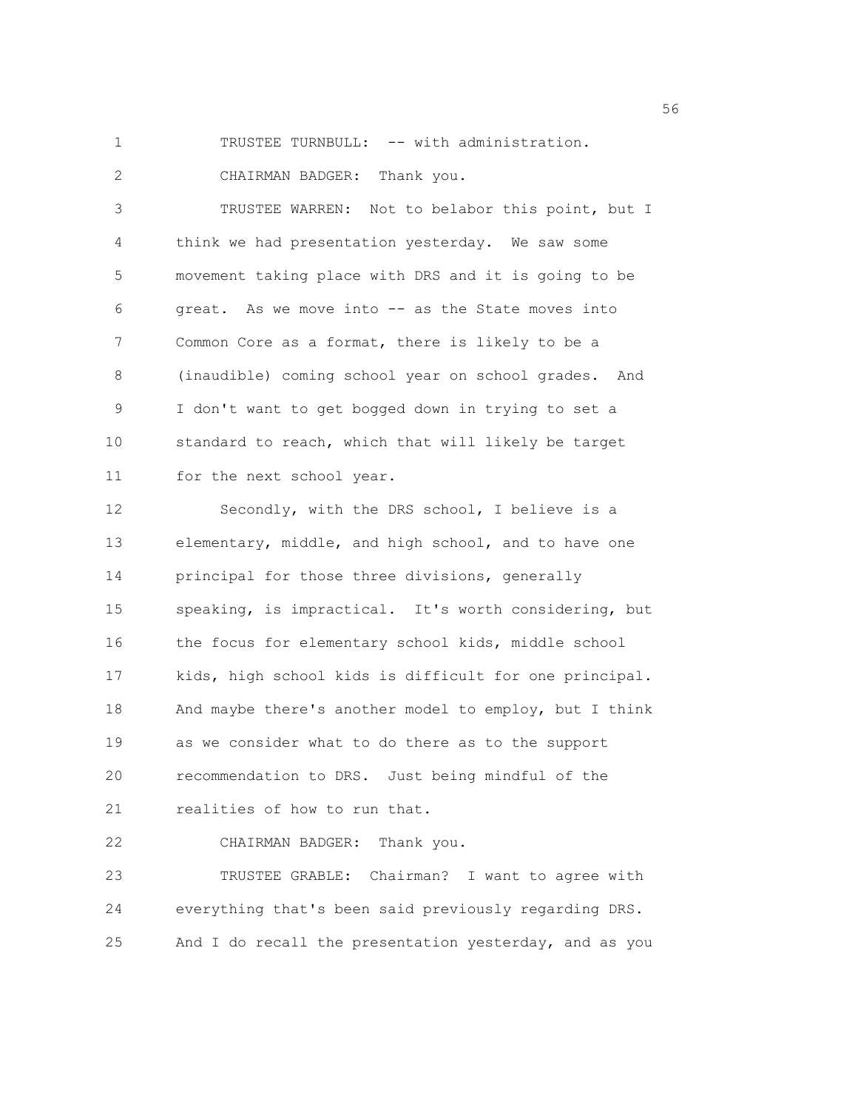1 TRUSTEE TURNBULL: -- with administration.

2 CHAIRMAN BADGER: Thank you.

3 TRUSTEE WARREN: Not to belabor this point, but I 4 think we had presentation yesterday. We saw some 5 movement taking place with DRS and it is going to be 6 great. As we move into -- as the State moves into 7 Common Core as a format, there is likely to be a 8 (inaudible) coming school year on school grades. And 9 I don't want to get bogged down in trying to set a 10 standard to reach, which that will likely be target 11 for the next school year.

12 Secondly, with the DRS school, I believe is a 13 elementary, middle, and high school, and to have one 14 principal for those three divisions, generally 15 speaking, is impractical. It's worth considering, but 16 the focus for elementary school kids, middle school 17 kids, high school kids is difficult for one principal. 18 And maybe there's another model to employ, but I think 19 as we consider what to do there as to the support 20 recommendation to DRS. Just being mindful of the 21 realities of how to run that.

22 CHAIRMAN BADGER: Thank you.

23 TRUSTEE GRABLE: Chairman? I want to agree with 24 everything that's been said previously regarding DRS. 25 And I do recall the presentation yesterday, and as you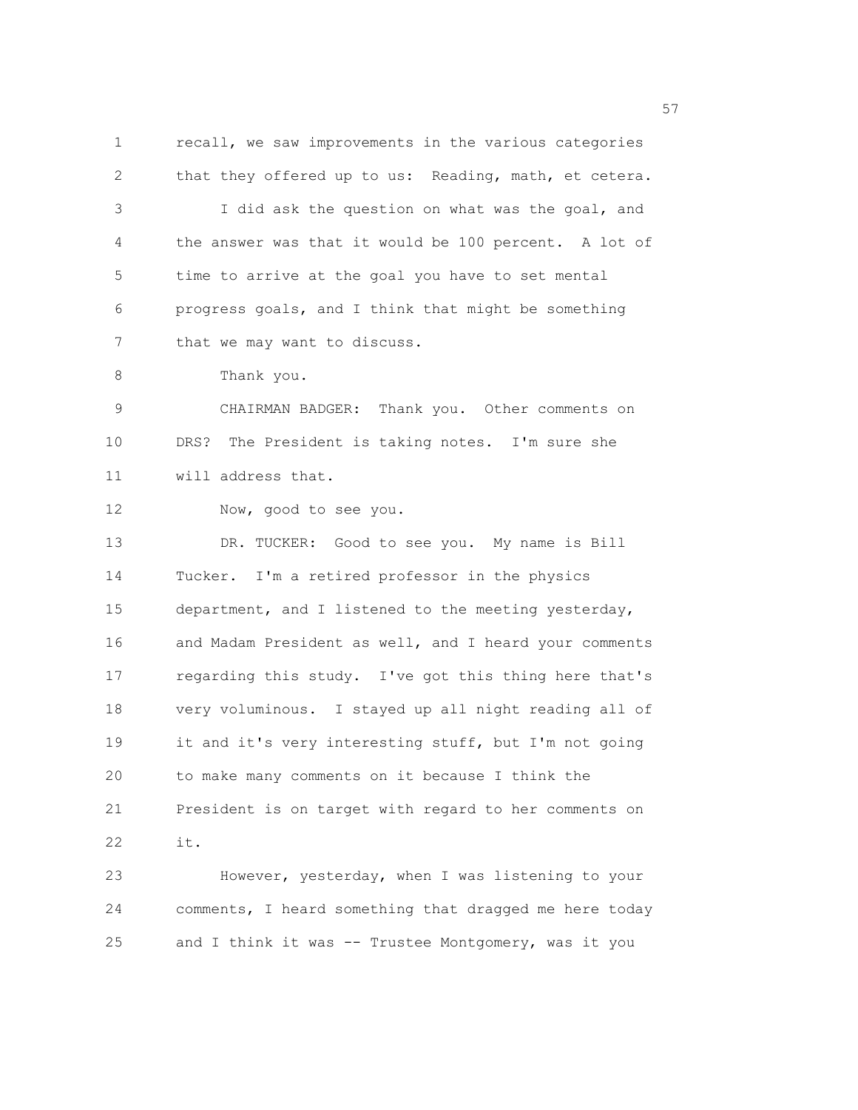1 recall, we saw improvements in the various categories 2 that they offered up to us: Reading, math, et cetera. 3 I did ask the question on what was the goal, and 4 the answer was that it would be 100 percent. A lot of 5 time to arrive at the goal you have to set mental 6 progress goals, and I think that might be something 7 that we may want to discuss. 8 Thank you. 9 CHAIRMAN BADGER: Thank you. Other comments on 10 DRS? The President is taking notes. I'm sure she 11 will address that. 12 Now, good to see you. 13 DR. TUCKER: Good to see you. My name is Bill 14 Tucker. I'm a retired professor in the physics 15 department, and I listened to the meeting yesterday, 16 and Madam President as well, and I heard your comments 17 regarding this study. I've got this thing here that's 18 very voluminous. I stayed up all night reading all of 19 it and it's very interesting stuff, but I'm not going 20 to make many comments on it because I think the 21 President is on target with regard to her comments on 22 it. 23 However, yesterday, when I was listening to your 24 comments, I heard something that dragged me here today

25 and I think it was -- Trustee Montgomery, was it you

<u>57</u>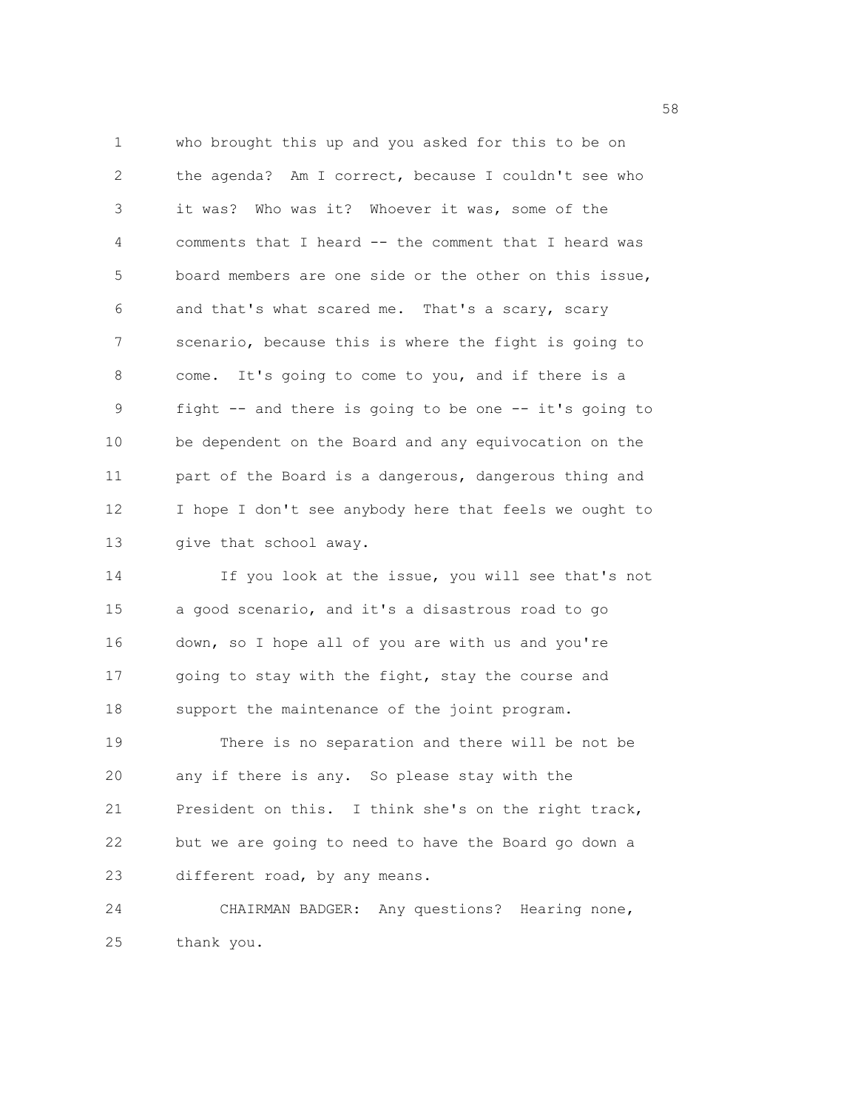1 who brought this up and you asked for this to be on 2 the agenda? Am I correct, because I couldn't see who 3 it was? Who was it? Whoever it was, some of the 4 comments that I heard -- the comment that I heard was 5 board members are one side or the other on this issue, 6 and that's what scared me. That's a scary, scary 7 scenario, because this is where the fight is going to 8 come. It's going to come to you, and if there is a 9 fight -- and there is going to be one -- it's going to 10 be dependent on the Board and any equivocation on the 11 part of the Board is a dangerous, dangerous thing and 12 I hope I don't see anybody here that feels we ought to 13 give that school away.

14 If you look at the issue, you will see that's not 15 a good scenario, and it's a disastrous road to go 16 down, so I hope all of you are with us and you're 17 going to stay with the fight, stay the course and 18 support the maintenance of the joint program. 19 There is no separation and there will be not be 20 any if there is any. So please stay with the

21 President on this. I think she's on the right track, 22 but we are going to need to have the Board go down a 23 different road, by any means.

24 CHAIRMAN BADGER: Any questions? Hearing none, 25 thank you.

the state of the state of the state of the state of the state of the state of the state of the state of the state of the state of the state of the state of the state of the state of the state of the state of the state of t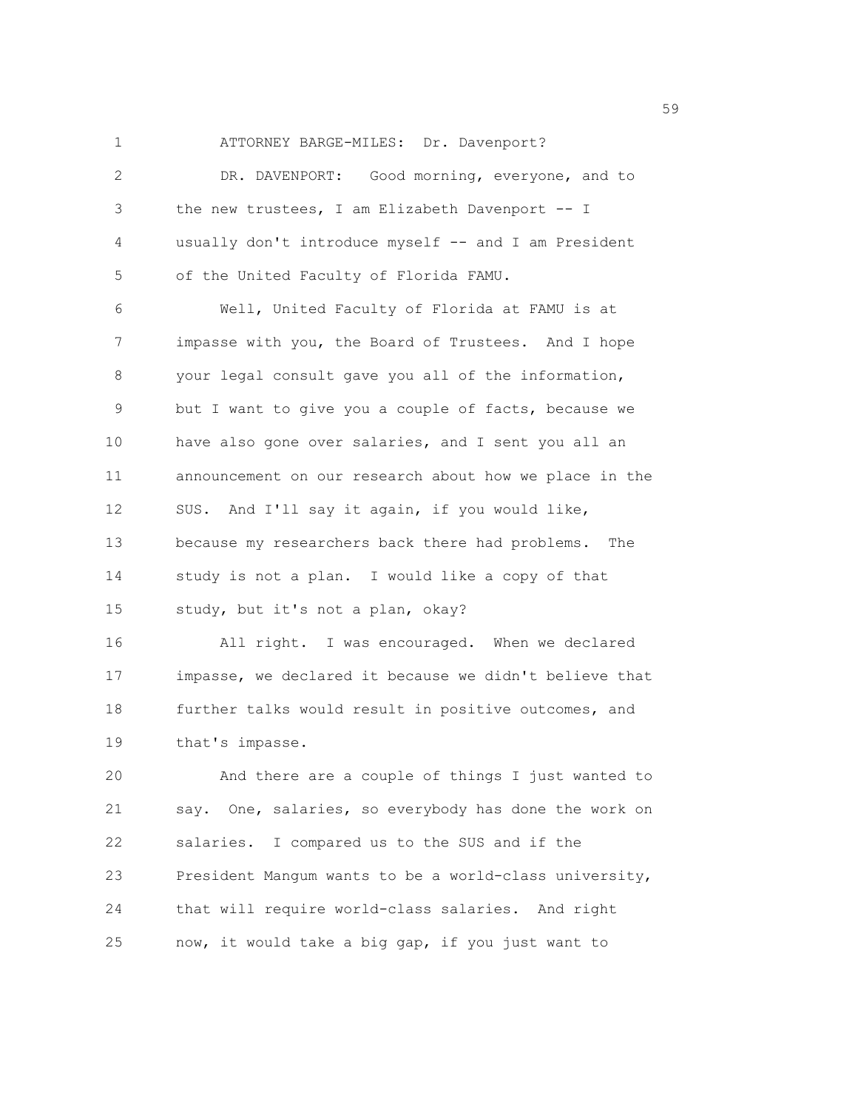1 ATTORNEY BARGE-MILES: Dr. Davenport? 2 DR. DAVENPORT: Good morning, everyone, and to 3 the new trustees, I am Elizabeth Davenport -- I 4 usually don't introduce myself -- and I am President 5 of the United Faculty of Florida FAMU. 6 Well, United Faculty of Florida at FAMU is at

7 impasse with you, the Board of Trustees. And I hope 8 your legal consult gave you all of the information, 9 but I want to give you a couple of facts, because we 10 have also gone over salaries, and I sent you all an 11 announcement on our research about how we place in the 12 SUS. And I'll say it again, if you would like, 13 because my researchers back there had problems. The 14 study is not a plan. I would like a copy of that 15 study, but it's not a plan, okay?

16 All right. I was encouraged. When we declared 17 impasse, we declared it because we didn't believe that 18 further talks would result in positive outcomes, and 19 that's impasse.

20 And there are a couple of things I just wanted to 21 say. One, salaries, so everybody has done the work on 22 salaries. I compared us to the SUS and if the 23 President Mangum wants to be a world-class university, 24 that will require world-class salaries. And right 25 now, it would take a big gap, if you just want to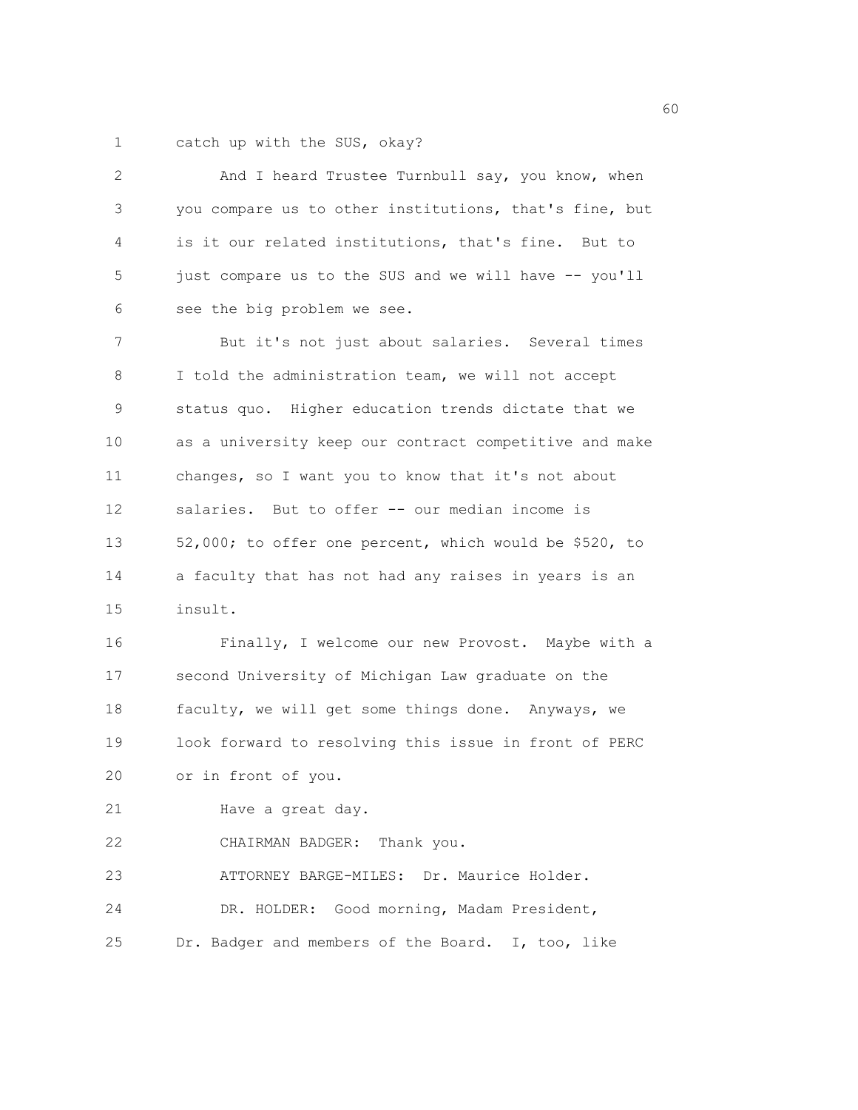1 catch up with the SUS, okay?

| 2  | And I heard Trustee Turnbull say, you know, when       |
|----|--------------------------------------------------------|
| 3  | you compare us to other institutions, that's fine, but |
| 4  | is it our related institutions, that's fine. But to    |
| 5  | just compare us to the SUS and we will have -- you'll  |
| 6  | see the big problem we see.                            |
| 7  | But it's not just about salaries. Several times        |
| 8  | I told the administration team, we will not accept     |
| 9  | status quo. Higher education trends dictate that we    |
| 10 | as a university keep our contract competitive and make |
| 11 | changes, so I want you to know that it's not about     |
| 12 | salaries. But to offer -- our median income is         |
| 13 | 52,000; to offer one percent, which would be \$520, to |
| 14 | a faculty that has not had any raises in years is an   |
| 15 | insult.                                                |
| 16 | Finally, I welcome our new Provost. Maybe with a       |
| 17 | second University of Michigan Law graduate on the      |
| 18 | faculty, we will get some things done. Anyways, we     |
| 19 | look forward to resolving this issue in front of PERC  |
| 20 | or in front of you.                                    |
| 21 | Have a great day.                                      |
| 22 | CHAIRMAN BADGER: Thank you.                            |
| 23 | ATTORNEY BARGE-MILES: Dr. Maurice Holder.              |
| 24 | DR. HOLDER: Good morning, Madam President,             |
| 25 | Dr. Badger and members of the Board. I, too, like      |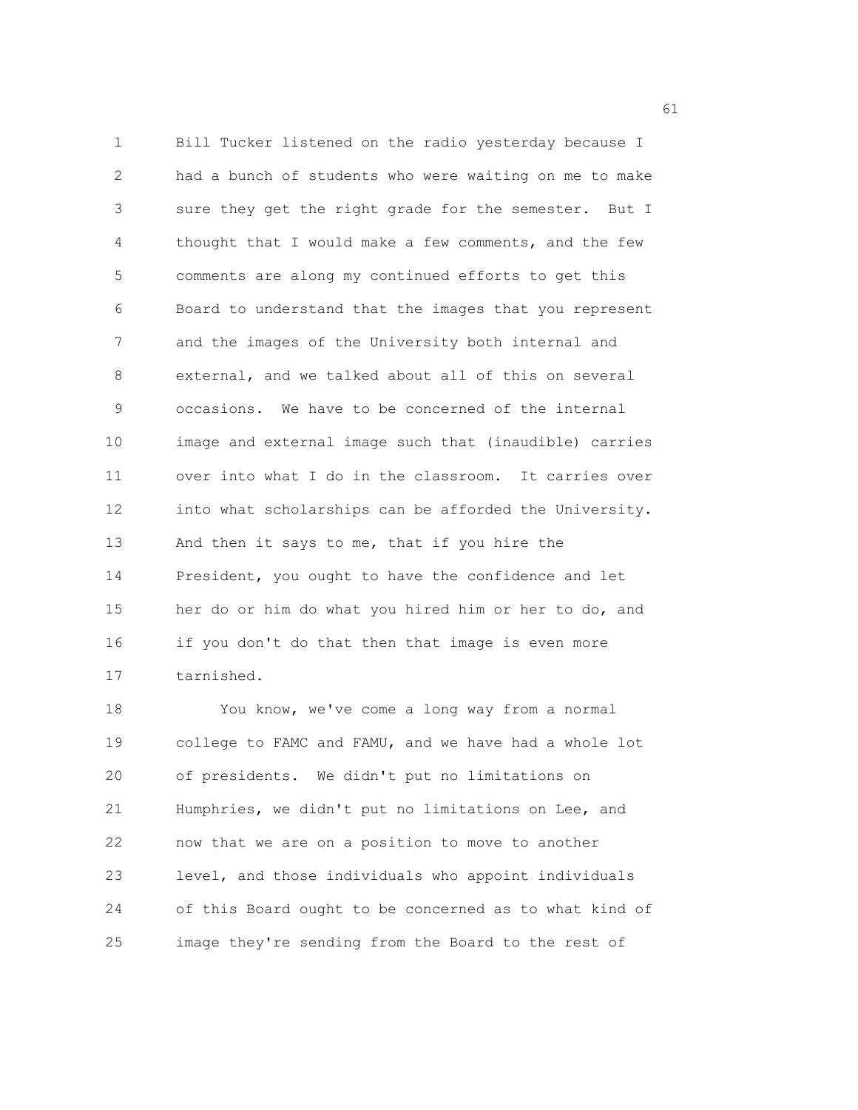1 Bill Tucker listened on the radio yesterday because I 2 had a bunch of students who were waiting on me to make 3 sure they get the right grade for the semester. But I 4 thought that I would make a few comments, and the few 5 comments are along my continued efforts to get this 6 Board to understand that the images that you represent 7 and the images of the University both internal and 8 external, and we talked about all of this on several 9 occasions. We have to be concerned of the internal 10 image and external image such that (inaudible) carries 11 over into what I do in the classroom. It carries over 12 into what scholarships can be afforded the University. 13 And then it says to me, that if you hire the 14 President, you ought to have the confidence and let 15 her do or him do what you hired him or her to do, and 16 if you don't do that then that image is even more 17 tarnished.

18 You know, we've come a long way from a normal 19 college to FAMC and FAMU, and we have had a whole lot 20 of presidents. We didn't put no limitations on 21 Humphries, we didn't put no limitations on Lee, and 22 now that we are on a position to move to another 23 level, and those individuals who appoint individuals 24 of this Board ought to be concerned as to what kind of 25 image they're sending from the Board to the rest of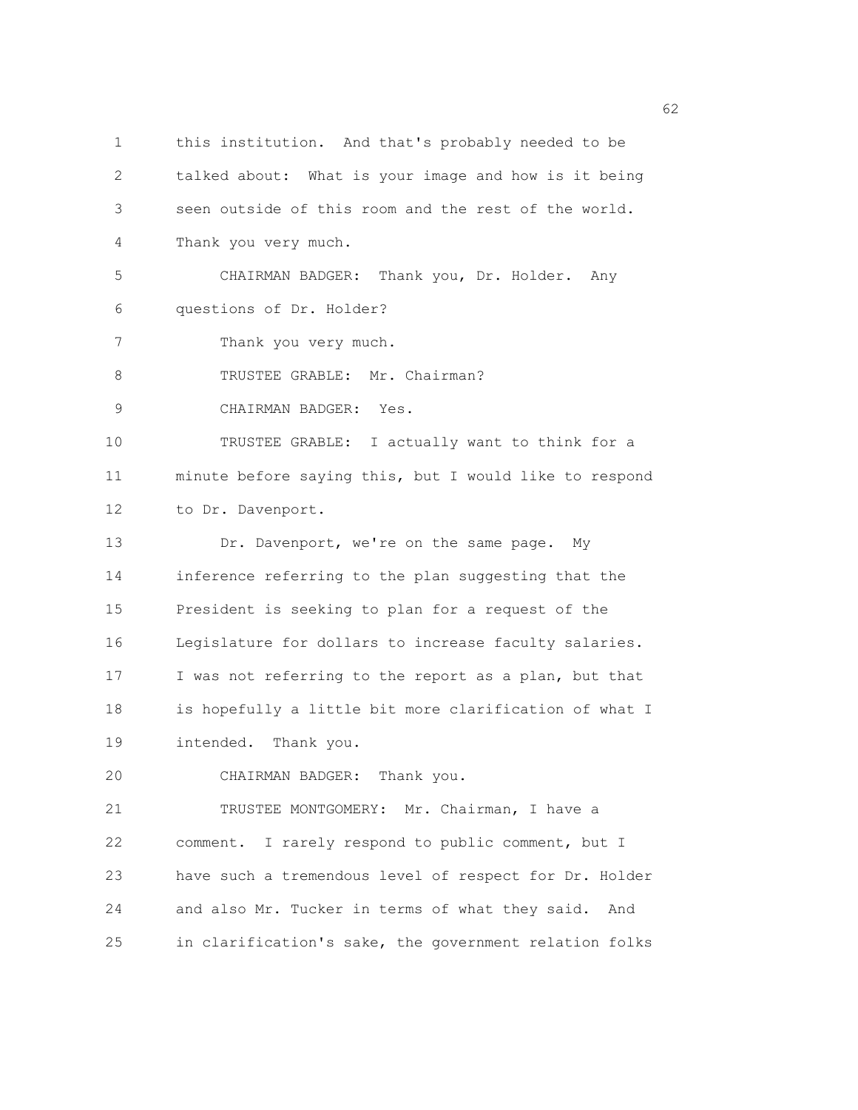1 this institution. And that's probably needed to be 2 talked about: What is your image and how is it being 3 seen outside of this room and the rest of the world. 4 Thank you very much. 5 CHAIRMAN BADGER: Thank you, Dr. Holder. Any 6 questions of Dr. Holder? 7 Thank you very much. 8 TRUSTEE GRABLE: Mr. Chairman? 9 CHAIRMAN BADGER: Yes. 10 TRUSTEE GRABLE: I actually want to think for a 11 minute before saying this, but I would like to respond 12 to Dr. Davenport. 13 Dr. Davenport, we're on the same page. My 14 inference referring to the plan suggesting that the 15 President is seeking to plan for a request of the 16 Legislature for dollars to increase faculty salaries. 17 I was not referring to the report as a plan, but that 18 is hopefully a little bit more clarification of what I 19 intended. Thank you. 20 CHAIRMAN BADGER: Thank you. 21 TRUSTEE MONTGOMERY: Mr. Chairman, I have a 22 comment. I rarely respond to public comment, but I 23 have such a tremendous level of respect for Dr. Holder 24 and also Mr. Tucker in terms of what they said. And 25 in clarification's sake, the government relation folks

 $\sim$  62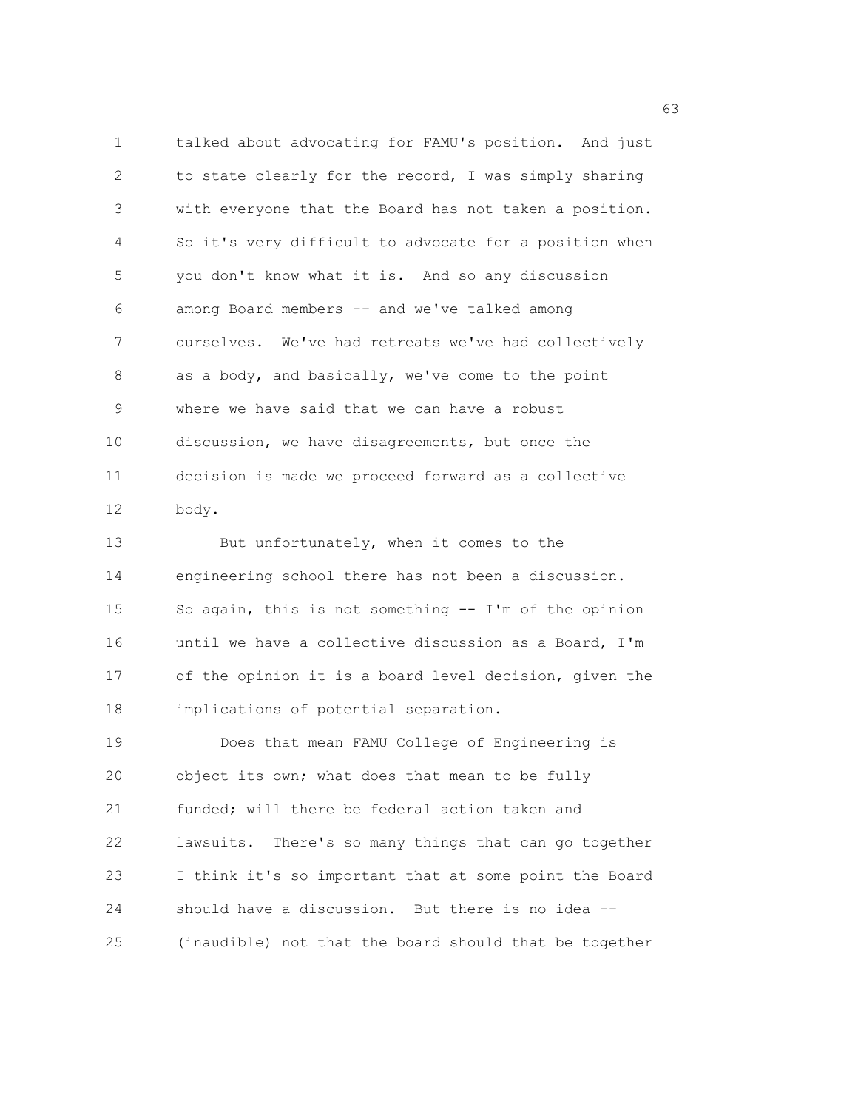1 talked about advocating for FAMU's position. And just 2 to state clearly for the record, I was simply sharing 3 with everyone that the Board has not taken a position. 4 So it's very difficult to advocate for a position when 5 you don't know what it is. And so any discussion 6 among Board members -- and we've talked among 7 ourselves. We've had retreats we've had collectively 8 as a body, and basically, we've come to the point 9 where we have said that we can have a robust 10 discussion, we have disagreements, but once the 11 decision is made we proceed forward as a collective 12 body. 13 But unfortunately, when it comes to the

14 engineering school there has not been a discussion. 15 So again, this is not something -- I'm of the opinion 16 until we have a collective discussion as a Board, I'm 17 of the opinion it is a board level decision, given the 18 implications of potential separation.

19 Does that mean FAMU College of Engineering is 20 object its own; what does that mean to be fully 21 funded; will there be federal action taken and 22 lawsuits. There's so many things that can go together 23 I think it's so important that at some point the Board 24 should have a discussion. But there is no idea -- 25 (inaudible) not that the board should that be together

 $\sim$  63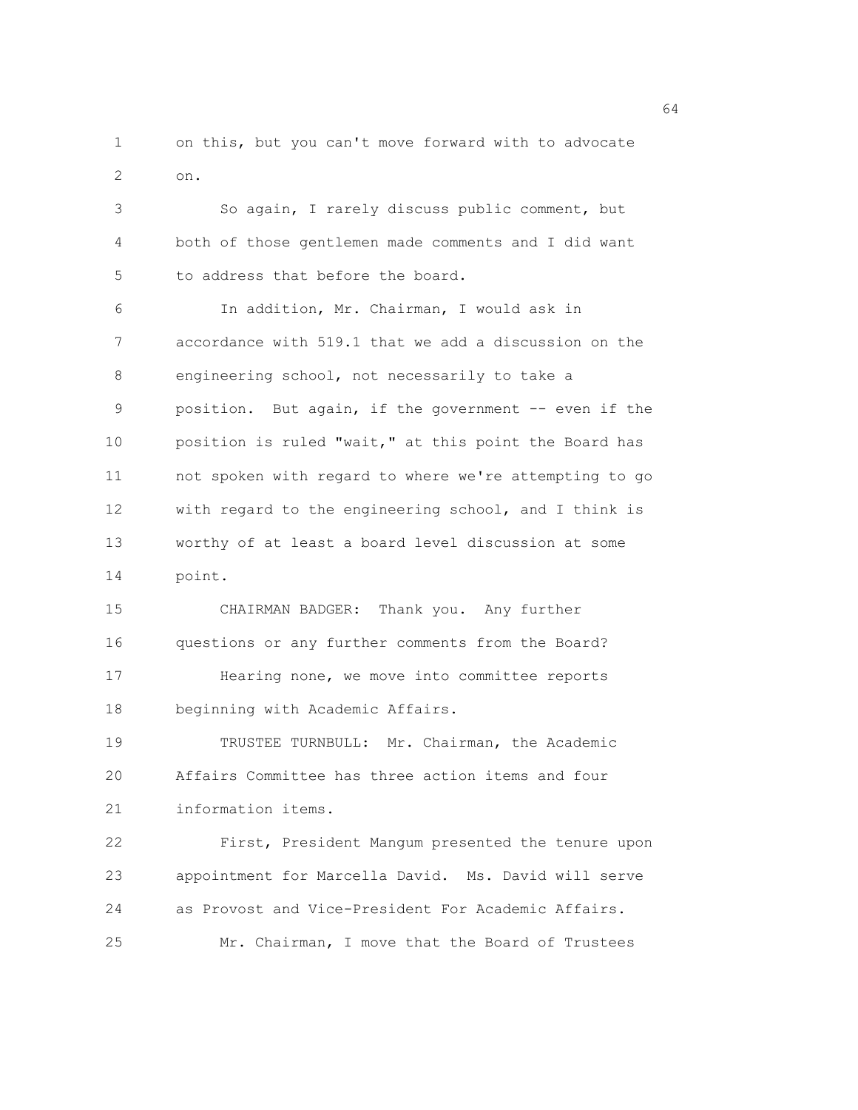1 on this, but you can't move forward with to advocate 2 on.

3 So again, I rarely discuss public comment, but 4 both of those gentlemen made comments and I did want 5 to address that before the board. 6 In addition, Mr. Chairman, I would ask in 7 accordance with 519.1 that we add a discussion on the 8 engineering school, not necessarily to take a 9 position. But again, if the government -- even if the 10 position is ruled "wait," at this point the Board has 11 not spoken with regard to where we're attempting to go 12 with regard to the engineering school, and I think is

13 worthy of at least a board level discussion at some 14 point.

15 CHAIRMAN BADGER: Thank you. Any further 16 questions or any further comments from the Board? 17 Hearing none, we move into committee reports 18 beginning with Academic Affairs.

19 TRUSTEE TURNBULL: Mr. Chairman, the Academic 20 Affairs Committee has three action items and four 21 information items.

22 First, President Mangum presented the tenure upon 23 appointment for Marcella David. Ms. David will serve 24 as Provost and Vice-President For Academic Affairs. 25 Mr. Chairman, I move that the Board of Trustees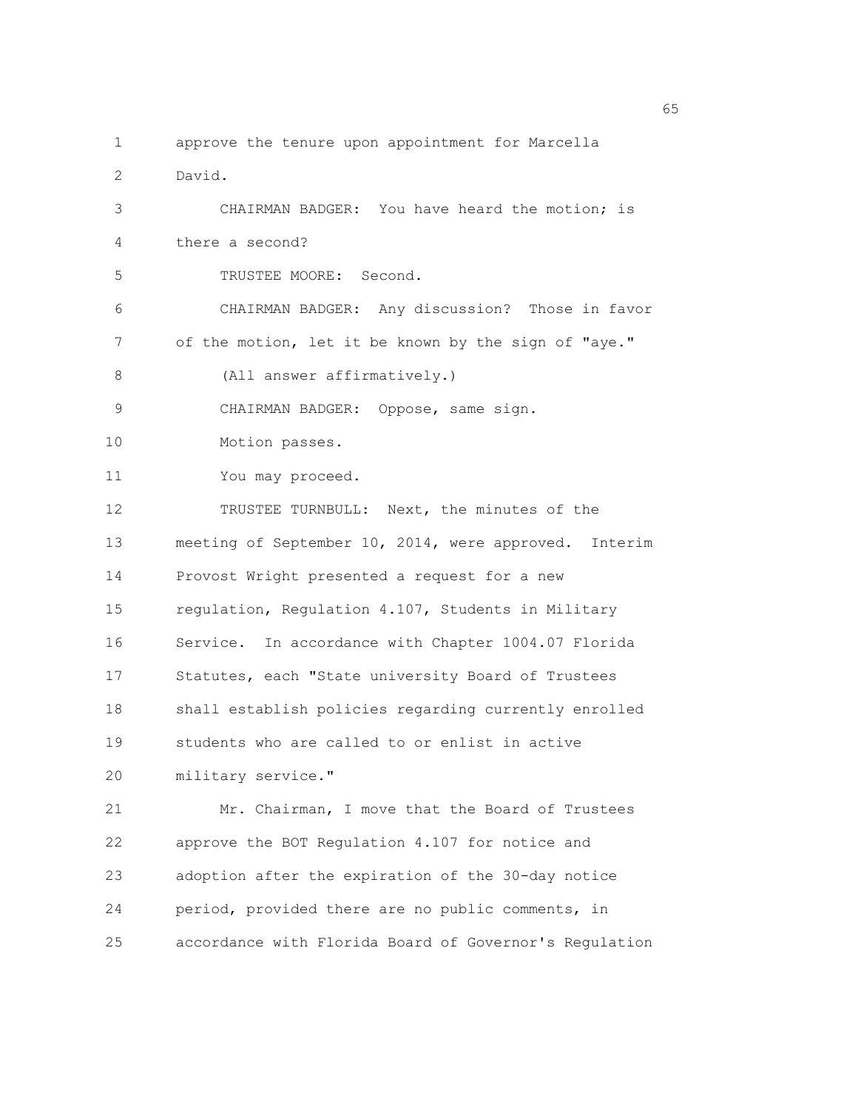1 approve the tenure upon appointment for Marcella 2 David. 3 CHAIRMAN BADGER: You have heard the motion; is 4 there a second? 5 TRUSTEE MOORE: Second. 6 CHAIRMAN BADGER: Any discussion? Those in favor 7 of the motion, let it be known by the sign of "aye." 8 (All answer affirmatively.) 9 CHAIRMAN BADGER: Oppose, same sign. 10 Motion passes. 11 You may proceed. 12 TRUSTEE TURNBULL: Next, the minutes of the 13 meeting of September 10, 2014, were approved. Interim 14 Provost Wright presented a request for a new 15 regulation, Regulation 4.107, Students in Military 16 Service. In accordance with Chapter 1004.07 Florida 17 Statutes, each "State university Board of Trustees 18 shall establish policies regarding currently enrolled 19 students who are called to or enlist in active 20 military service." 21 Mr. Chairman, I move that the Board of Trustees 22 approve the BOT Regulation 4.107 for notice and 23 adoption after the expiration of the 30-day notice 24 period, provided there are no public comments, in 25 accordance with Florida Board of Governor's Regulation

 $\sim$  65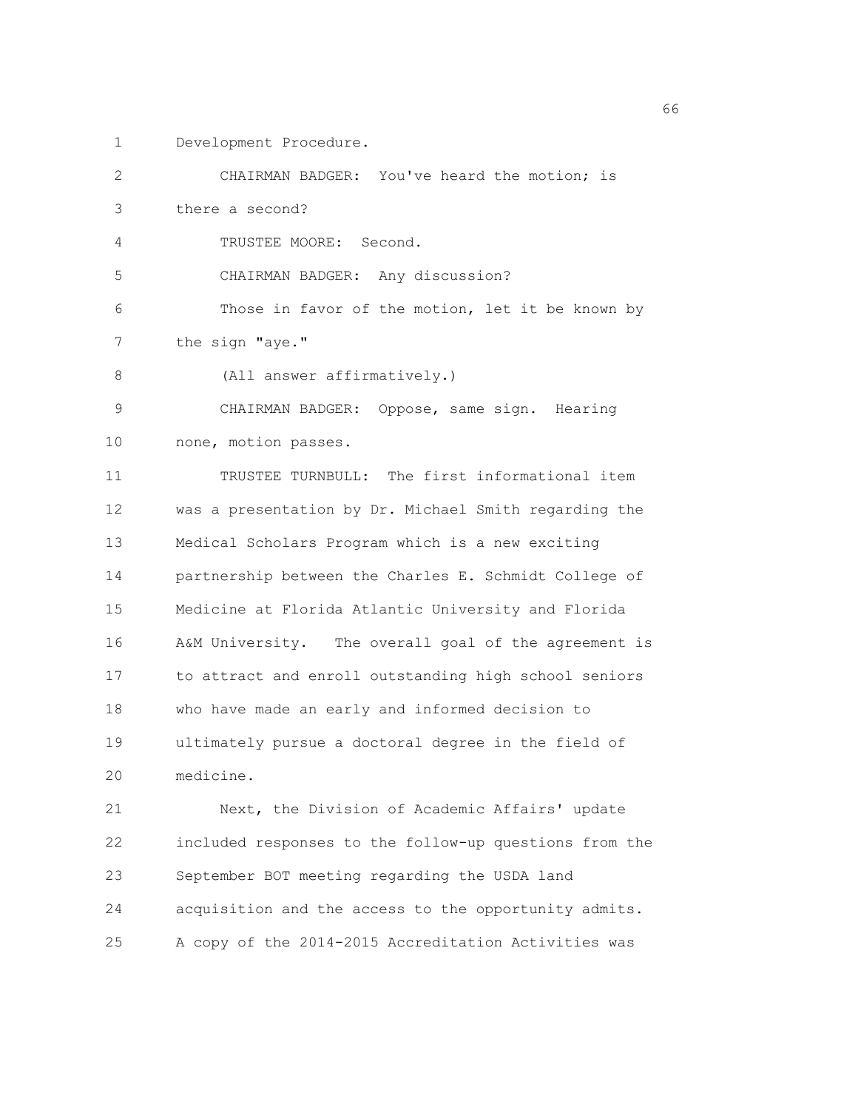1 Development Procedure.

| 2  | CHAIRMAN BADGER: You've heard the motion; is           |
|----|--------------------------------------------------------|
| 3  | there a second?                                        |
| 4  | TRUSTEE MOORE: Second.                                 |
| 5  | CHAIRMAN BADGER: Any discussion?                       |
| 6  | Those in favor of the motion, let it be known by       |
| 7  | the sign "aye."                                        |
| 8  | (All answer affirmatively.)                            |
| 9  | CHAIRMAN BADGER: Oppose, same sign. Hearing            |
| 10 | none, motion passes.                                   |
| 11 | TRUSTEE TURNBULL: The first informational item         |
| 12 | was a presentation by Dr. Michael Smith regarding the  |
| 13 | Medical Scholars Program which is a new exciting       |
| 14 | partnership between the Charles E. Schmidt College of  |
| 15 | Medicine at Florida Atlantic University and Florida    |
| 16 | A&M University. The overall goal of the agreement is   |
| 17 | to attract and enroll outstanding high school seniors  |
| 18 | who have made an early and informed decision to        |
| 19 | ultimately pursue a doctoral degree in the field of    |
| 20 | medicine.                                              |
| 21 | Next, the Division of Academic Affairs' update         |
| 22 | included responses to the follow-up questions from the |
| 23 | September BOT meeting regarding the USDA land          |
| 24 | acquisition and the access to the opportunity admits.  |

25 A copy of the 2014-2015 Accreditation Activities was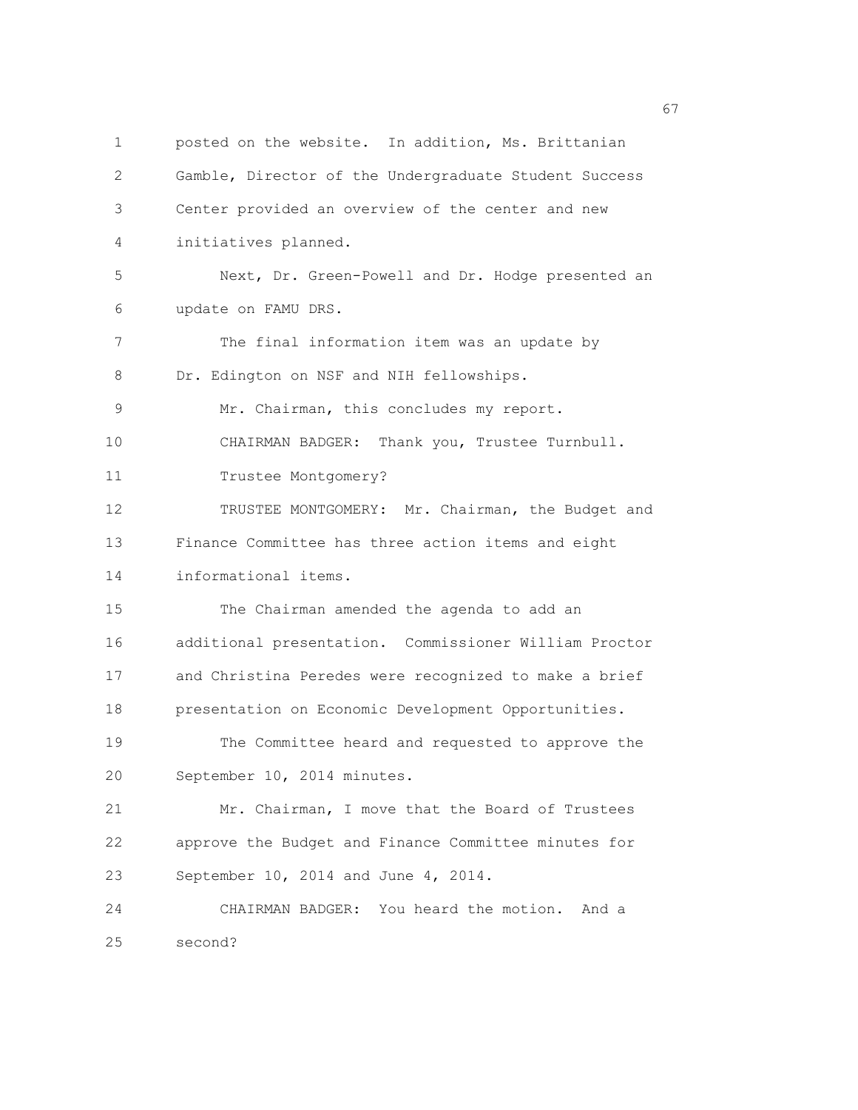1 posted on the website. In addition, Ms. Brittanian 2 Gamble, Director of the Undergraduate Student Success 3 Center provided an overview of the center and new 4 initiatives planned. 5 Next, Dr. Green-Powell and Dr. Hodge presented an 6 update on FAMU DRS. 7 The final information item was an update by 8 Dr. Edington on NSF and NIH fellowships. 9 Mr. Chairman, this concludes my report. 10 CHAIRMAN BADGER: Thank you, Trustee Turnbull. 11 Trustee Montgomery? 12 TRUSTEE MONTGOMERY: Mr. Chairman, the Budget and 13 Finance Committee has three action items and eight 14 informational items. 15 The Chairman amended the agenda to add an 16 additional presentation. Commissioner William Proctor 17 and Christina Peredes were recognized to make a brief 18 presentation on Economic Development Opportunities. 19 The Committee heard and requested to approve the 20 September 10, 2014 minutes. 21 Mr. Chairman, I move that the Board of Trustees 22 approve the Budget and Finance Committee minutes for 23 September 10, 2014 and June 4, 2014. 24 CHAIRMAN BADGER: You heard the motion. And a 25 second?

 $\sim$  67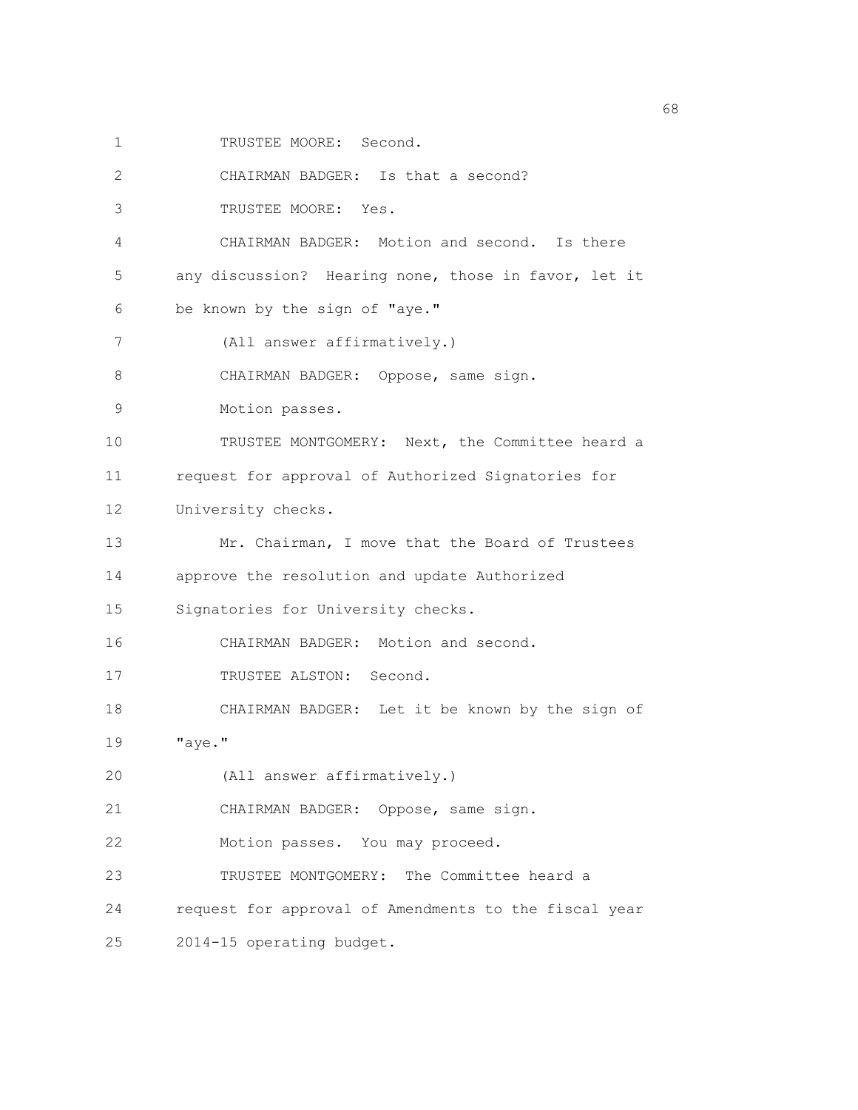1 TRUSTEE MOORE: Second.

2 CHAIRMAN BADGER: Is that a second?

3 TRUSTEE MOORE: Yes.

4 CHAIRMAN BADGER: Motion and second. Is there

5 any discussion? Hearing none, those in favor, let it

6 be known by the sign of "aye."

7 (All answer affirmatively.)

8 CHAIRMAN BADGER: Oppose, same sign.

9 Motion passes.

10 TRUSTEE MONTGOMERY: Next, the Committee heard a 11 request for approval of Authorized Signatories for

12 University checks.

13 Mr. Chairman, I move that the Board of Trustees 14 approve the resolution and update Authorized

15 Signatories for University checks.

16 CHAIRMAN BADGER: Motion and second.

17 TRUSTEE ALSTON: Second.

18 CHAIRMAN BADGER: Let it be known by the sign of

19 "aye."

20 (All answer affirmatively.)

21 CHAIRMAN BADGER: Oppose, same sign.

22 Motion passes. You may proceed.

23 TRUSTEE MONTGOMERY: The Committee heard a

24 request for approval of Amendments to the fiscal year

25 2014-15 operating budget.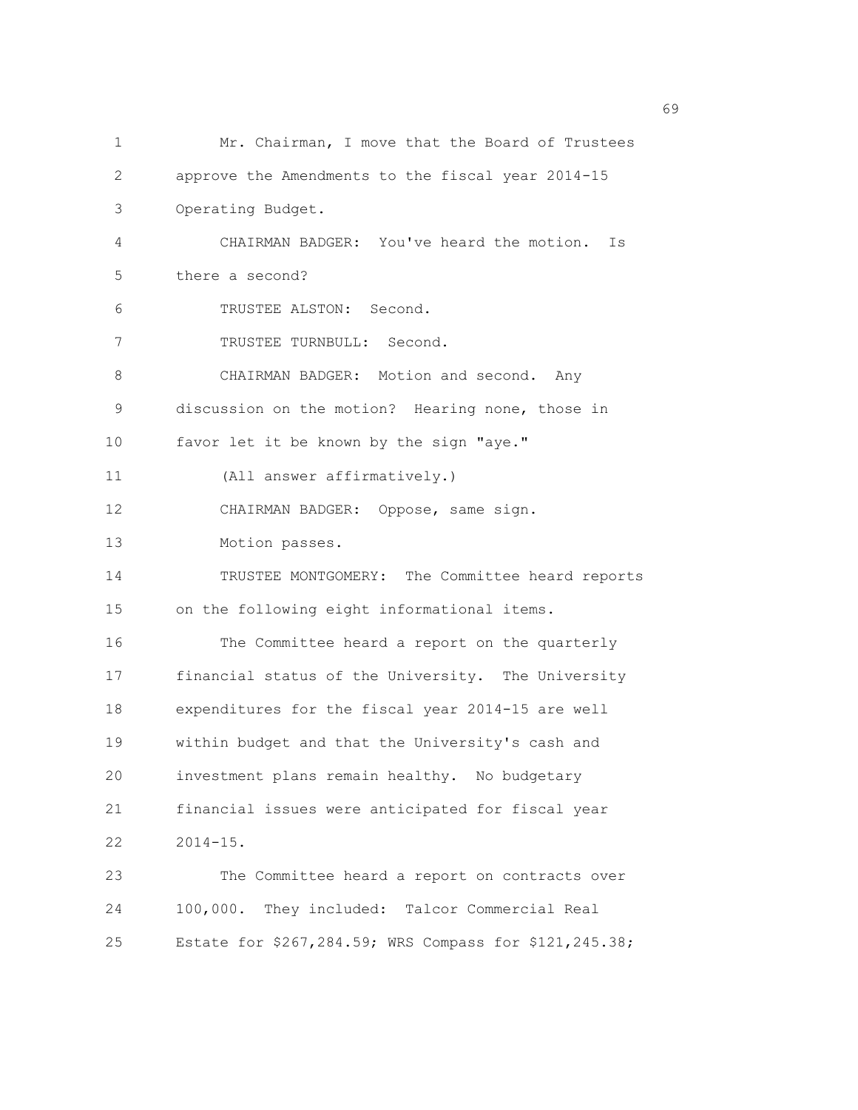| 1  | Mr. Chairman, I move that the Board of Trustees        |
|----|--------------------------------------------------------|
| 2  | approve the Amendments to the fiscal year 2014-15      |
| 3  | Operating Budget.                                      |
| 4  | CHAIRMAN BADGER: You've heard the motion.<br>Is        |
| 5  | there a second?                                        |
| 6  | TRUSTEE ALSTON: Second.                                |
| 7  | TRUSTEE TURNBULL: Second.                              |
| 8  | CHAIRMAN BADGER: Motion and second. Any                |
| 9  | discussion on the motion? Hearing none, those in       |
| 10 | favor let it be known by the sign "aye."               |
| 11 | (All answer affirmatively.)                            |
| 12 | CHAIRMAN BADGER: Oppose, same sign.                    |
| 13 | Motion passes.                                         |
| 14 | TRUSTEE MONTGOMERY: The Committee heard reports        |
| 15 | on the following eight informational items.            |
| 16 | The Committee heard a report on the quarterly          |
| 17 | financial status of the University. The University     |
| 18 | expenditures for the fiscal year 2014-15 are well      |
| 19 | within budget and that the University's cash and       |
| 20 | investment plans remain healthy. No budgetary          |
| 21 | financial issues were anticipated for fiscal year      |
| 22 | $2014 - 15$ .                                          |
| 23 | The Committee heard a report on contracts over         |
| 24 | 100,000. They included: Talcor Commercial Real         |
| 25 | Estate for \$267,284.59; WRS Compass for \$121,245.38; |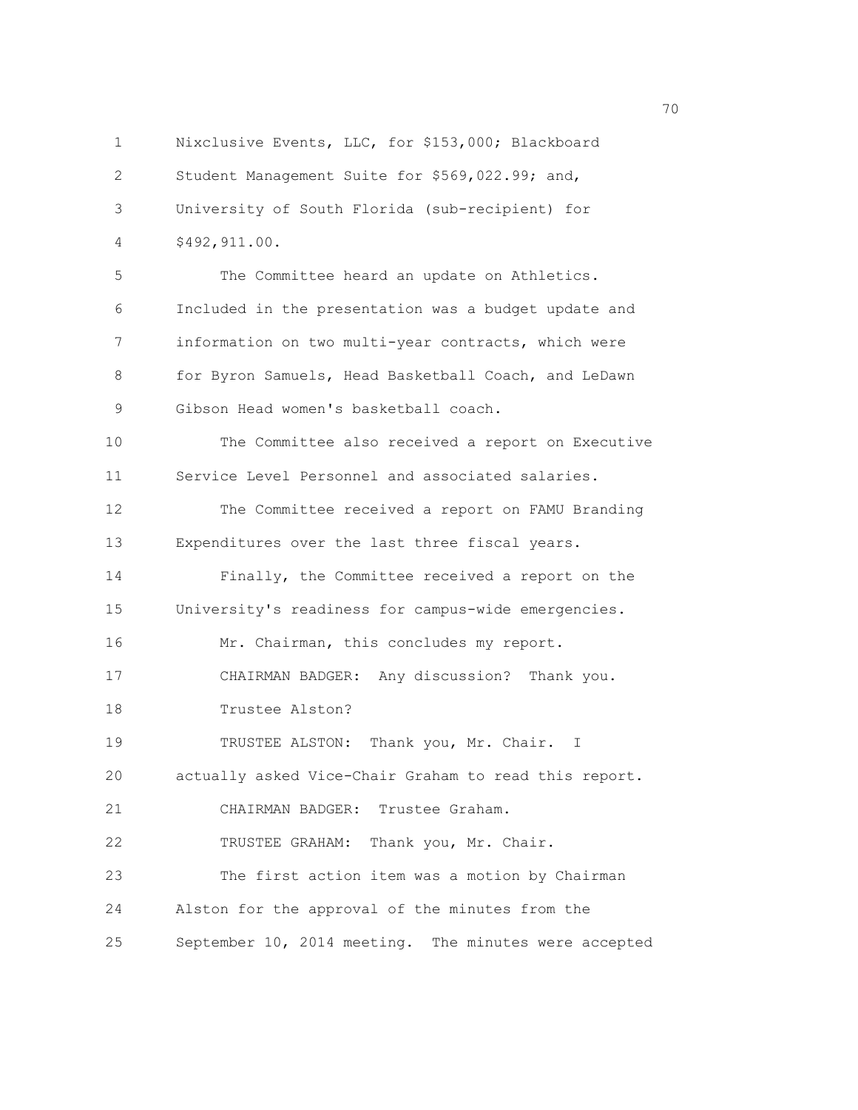1 Nixclusive Events, LLC, for \$153,000; Blackboard 2 Student Management Suite for \$569,022.99; and, 3 University of South Florida (sub-recipient) for 4 \$492,911.00. 5 The Committee heard an update on Athletics. 6 Included in the presentation was a budget update and 7 information on two multi-year contracts, which were 8 for Byron Samuels, Head Basketball Coach, and LeDawn 9 Gibson Head women's basketball coach. 10 The Committee also received a report on Executive 11 Service Level Personnel and associated salaries. 12 The Committee received a report on FAMU Branding 13 Expenditures over the last three fiscal years. 14 Finally, the Committee received a report on the 15 University's readiness for campus-wide emergencies. 16 Mr. Chairman, this concludes my report. 17 CHAIRMAN BADGER: Any discussion? Thank you. 18 Trustee Alston? 19 TRUSTEE ALSTON: Thank you, Mr. Chair. I 20 actually asked Vice-Chair Graham to read this report. 21 CHAIRMAN BADGER: Trustee Graham. 22 TRUSTEE GRAHAM: Thank you, Mr. Chair. 23 The first action item was a motion by Chairman 24 Alston for the approval of the minutes from the 25 September 10, 2014 meeting. The minutes were accepted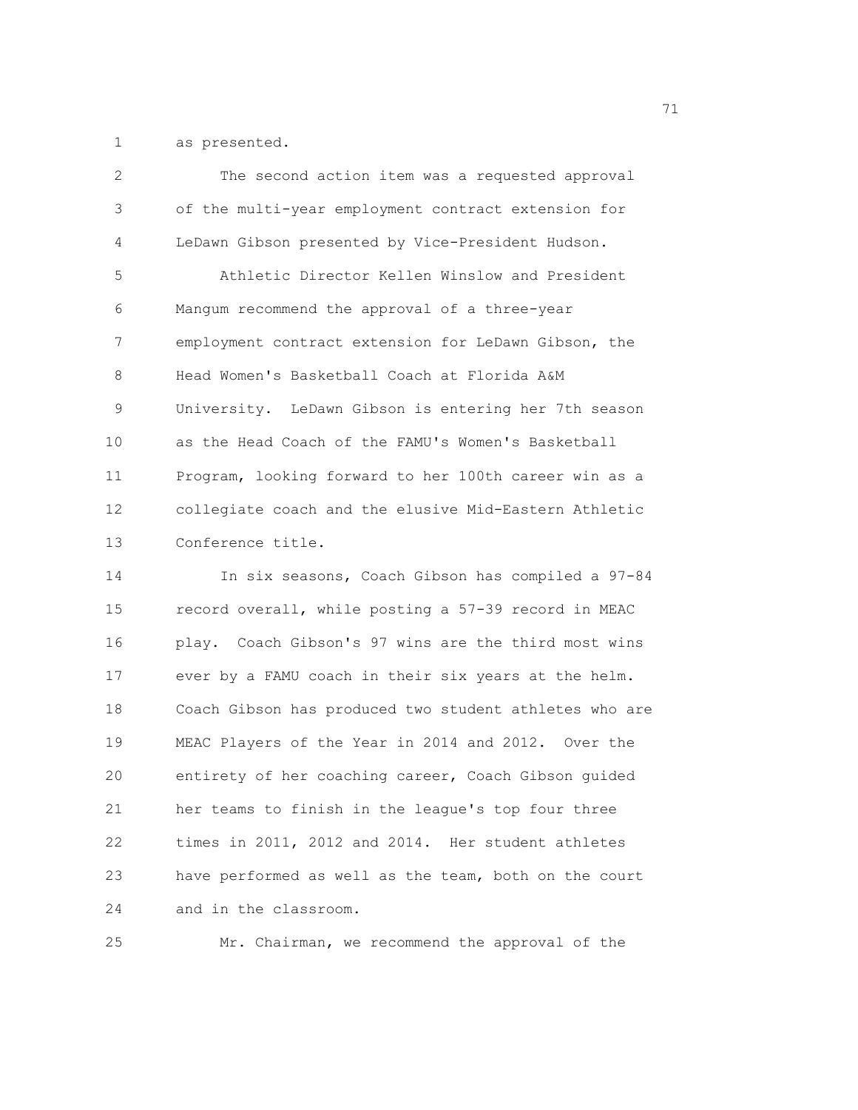1 as presented.

| 2       | The second action item was a requested approval        |
|---------|--------------------------------------------------------|
| 3       | of the multi-year employment contract extension for    |
| 4       | LeDawn Gibson presented by Vice-President Hudson.      |
| 5       | Athletic Director Kellen Winslow and President         |
| 6       | Mangum recommend the approval of a three-year          |
| 7       | employment contract extension for LeDawn Gibson, the   |
| $\,8\,$ | Head Women's Basketball Coach at Florida A&M           |
| 9       | University. LeDawn Gibson is entering her 7th season   |
| 10      | as the Head Coach of the FAMU's Women's Basketball     |
| 11      | Program, looking forward to her 100th career win as a  |
| 12      | collegiate coach and the elusive Mid-Eastern Athletic  |
| 13      | Conference title.                                      |
| 14      | In six seasons, Coach Gibson has compiled a 97-84      |
| 15      | record overall, while posting a 57-39 record in MEAC   |
| 16      | play. Coach Gibson's 97 wins are the third most wins   |
| 17      | ever by a FAMU coach in their six years at the helm.   |
| 18      | Coach Gibson has produced two student athletes who are |
| 19      | MEAC Players of the Year in 2014 and 2012. Over the    |

20 entirety of her coaching career, Coach Gibson guided 21 her teams to finish in the league's top four three 22 times in 2011, 2012 and 2014. Her student athletes 23 have performed as well as the team, both on the court 24 and in the classroom.

25 Mr. Chairman, we recommend the approval of the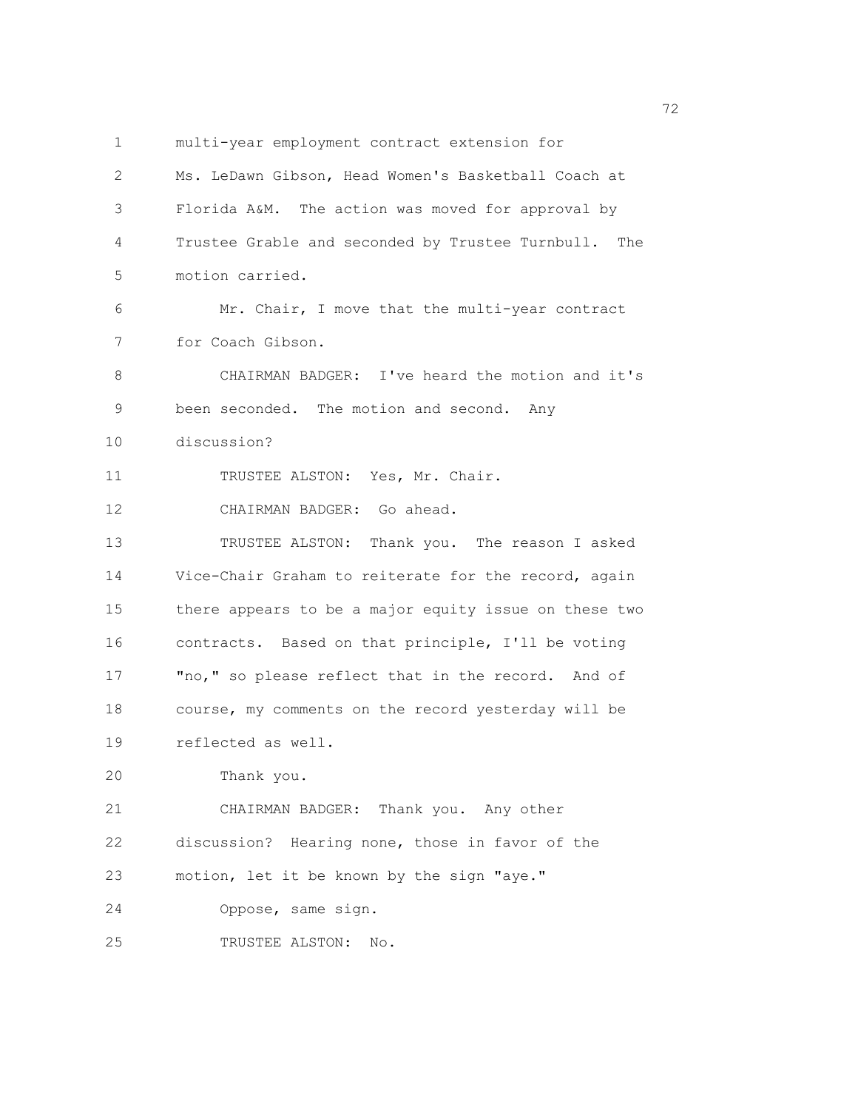1 multi-year employment contract extension for 2 Ms. LeDawn Gibson, Head Women's Basketball Coach at 3 Florida A&M. The action was moved for approval by 4 Trustee Grable and seconded by Trustee Turnbull. The 5 motion carried. 6 Mr. Chair, I move that the multi-year contract 7 for Coach Gibson. 8 CHAIRMAN BADGER: I've heard the motion and it's 9 been seconded. The motion and second. Any 10 discussion? 11 TRUSTEE ALSTON: Yes, Mr. Chair. 12 CHAIRMAN BADGER: Go ahead. 13 TRUSTEE ALSTON: Thank you. The reason I asked 14 Vice-Chair Graham to reiterate for the record, again 15 there appears to be a major equity issue on these two 16 contracts. Based on that principle, I'll be voting 17 "no," so please reflect that in the record. And of 18 course, my comments on the record yesterday will be 19 reflected as well. 20 Thank you. 21 CHAIRMAN BADGER: Thank you. Any other 22 discussion? Hearing none, those in favor of the 23 motion, let it be known by the sign "aye." 24 Oppose, same sign. 25 TRUSTEE ALSTON: No.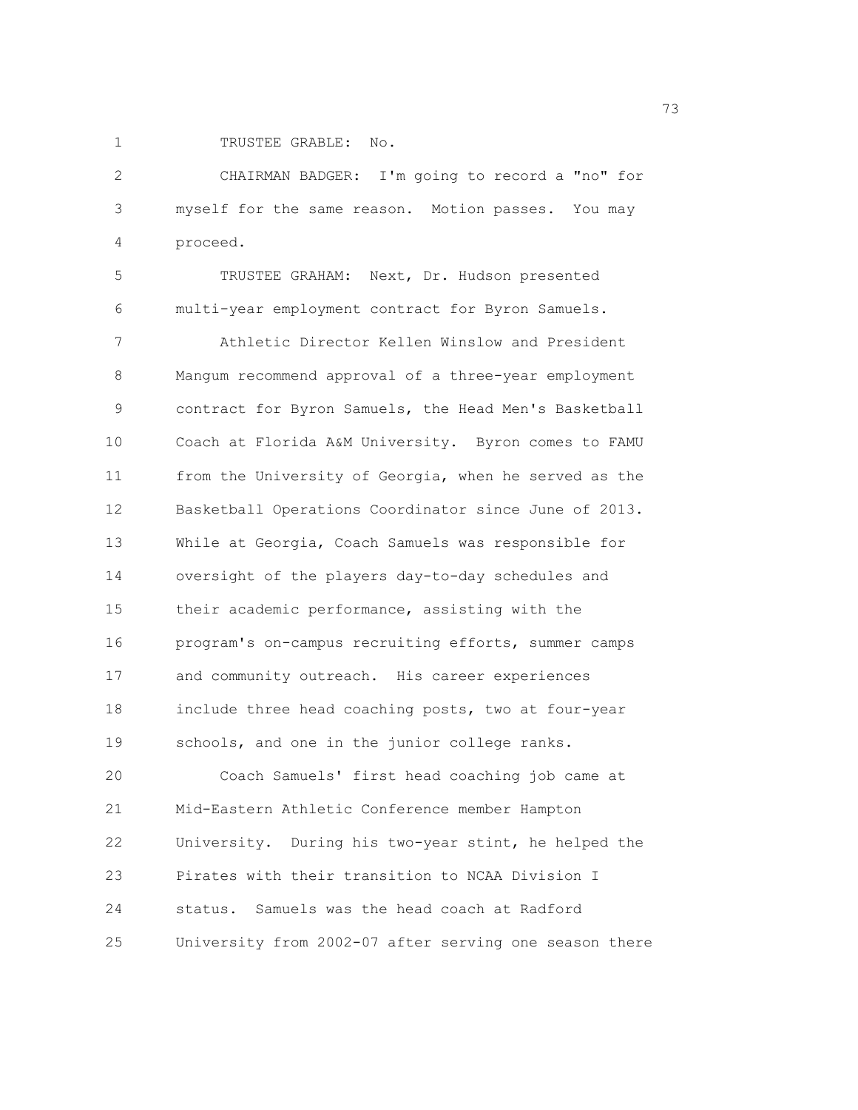1 TRUSTEE GRABLE: No.

2 CHAIRMAN BADGER: I'm going to record a "no" for 3 myself for the same reason. Motion passes. You may 4 proceed.

5 TRUSTEE GRAHAM: Next, Dr. Hudson presented 6 multi-year employment contract for Byron Samuels.

7 Athletic Director Kellen Winslow and President 8 Mangum recommend approval of a three-year employment 9 contract for Byron Samuels, the Head Men's Basketball 10 Coach at Florida A&M University. Byron comes to FAMU 11 from the University of Georgia, when he served as the 12 Basketball Operations Coordinator since June of 2013. 13 While at Georgia, Coach Samuels was responsible for 14 oversight of the players day-to-day schedules and 15 their academic performance, assisting with the 16 program's on-campus recruiting efforts, summer camps 17 and community outreach. His career experiences 18 include three head coaching posts, two at four-year 19 schools, and one in the junior college ranks. 20 Coach Samuels' first head coaching job came at 21 Mid-Eastern Athletic Conference member Hampton 22 University. During his two-year stint, he helped the 23 Pirates with their transition to NCAA Division I 24 status. Samuels was the head coach at Radford 25 University from 2002-07 after serving one season there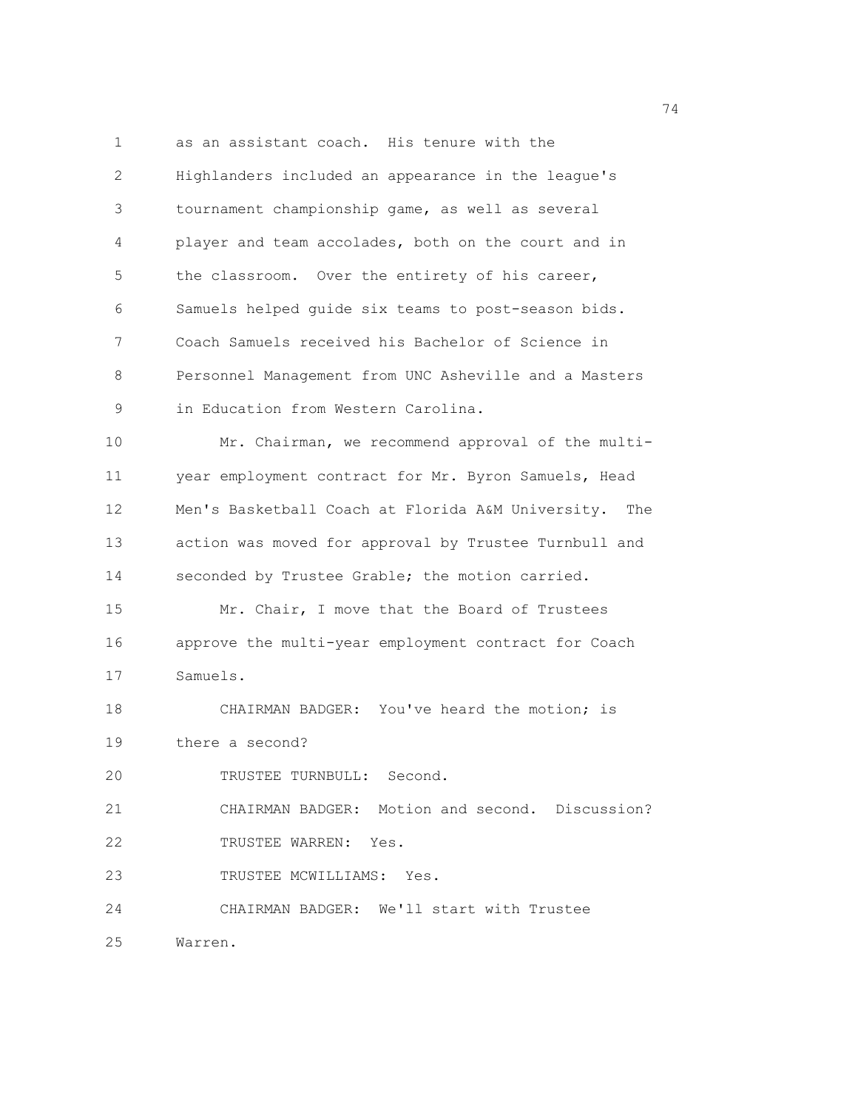1 as an assistant coach. His tenure with the 2 Highlanders included an appearance in the league's 3 tournament championship game, as well as several 4 player and team accolades, both on the court and in 5 the classroom. Over the entirety of his career, 6 Samuels helped guide six teams to post-season bids. 7 Coach Samuels received his Bachelor of Science in 8 Personnel Management from UNC Asheville and a Masters 9 in Education from Western Carolina. 10 Mr. Chairman, we recommend approval of the multi-11 year employment contract for Mr. Byron Samuels, Head 12 Men's Basketball Coach at Florida A&M University. The 13 action was moved for approval by Trustee Turnbull and 14 seconded by Trustee Grable; the motion carried. 15 Mr. Chair, I move that the Board of Trustees 16 approve the multi-year employment contract for Coach 17 Samuels. 18 CHAIRMAN BADGER: You've heard the motion; is 19 there a second? 20 TRUSTEE TURNBULL: Second. 21 CHAIRMAN BADGER: Motion and second. Discussion? 22 TRUSTEE WARREN: Yes. 23 TRUSTEE MCWILLIAMS: Yes. 24 CHAIRMAN BADGER: We'll start with Trustee 25 Warren.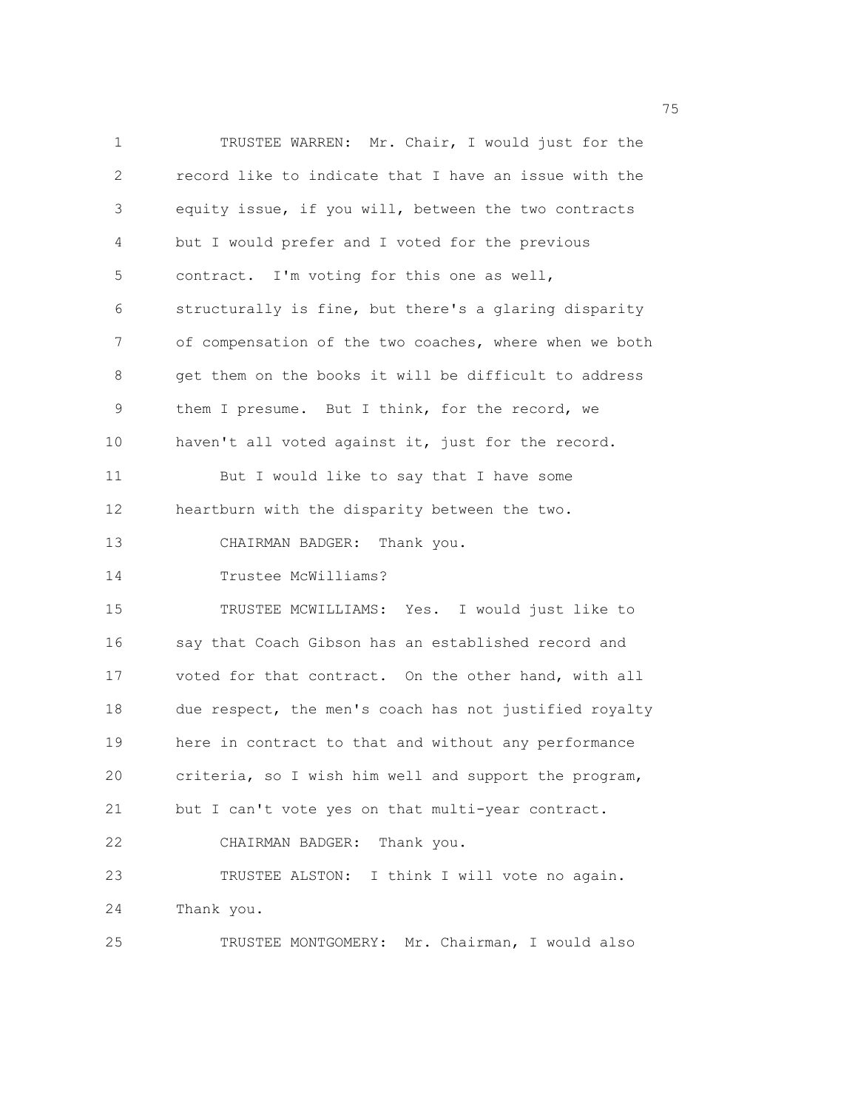1 TRUSTEE WARREN: Mr. Chair, I would just for the 2 record like to indicate that I have an issue with the 3 equity issue, if you will, between the two contracts 4 but I would prefer and I voted for the previous 5 contract. I'm voting for this one as well, 6 structurally is fine, but there's a glaring disparity 7 of compensation of the two coaches, where when we both 8 get them on the books it will be difficult to address 9 them I presume. But I think, for the record, we 10 haven't all voted against it, just for the record. 11 But I would like to say that I have some 12 heartburn with the disparity between the two. 13 CHAIRMAN BADGER: Thank you. 14 Trustee McWilliams? 15 TRUSTEE MCWILLIAMS: Yes. I would just like to 16 say that Coach Gibson has an established record and 17 voted for that contract. On the other hand, with all 18 due respect, the men's coach has not justified royalty 19 here in contract to that and without any performance 20 criteria, so I wish him well and support the program, 21 but I can't vote yes on that multi-year contract. 22 CHAIRMAN BADGER: Thank you. 23 TRUSTEE ALSTON: I think I will vote no again. 24 Thank you. 25 TRUSTEE MONTGOMERY: Mr. Chairman, I would also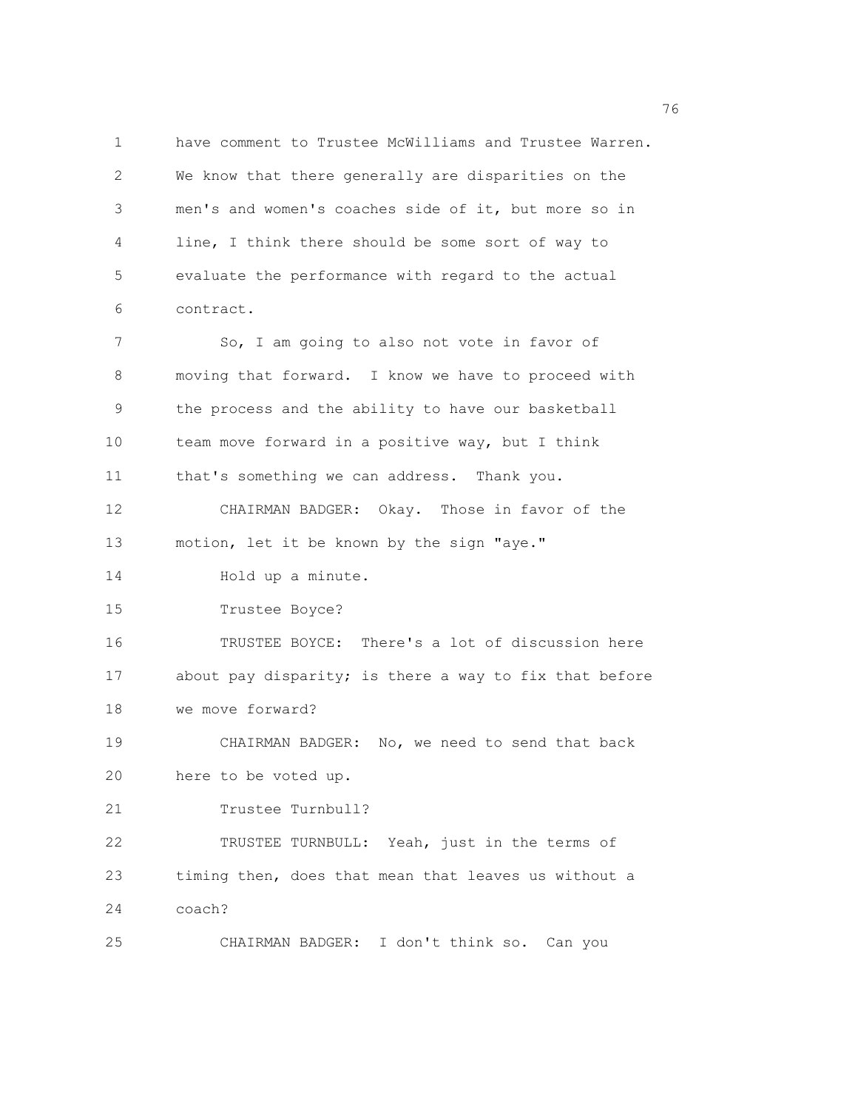1 have comment to Trustee McWilliams and Trustee Warren. 2 We know that there generally are disparities on the 3 men's and women's coaches side of it, but more so in 4 line, I think there should be some sort of way to 5 evaluate the performance with regard to the actual 6 contract. 7 So, I am going to also not vote in favor of 8 moving that forward. I know we have to proceed with 9 the process and the ability to have our basketball 10 team move forward in a positive way, but I think 11 that's something we can address. Thank you. 12 CHAIRMAN BADGER: Okay. Those in favor of the 13 motion, let it be known by the sign "aye." 14 Hold up a minute. 15 Trustee Boyce? 16 TRUSTEE BOYCE: There's a lot of discussion here 17 about pay disparity; is there a way to fix that before 18 we move forward? 19 CHAIRMAN BADGER: No, we need to send that back 20 here to be voted up. 21 Trustee Turnbull? 22 TRUSTEE TURNBULL: Yeah, just in the terms of 23 timing then, does that mean that leaves us without a 24 coach? 25 CHAIRMAN BADGER: I don't think so. Can you

<u>2001 - Johann Stein, amerikan ing kabupatèn Inggris di Bandaran Inggris di Bandaran Inggris di Bandaran Inggris di</u>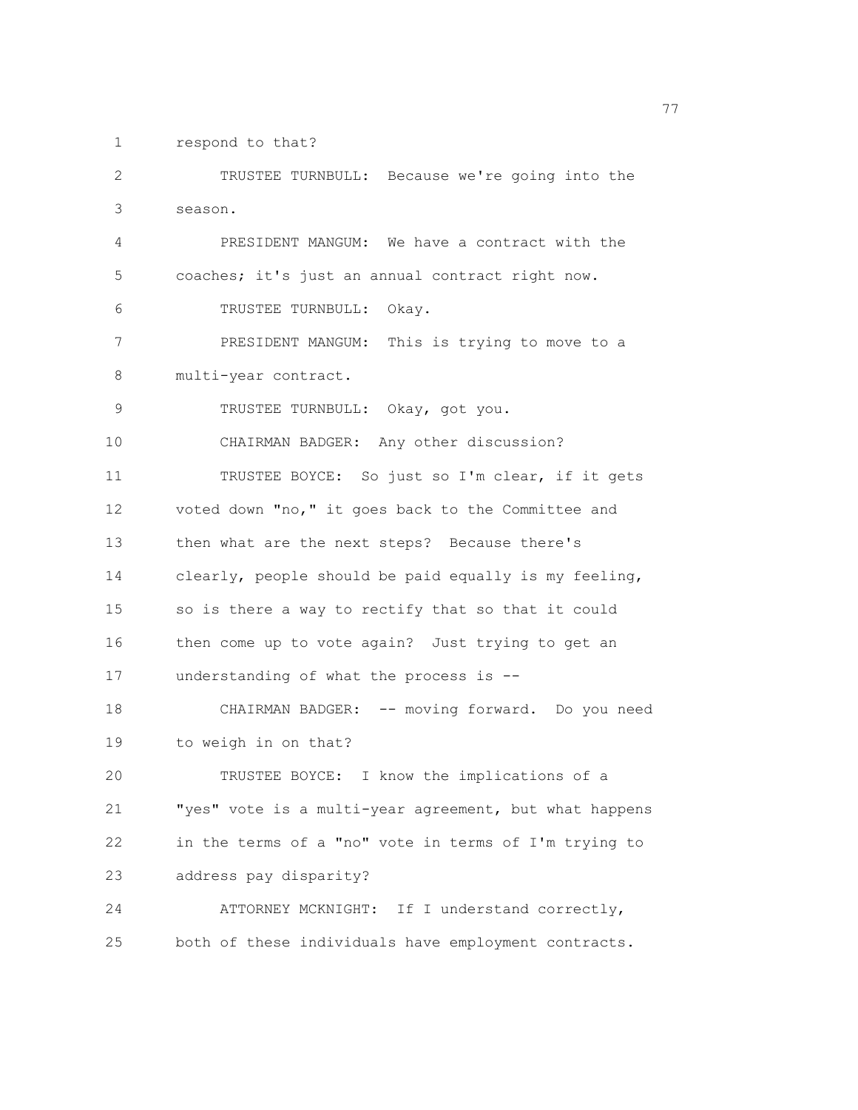1 respond to that?

2 TRUSTEE TURNBULL: Because we're going into the 3 season. 4 PRESIDENT MANGUM: We have a contract with the 5 coaches; it's just an annual contract right now. 6 TRUSTEE TURNBULL: Okay. 7 PRESIDENT MANGUM: This is trying to move to a 8 multi-year contract. 9 TRUSTEE TURNBULL: Okay, got you. 10 CHAIRMAN BADGER: Any other discussion? 11 TRUSTEE BOYCE: So just so I'm clear, if it gets 12 voted down "no," it goes back to the Committee and 13 then what are the next steps? Because there's 14 clearly, people should be paid equally is my feeling, 15 so is there a way to rectify that so that it could 16 then come up to vote again? Just trying to get an 17 understanding of what the process is -- 18 CHAIRMAN BADGER: -- moving forward. Do you need 19 to weigh in on that? 20 TRUSTEE BOYCE: I know the implications of a 21 "yes" vote is a multi-year agreement, but what happens 22 in the terms of a "no" vote in terms of I'm trying to 23 address pay disparity? 24 ATTORNEY MCKNIGHT: If I understand correctly, 25 both of these individuals have employment contracts.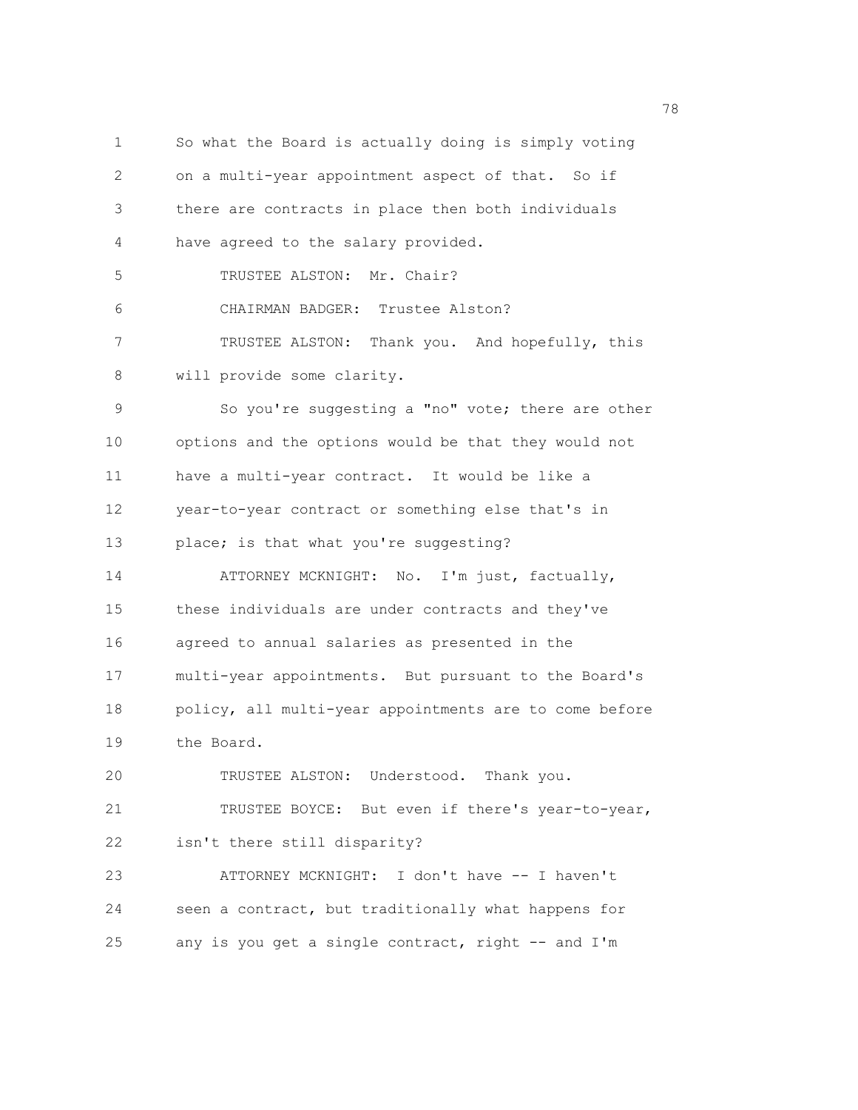1 So what the Board is actually doing is simply voting 2 on a multi-year appointment aspect of that. So if 3 there are contracts in place then both individuals 4 have agreed to the salary provided. 5 TRUSTEE ALSTON: Mr. Chair? 6 CHAIRMAN BADGER: Trustee Alston? 7 TRUSTEE ALSTON: Thank you. And hopefully, this 8 will provide some clarity. 9 So you're suggesting a "no" vote; there are other 10 options and the options would be that they would not 11 have a multi-year contract. It would be like a 12 year-to-year contract or something else that's in 13 place; is that what you're suggesting? 14 ATTORNEY MCKNIGHT: No. I'm just, factually, 15 these individuals are under contracts and they've 16 agreed to annual salaries as presented in the 17 multi-year appointments. But pursuant to the Board's 18 policy, all multi-year appointments are to come before 19 the Board. 20 TRUSTEE ALSTON: Understood. Thank you. 21 TRUSTEE BOYCE: But even if there's year-to-year, 22 isn't there still disparity? 23 ATTORNEY MCKNIGHT: I don't have -- I haven't 24 seen a contract, but traditionally what happens for 25 any is you get a single contract, right -- and I'm

na matsay na matsay na matsay na matsay na matsay na matsay na matsay na matsay na matsay na matsay na matsay<br>Matsay na matsay na matsay na matsay na matsay na matsay na matsay na matsay na matsay na matsay na matsay na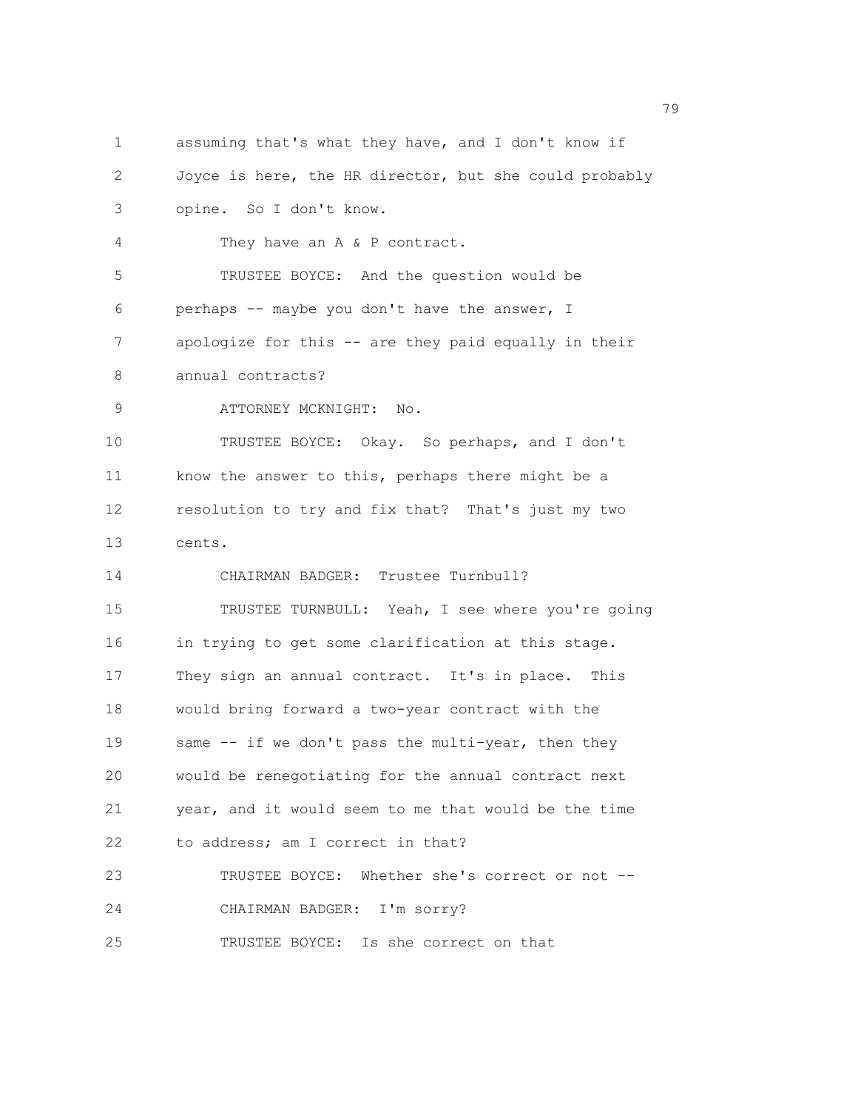1 assuming that's what they have, and I don't know if 2 Joyce is here, the HR director, but she could probably 3 opine. So I don't know. 4 They have an A & P contract. 5 TRUSTEE BOYCE: And the question would be 6 perhaps -- maybe you don't have the answer, I 7 apologize for this -- are they paid equally in their 8 annual contracts? 9 ATTORNEY MCKNIGHT: No. 10 TRUSTEE BOYCE: Okay. So perhaps, and I don't 11 know the answer to this, perhaps there might be a 12 resolution to try and fix that? That's just my two 13 cents. 14 CHAIRMAN BADGER: Trustee Turnbull? 15 TRUSTEE TURNBULL: Yeah, I see where you're going 16 in trying to get some clarification at this stage. 17 They sign an annual contract. It's in place. This 18 would bring forward a two-year contract with the 19 same -- if we don't pass the multi-year, then they 20 would be renegotiating for the annual contract next 21 year, and it would seem to me that would be the time 22 to address; am I correct in that? 23 TRUSTEE BOYCE: Whether she's correct or not -- 24 CHAIRMAN BADGER: I'm sorry? 25 TRUSTEE BOYCE: Is she correct on that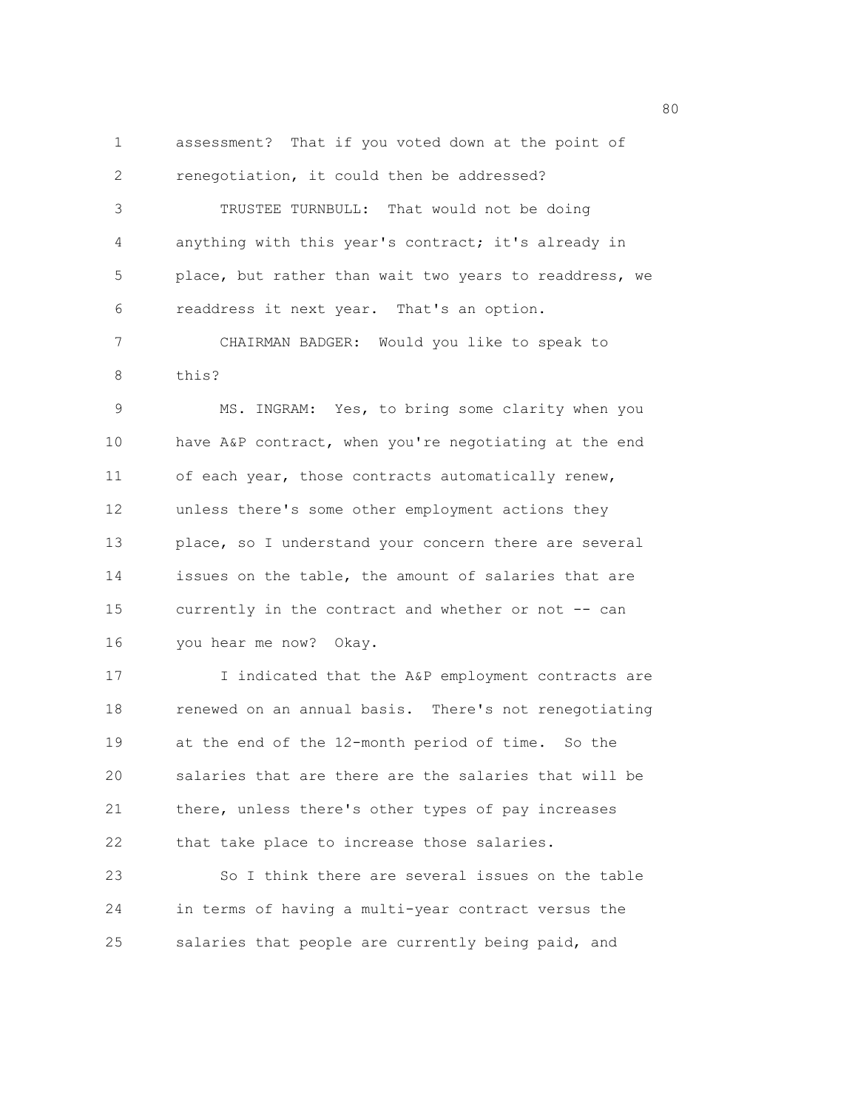1 assessment? That if you voted down at the point of 2 renegotiation, it could then be addressed? 3 TRUSTEE TURNBULL: That would not be doing 4 anything with this year's contract; it's already in 5 place, but rather than wait two years to readdress, we 6 readdress it next year. That's an option.

7 CHAIRMAN BADGER: Would you like to speak to 8 this?

9 MS. INGRAM: Yes, to bring some clarity when you 10 have A&P contract, when you're negotiating at the end 11 of each year, those contracts automatically renew, 12 unless there's some other employment actions they 13 place, so I understand your concern there are several 14 issues on the table, the amount of salaries that are 15 currently in the contract and whether or not -- can 16 you hear me now? Okay.

17 17 I indicated that the A&P employment contracts are 18 renewed on an annual basis. There's not renegotiating 19 at the end of the 12-month period of time. So the 20 salaries that are there are the salaries that will be 21 there, unless there's other types of pay increases 22 that take place to increase those salaries.

23 So I think there are several issues on the table 24 in terms of having a multi-year contract versus the 25 salaries that people are currently being paid, and

en de la construction de la construction de la construction de la construction de la construction de la constr<br>1980 : le construction de la construction de la construction de la construction de la construction de la const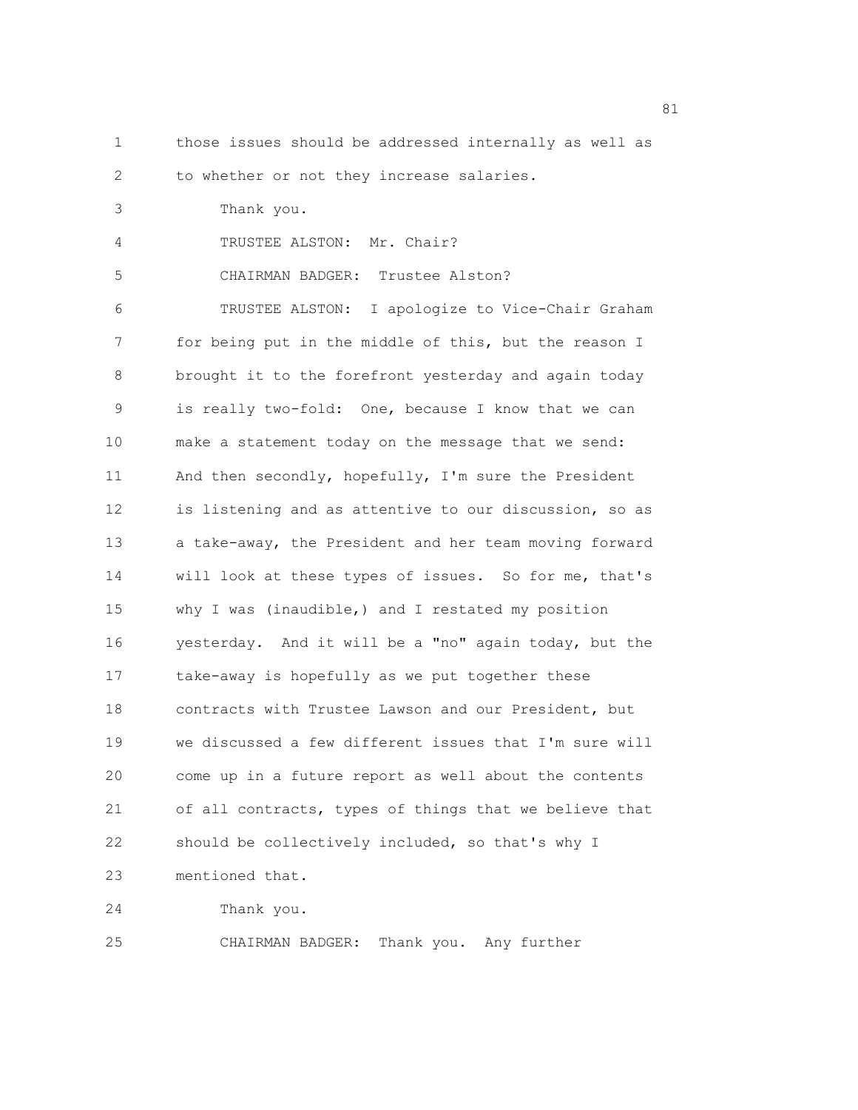1 those issues should be addressed internally as well as 2 to whether or not they increase salaries. 3 Thank you. 4 TRUSTEE ALSTON: Mr. Chair? 5 CHAIRMAN BADGER: Trustee Alston? 6 TRUSTEE ALSTON: I apologize to Vice-Chair Graham 7 for being put in the middle of this, but the reason I 8 brought it to the forefront yesterday and again today 9 is really two-fold: One, because I know that we can 10 make a statement today on the message that we send: 11 And then secondly, hopefully, I'm sure the President 12 is listening and as attentive to our discussion, so as 13 a take-away, the President and her team moving forward 14 will look at these types of issues. So for me, that's 15 why I was (inaudible,) and I restated my position 16 yesterday. And it will be a "no" again today, but the 17 take-away is hopefully as we put together these 18 contracts with Trustee Lawson and our President, but 19 we discussed a few different issues that I'm sure will 20 come up in a future report as well about the contents 21 of all contracts, types of things that we believe that 22 should be collectively included, so that's why I 23 mentioned that. 24 Thank you. 25 CHAIRMAN BADGER: Thank you. Any further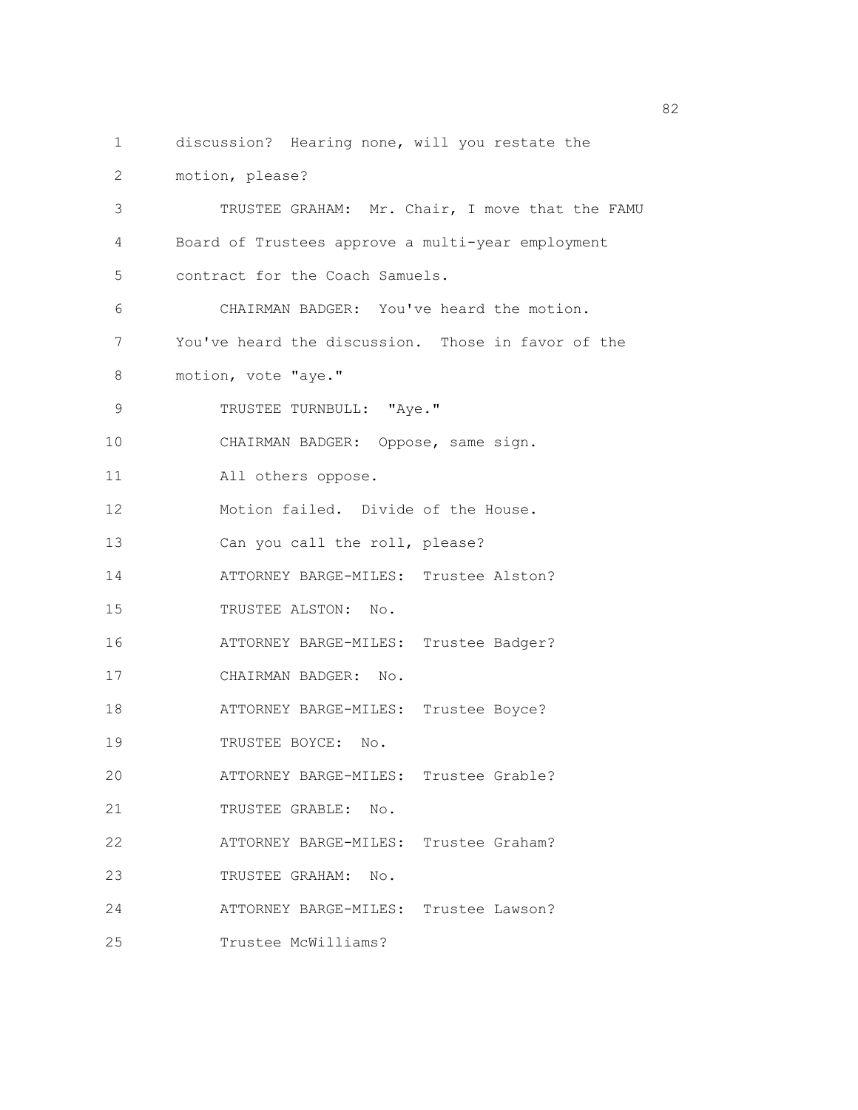- 
- 1 discussion? Hearing none, will you restate the
- 2 motion, please?

| 3                 | TRUSTEE GRAHAM: Mr. Chair, I move that the FAMU    |
|-------------------|----------------------------------------------------|
| 4                 | Board of Trustees approve a multi-year employment  |
| 5                 | contract for the Coach Samuels.                    |
| 6                 | CHAIRMAN BADGER: You've heard the motion.          |
| 7                 | You've heard the discussion. Those in favor of the |
| 8                 | motion, vote "aye."                                |
| 9                 | TRUSTEE TURNBULL: "Aye."                           |
| 10                | CHAIRMAN BADGER: Oppose, same sign.                |
| 11                | All others oppose.                                 |
| $12 \overline{)}$ | Motion failed. Divide of the House.                |
| 13                | Can you call the roll, please?                     |
| 14                | ATTORNEY BARGE-MILES: Trustee Alston?              |
| 15                | TRUSTEE ALSTON: No.                                |
| 16                | ATTORNEY BARGE-MILES: Trustee Badger?              |
| 17                | CHAIRMAN BADGER: No.                               |
| 18                | ATTORNEY BARGE-MILES: Trustee Boyce?               |
| 19                | TRUSTEE BOYCE: No.                                 |
| 20                | ATTORNEY BARGE-MILES: Trustee Grable?              |
| 21                | TRUSTEE GRABLE: No.                                |
| 22                | ATTORNEY BARGE-MILES:<br>Trustee Graham?           |
| 23                | TRUSTEE GRAHAM:<br>No.                             |
| 24                | ATTORNEY BARGE-MILES:<br>Trustee Lawson?           |
| 25                | Trustee McWilliams?                                |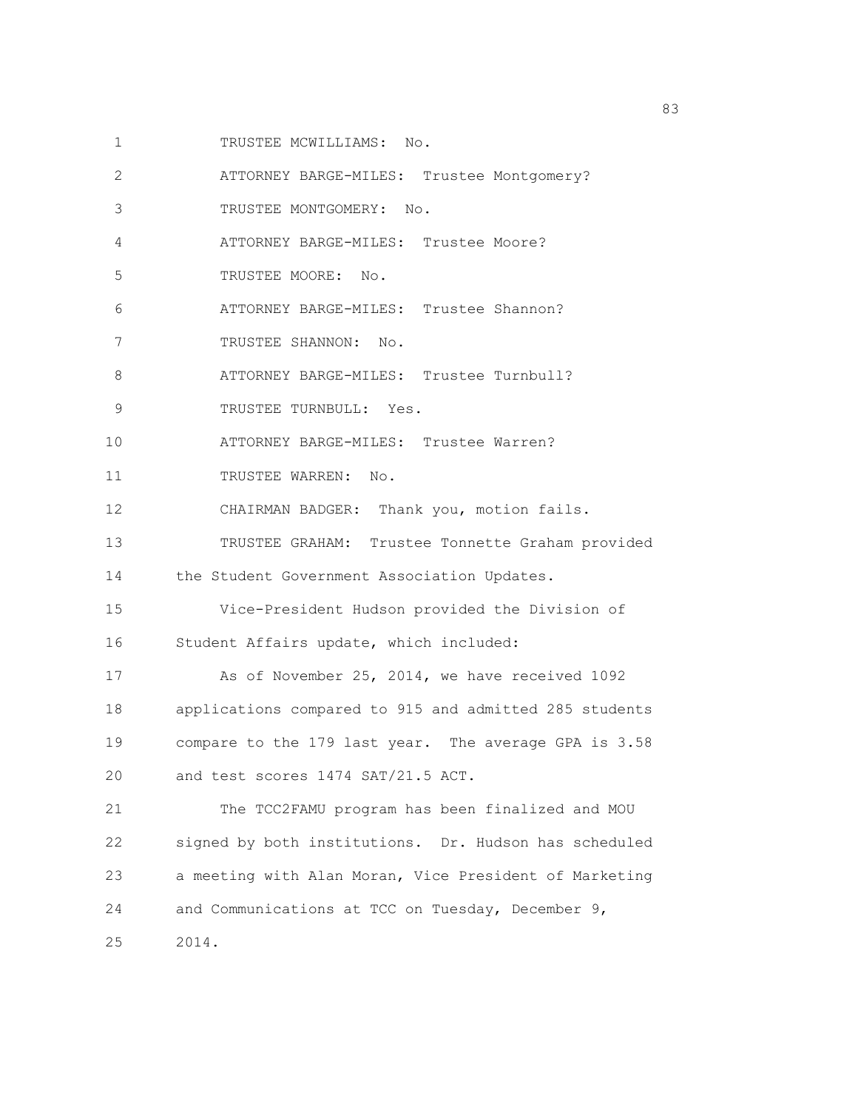- 1 TRUSTEE MCWILLIAMS: No.
- 2 ATTORNEY BARGE-MILES: Trustee Montgomery?
- 3 TRUSTEE MONTGOMERY: No.
- 4 ATTORNEY BARGE-MILES: Trustee Moore?
- 5 TRUSTEE MOORE: No.
- 6 ATTORNEY BARGE-MILES: Trustee Shannon?
- 7 TRUSTEE SHANNON: No.
- 8 ATTORNEY BARGE-MILES: Trustee Turnbull?
- 9 TRUSTEE TURNBULL: Yes.
- 10 ATTORNEY BARGE-MILES: Trustee Warren?
- 11 TRUSTEE WARREN: No.
- 12 CHAIRMAN BADGER: Thank you, motion fails.
- 13 TRUSTEE GRAHAM: Trustee Tonnette Graham provided
- 14 the Student Government Association Updates.
- 15 Vice-President Hudson provided the Division of 16 Student Affairs update, which included:
- 17 As of November 25, 2014, we have received 1092 18 applications compared to 915 and admitted 285 students 19 compare to the 179 last year. The average GPA is 3.58 20 and test scores 1474 SAT/21.5 ACT.
- 21 The TCC2FAMU program has been finalized and MOU 22 signed by both institutions. Dr. Hudson has scheduled 23 a meeting with Alan Moran, Vice President of Marketing 24 and Communications at TCC on Tuesday, December 9,
- 25 2014.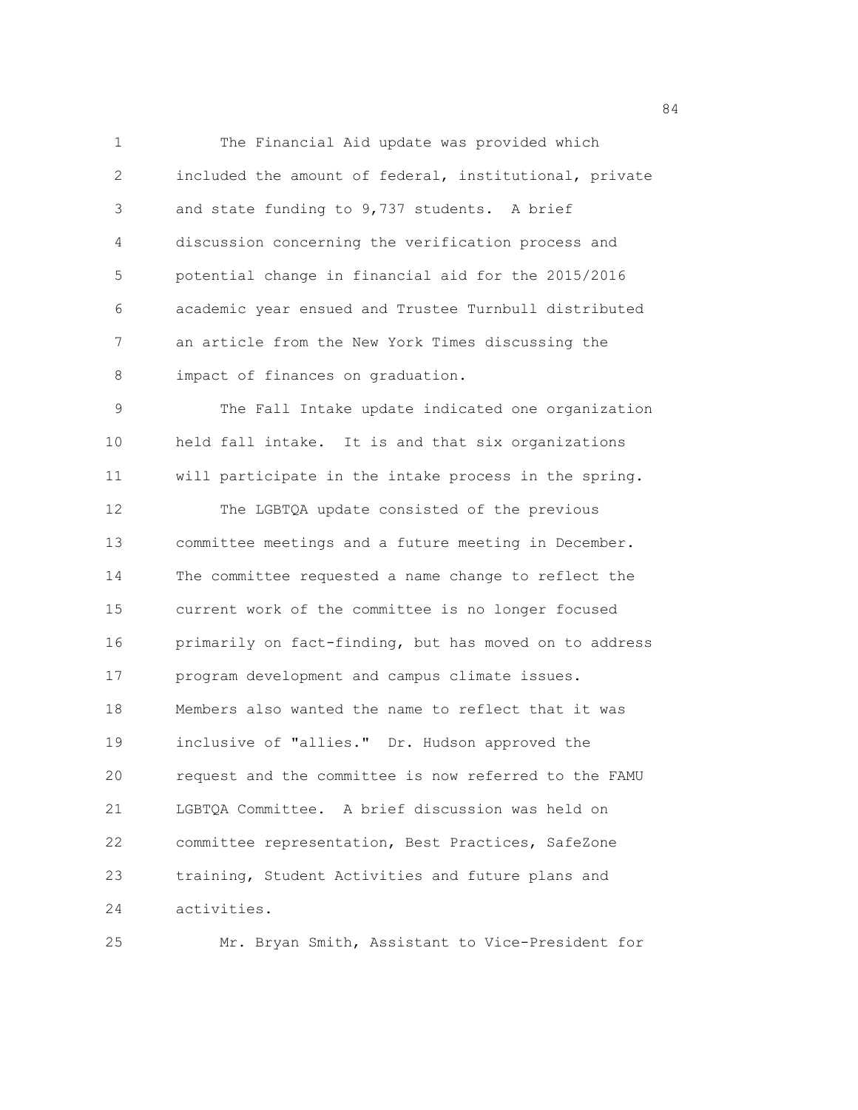1 The Financial Aid update was provided which 2 included the amount of federal, institutional, private 3 and state funding to 9,737 students. A brief 4 discussion concerning the verification process and 5 potential change in financial aid for the 2015/2016 6 academic year ensued and Trustee Turnbull distributed 7 an article from the New York Times discussing the 8 impact of finances on graduation. 9 The Fall Intake update indicated one organization 10 held fall intake. It is and that six organizations 11 will participate in the intake process in the spring. 12 The LGBTQA update consisted of the previous 13 committee meetings and a future meeting in December. 14 The committee requested a name change to reflect the 15 current work of the committee is no longer focused 16 primarily on fact-finding, but has moved on to address 17 program development and campus climate issues. 18 Members also wanted the name to reflect that it was 19 inclusive of "allies." Dr. Hudson approved the 20 request and the committee is now referred to the FAMU 21 LGBTQA Committee. A brief discussion was held on 22 committee representation, Best Practices, SafeZone

24 activities.

25 Mr. Bryan Smith, Assistant to Vice-President for

23 training, Student Activities and future plans and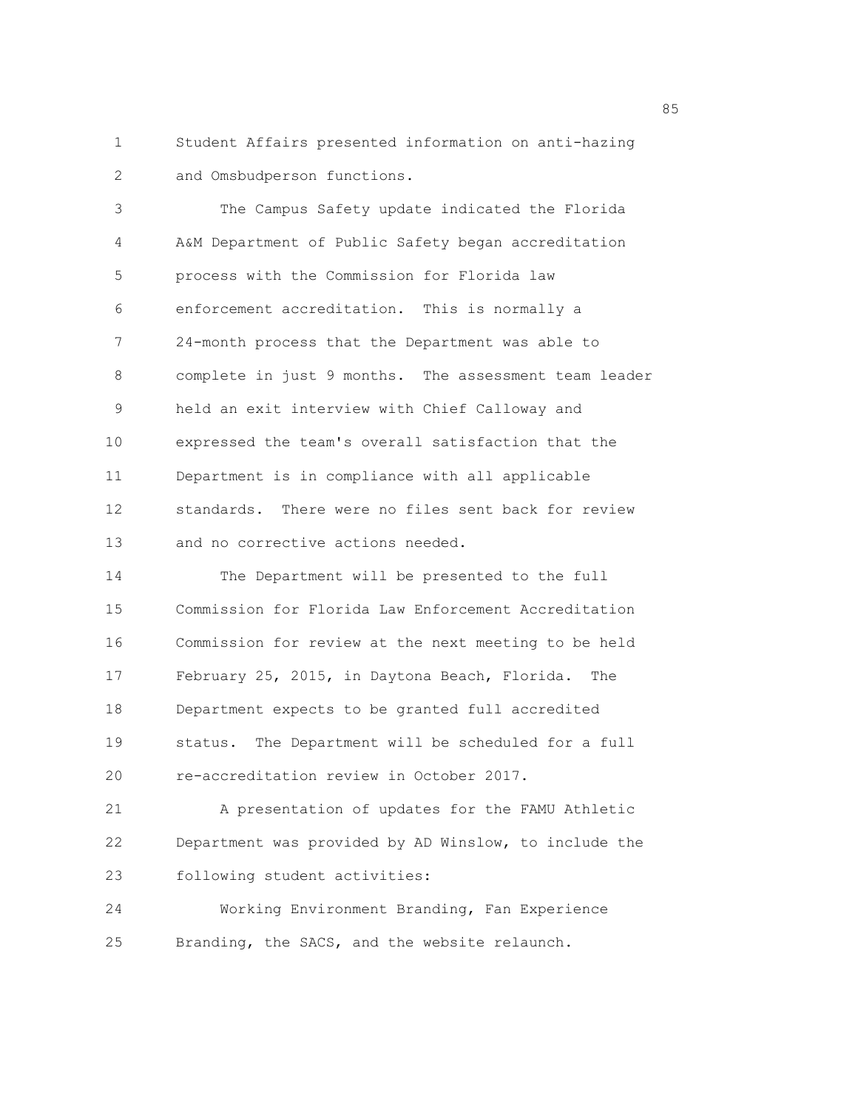1 Student Affairs presented information on anti-hazing 2 and Omsbudperson functions.

3 The Campus Safety update indicated the Florida 4 A&M Department of Public Safety began accreditation 5 process with the Commission for Florida law 6 enforcement accreditation. This is normally a 7 24-month process that the Department was able to 8 complete in just 9 months. The assessment team leader 9 held an exit interview with Chief Calloway and 10 expressed the team's overall satisfaction that the 11 Department is in compliance with all applicable 12 standards. There were no files sent back for review 13 and no corrective actions needed.

14 The Department will be presented to the full 15 Commission for Florida Law Enforcement Accreditation 16 Commission for review at the next meeting to be held 17 February 25, 2015, in Daytona Beach, Florida. The 18 Department expects to be granted full accredited 19 status. The Department will be scheduled for a full 20 re-accreditation review in October 2017.

21 A presentation of updates for the FAMU Athletic 22 Department was provided by AD Winslow, to include the 23 following student activities:

24 Working Environment Branding, Fan Experience 25 Branding, the SACS, and the website relaunch.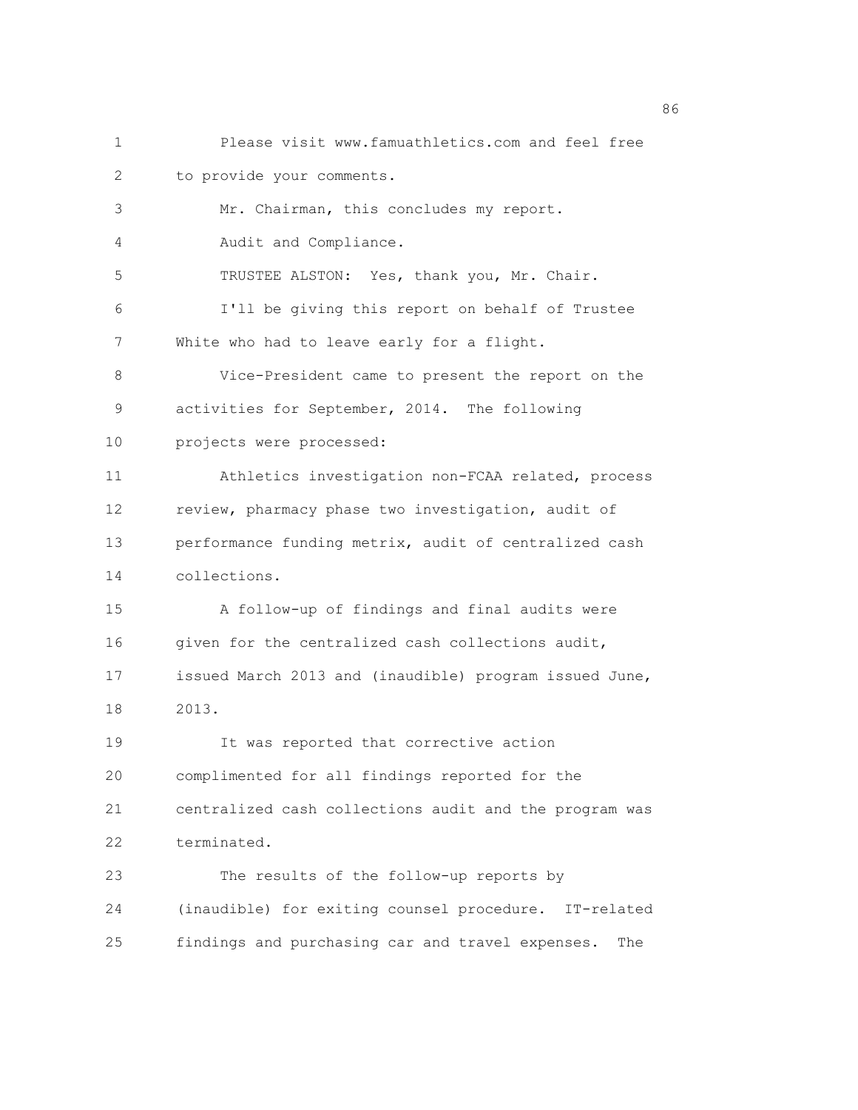1 Please visit www.famuathletics.com and feel free 2 to provide your comments. 3 Mr. Chairman, this concludes my report. 4 Audit and Compliance. 5 TRUSTEE ALSTON: Yes, thank you, Mr. Chair. 6 I'll be giving this report on behalf of Trustee 7 White who had to leave early for a flight. 8 Vice-President came to present the report on the 9 activities for September, 2014. The following 10 projects were processed: 11 Athletics investigation non-FCAA related, process 12 review, pharmacy phase two investigation, audit of 13 performance funding metrix, audit of centralized cash 14 collections. 15 A follow-up of findings and final audits were 16 given for the centralized cash collections audit, 17 issued March 2013 and (inaudible) program issued June, 18 2013. 19 It was reported that corrective action 20 complimented for all findings reported for the 21 centralized cash collections audit and the program was 22 terminated. 23 The results of the follow-up reports by 24 (inaudible) for exiting counsel procedure. IT-related 25 findings and purchasing car and travel expenses. The

<u>86 and 2001 and 2002 and 2003 and 2003 and 2003 and 2003 and 2003 and 2003 and 2003</u>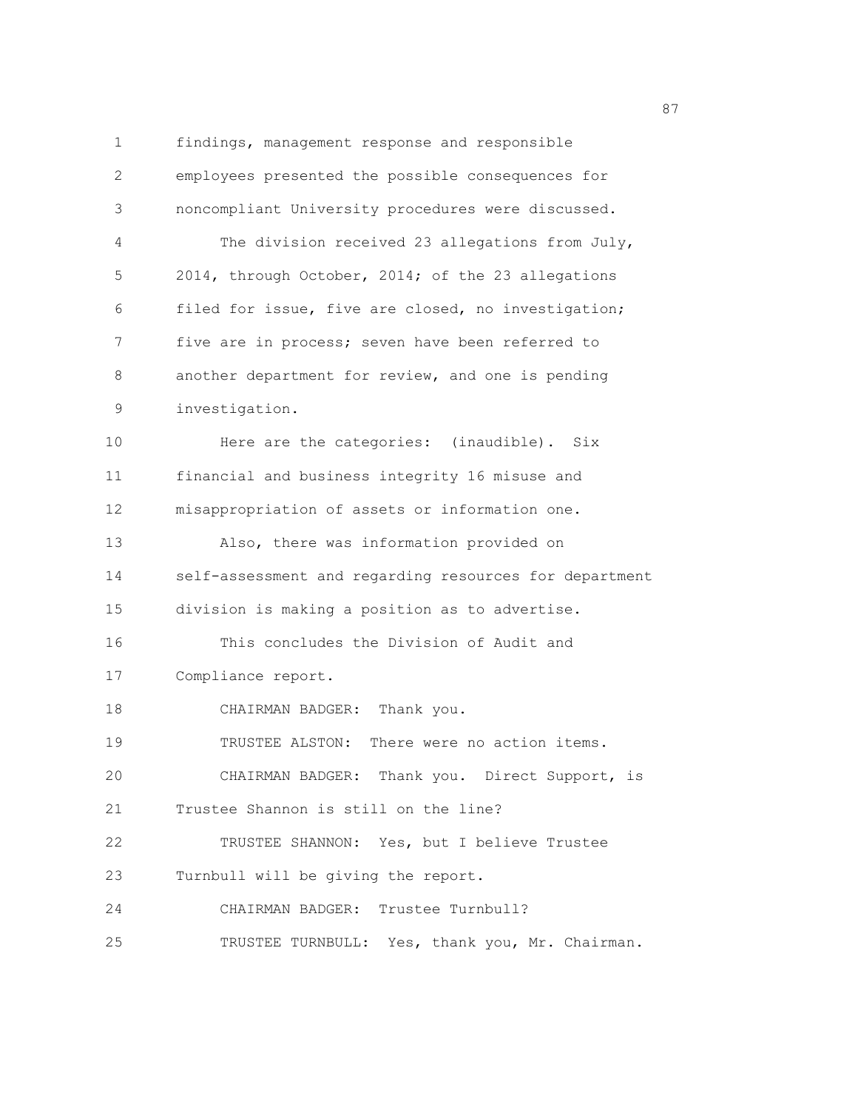1 findings, management response and responsible 2 employees presented the possible consequences for 3 noncompliant University procedures were discussed. 4 The division received 23 allegations from July, 5 2014, through October, 2014; of the 23 allegations 6 filed for issue, five are closed, no investigation; 7 five are in process; seven have been referred to 8 another department for review, and one is pending 9 investigation. 10 Here are the categories: (inaudible). Six 11 financial and business integrity 16 misuse and 12 misappropriation of assets or information one. 13 Also, there was information provided on 14 self-assessment and regarding resources for department 15 division is making a position as to advertise. 16 This concludes the Division of Audit and 17 Compliance report. 18 CHAIRMAN BADGER: Thank you. 19 TRUSTEE ALSTON: There were no action items. 20 CHAIRMAN BADGER: Thank you. Direct Support, is 21 Trustee Shannon is still on the line? 22 TRUSTEE SHANNON: Yes, but I believe Trustee 23 Turnbull will be giving the report. 24 CHAIRMAN BADGER: Trustee Turnbull? 25 TRUSTEE TURNBULL: Yes, thank you, Mr. Chairman.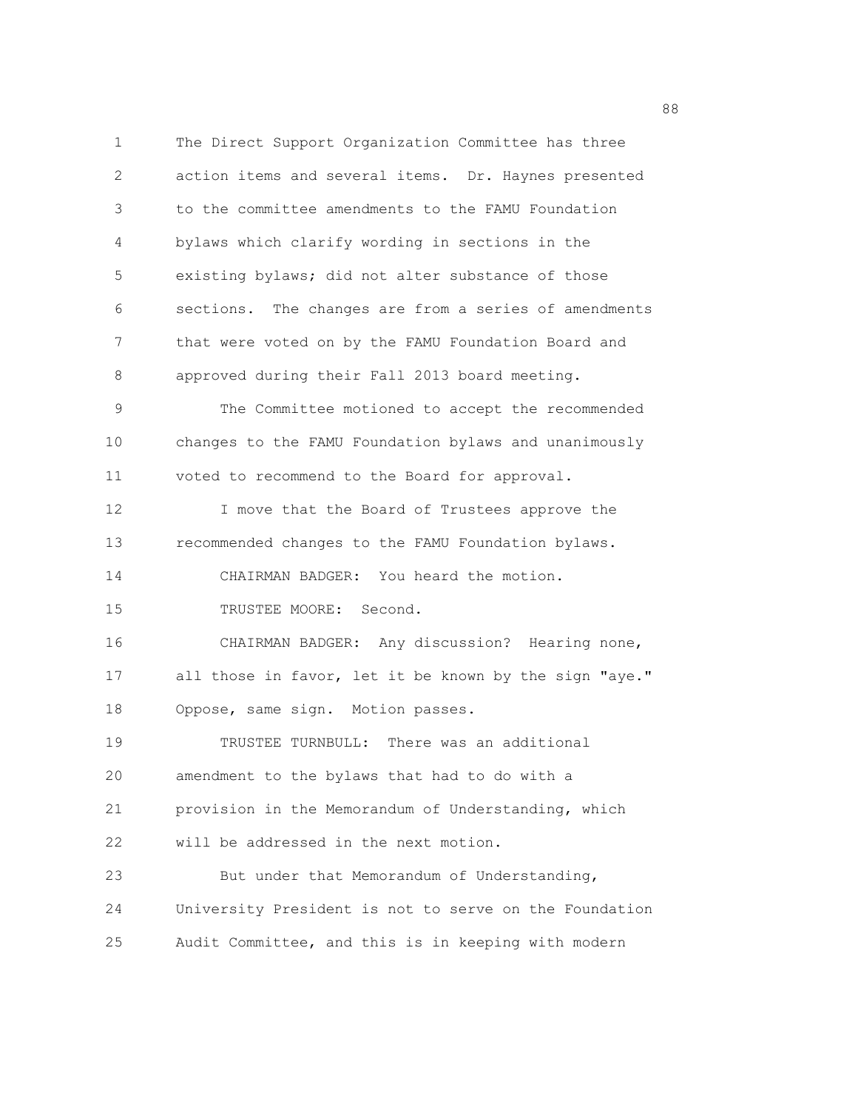1 The Direct Support Organization Committee has three 2 action items and several items. Dr. Haynes presented 3 to the committee amendments to the FAMU Foundation 4 bylaws which clarify wording in sections in the 5 existing bylaws; did not alter substance of those 6 sections. The changes are from a series of amendments 7 that were voted on by the FAMU Foundation Board and 8 approved during their Fall 2013 board meeting. 9 The Committee motioned to accept the recommended 10 changes to the FAMU Foundation bylaws and unanimously 11 voted to recommend to the Board for approval. 12 I move that the Board of Trustees approve the 13 recommended changes to the FAMU Foundation bylaws. 14 CHAIRMAN BADGER: You heard the motion. 15 TRUSTEE MOORE: Second. 16 CHAIRMAN BADGER: Any discussion? Hearing none, 17 all those in favor, let it be known by the sign "aye." 18 Oppose, same sign. Motion passes. 19 TRUSTEE TURNBULL: There was an additional 20 amendment to the bylaws that had to do with a 21 provision in the Memorandum of Understanding, which 22 will be addressed in the next motion. 23 But under that Memorandum of Understanding, 24 University President is not to serve on the Foundation 25 Audit Committee, and this is in keeping with modern

en de la construction de la construction de la construction de la construction de la construction de la constr<br>1888 : le construction de la construction de la construction de la construction de la construction de la const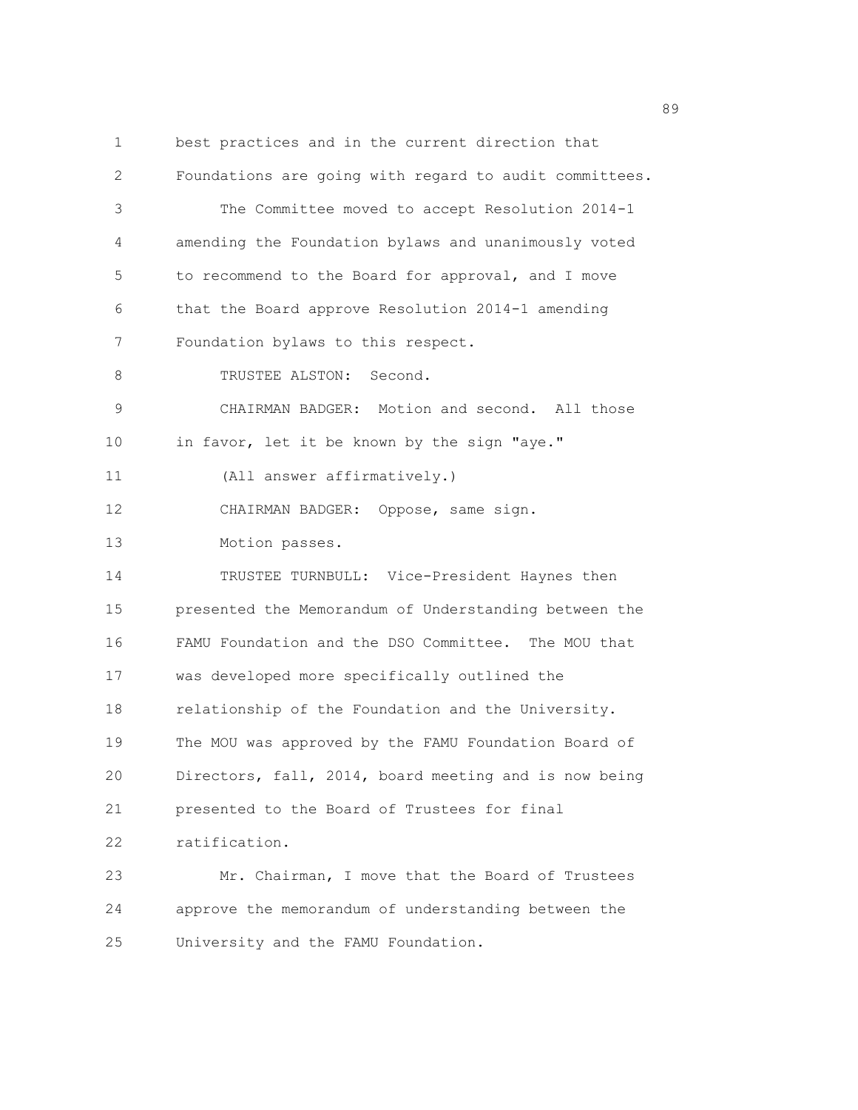1 best practices and in the current direction that 2 Foundations are going with regard to audit committees. 3 The Committee moved to accept Resolution 2014-1 4 amending the Foundation bylaws and unanimously voted 5 to recommend to the Board for approval, and I move 6 that the Board approve Resolution 2014-1 amending 7 Foundation bylaws to this respect. 8 TRUSTEE ALSTON: Second. 9 CHAIRMAN BADGER: Motion and second. All those 10 in favor, let it be known by the sign "aye." 11 (All answer affirmatively.) 12 CHAIRMAN BADGER: Oppose, same sign. 13 Motion passes. 14 TRUSTEE TURNBULL: Vice-President Haynes then 15 presented the Memorandum of Understanding between the 16 FAMU Foundation and the DSO Committee. The MOU that 17 was developed more specifically outlined the 18 relationship of the Foundation and the University. 19 The MOU was approved by the FAMU Foundation Board of 20 Directors, fall, 2014, board meeting and is now being 21 presented to the Board of Trustees for final 22 ratification. 23 Mr. Chairman, I move that the Board of Trustees 24 approve the memorandum of understanding between the 25 University and the FAMU Foundation.

en de la construction de la construction de la construction de la construction de la construction de la construction de la construction de la construction de la construction de la construction de la construction de la cons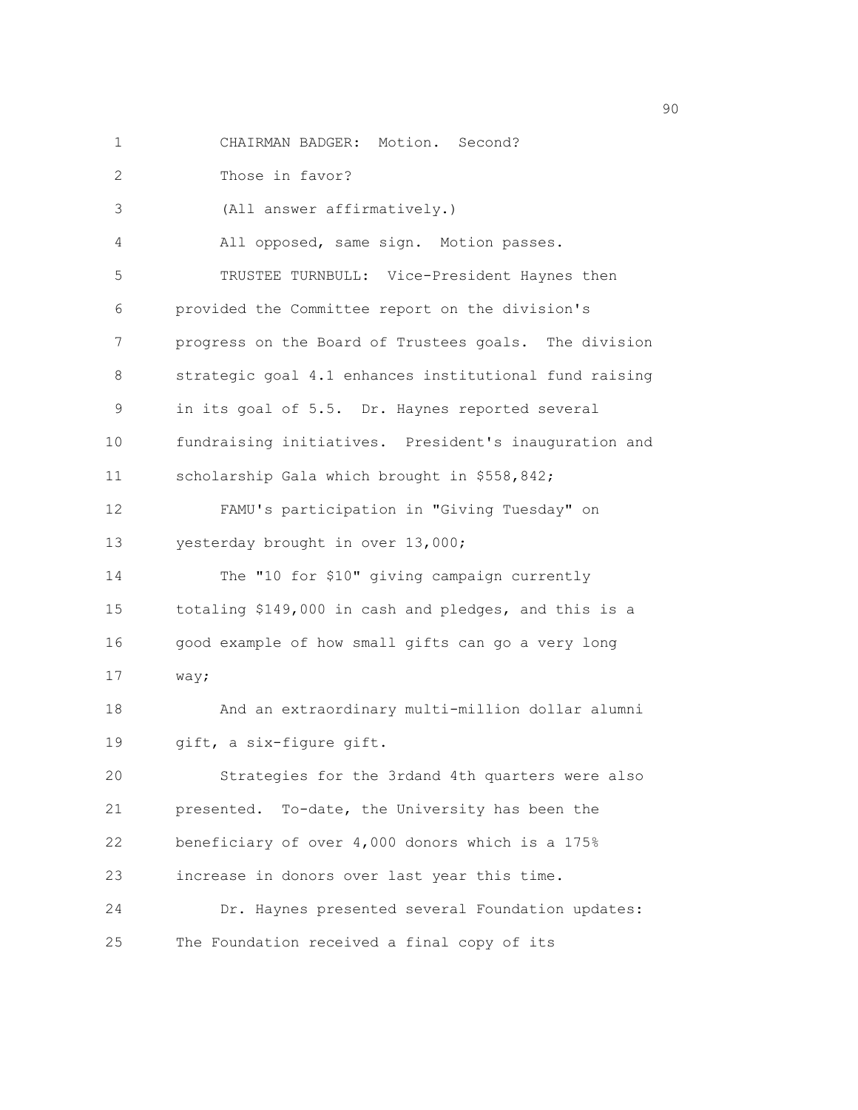1 CHAIRMAN BADGER: Motion. Second?

2 Those in favor?

3 (All answer affirmatively.)

4 All opposed, same sign. Motion passes. 5 TRUSTEE TURNBULL: Vice-President Haynes then 6 provided the Committee report on the division's 7 progress on the Board of Trustees goals. The division 8 strategic goal 4.1 enhances institutional fund raising 9 in its goal of 5.5. Dr. Haynes reported several 10 fundraising initiatives. President's inauguration and

11 scholarship Gala which brought in \$558,842;

12 FAMU's participation in "Giving Tuesday" on 13 yesterday brought in over 13,000;

14 The "10 for \$10" giving campaign currently 15 totaling \$149,000 in cash and pledges, and this is a 16 good example of how small gifts can go a very long 17 way;

18 And an extraordinary multi-million dollar alumni 19 gift, a six-figure gift.

20 Strategies for the 3rdand 4th quarters were also 21 presented. To-date, the University has been the 22 beneficiary of over 4,000 donors which is a 175% 23 increase in donors over last year this time. 24 Dr. Haynes presented several Foundation updates:

25 The Foundation received a final copy of its

en de la construction de la construction de la construction de la construction de la construction de la constr<br>1900 : la construction de la construction de la construction de la construction de la construction de la const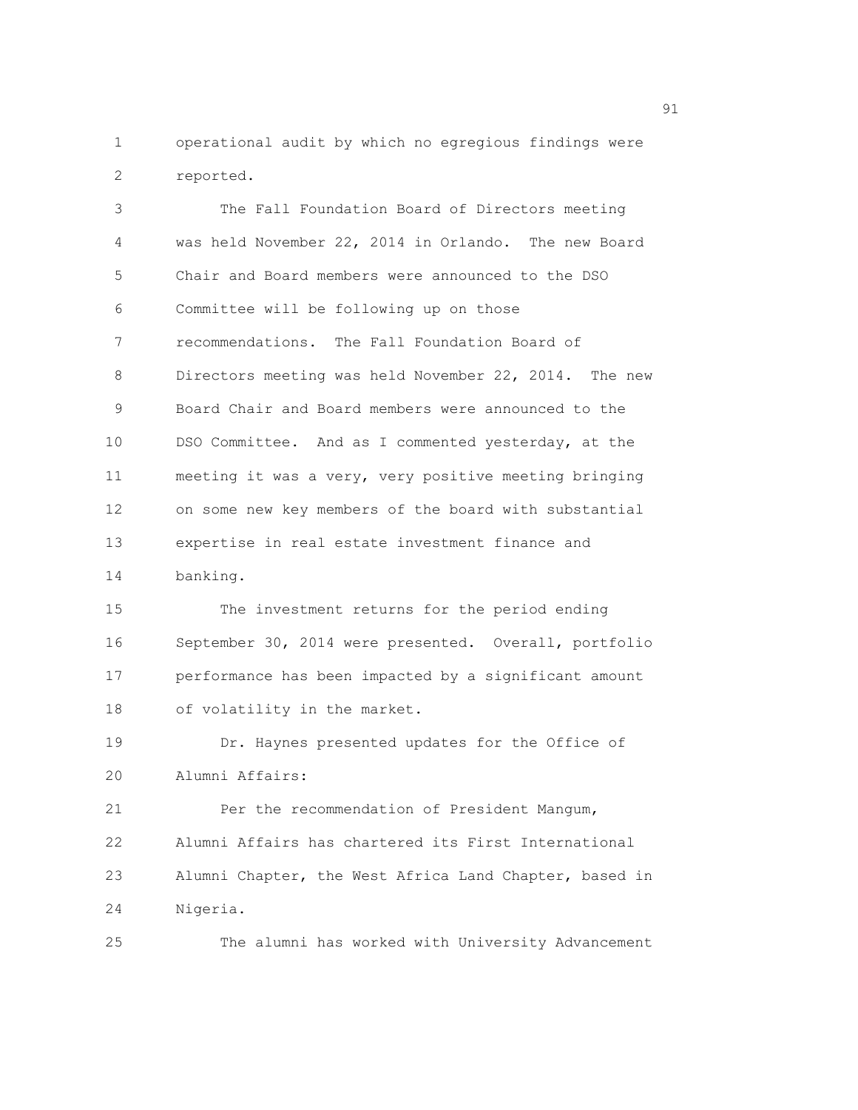1 operational audit by which no egregious findings were 2 reported.

3 The Fall Foundation Board of Directors meeting 4 was held November 22, 2014 in Orlando. The new Board 5 Chair and Board members were announced to the DSO 6 Committee will be following up on those 7 recommendations. The Fall Foundation Board of 8 Directors meeting was held November 22, 2014. The new 9 Board Chair and Board members were announced to the 10 DSO Committee. And as I commented yesterday, at the 11 meeting it was a very, very positive meeting bringing 12 on some new key members of the board with substantial 13 expertise in real estate investment finance and 14 banking. 15 The investment returns for the period ending 16 September 30, 2014 were presented. Overall, portfolio 17 performance has been impacted by a significant amount 18 of volatility in the market. 19 Dr. Haynes presented updates for the Office of 20 Alumni Affairs: 21 Per the recommendation of President Mangum, 22 Alumni Affairs has chartered its First International 23 Alumni Chapter, the West Africa Land Chapter, based in 24 Nigeria. 25 The alumni has worked with University Advancement

experience of the state of the state of the state of the state of the state of the state of the state of the s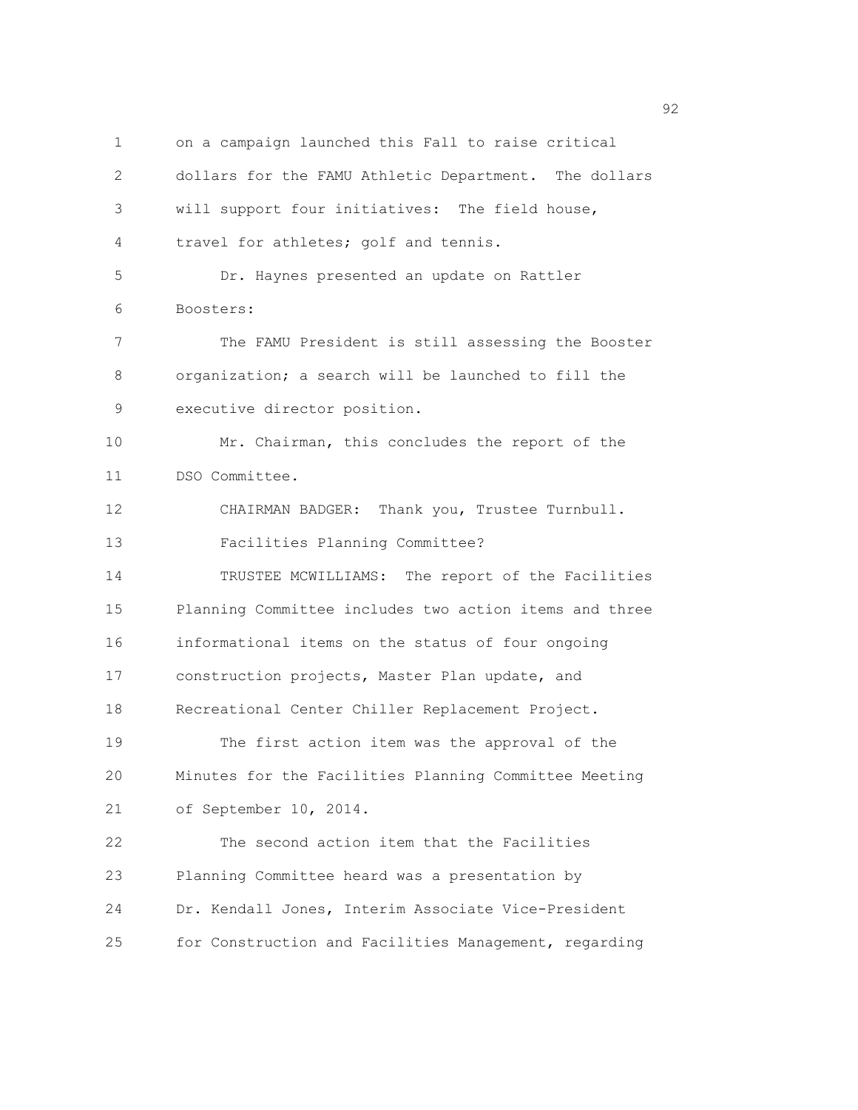1 on a campaign launched this Fall to raise critical 2 dollars for the FAMU Athletic Department. The dollars 3 will support four initiatives: The field house, 4 travel for athletes; golf and tennis. 5 Dr. Haynes presented an update on Rattler 6 Boosters: 7 The FAMU President is still assessing the Booster 8 organization; a search will be launched to fill the 9 executive director position. 10 Mr. Chairman, this concludes the report of the 11 DSO Committee. 12 CHAIRMAN BADGER: Thank you, Trustee Turnbull. 13 Facilities Planning Committee? 14 TRUSTEE MCWILLIAMS: The report of the Facilities 15 Planning Committee includes two action items and three 16 informational items on the status of four ongoing 17 construction projects, Master Plan update, and 18 Recreational Center Chiller Replacement Project. 19 The first action item was the approval of the 20 Minutes for the Facilities Planning Committee Meeting 21 of September 10, 2014. 22 The second action item that the Facilities 23 Planning Committee heard was a presentation by 24 Dr. Kendall Jones, Interim Associate Vice-President 25 for Construction and Facilities Management, regarding

 $\sim$  92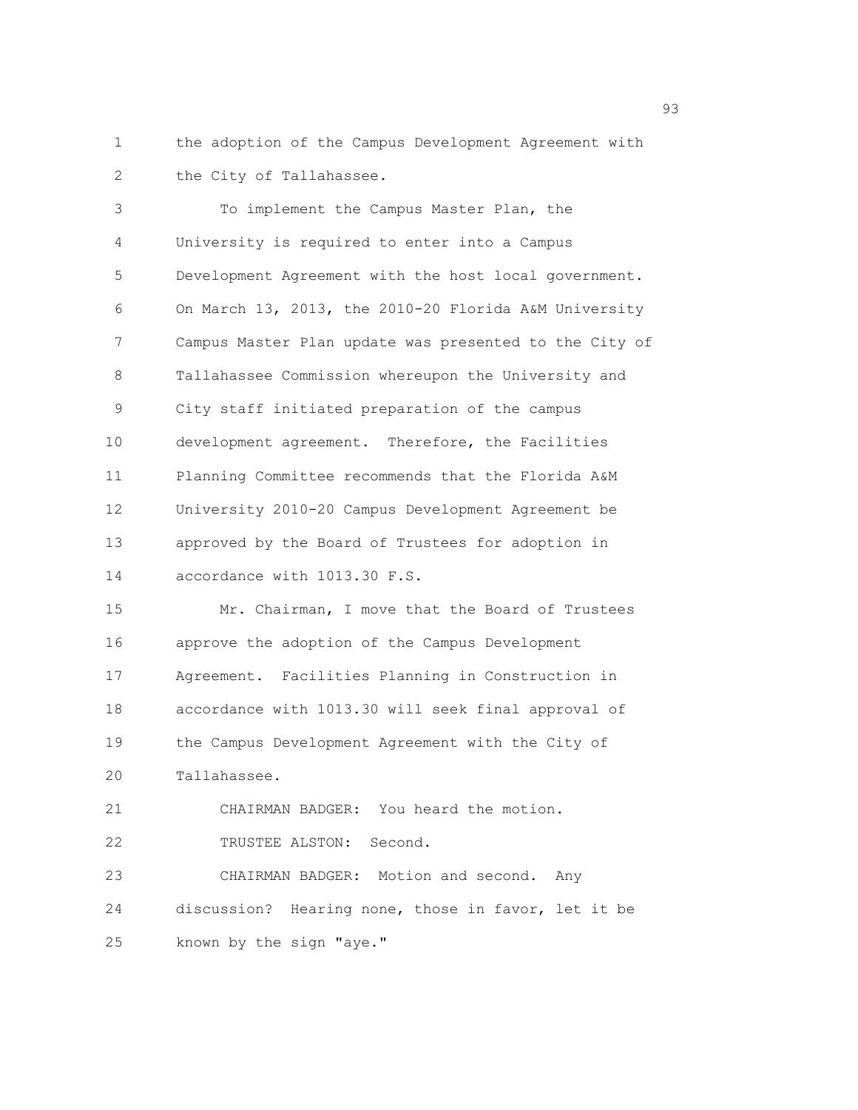1 the adoption of the Campus Development Agreement with 2 the City of Tallahassee.

| 3                 | To implement the Campus Master Plan, the               |
|-------------------|--------------------------------------------------------|
| 4                 | University is required to enter into a Campus          |
| 5                 | Development Agreement with the host local government.  |
| 6                 | On March 13, 2013, the 2010-20 Florida A&M University  |
| 7                 | Campus Master Plan update was presented to the City of |
| 8                 | Tallahassee Commission whereupon the University and    |
| 9                 | City staff initiated preparation of the campus         |
| 10 <sub>o</sub>   | development agreement. Therefore, the Facilities       |
| 11                | Planning Committee recommends that the Florida A&M     |
| $12 \overline{ }$ | University 2010-20 Campus Development Agreement be     |
| 13                | approved by the Board of Trustees for adoption in      |
| 14                | accordance with 1013.30 F.S.                           |

15 Mr. Chairman, I move that the Board of Trustees 16 approve the adoption of the Campus Development 17 Agreement. Facilities Planning in Construction in 18 accordance with 1013.30 will seek final approval of 19 the Campus Development Agreement with the City of 20 Tallahassee.

21 CHAIRMAN BADGER: You heard the motion.

22 TRUSTEE ALSTON: Second.

23 CHAIRMAN BADGER: Motion and second. Any 24 discussion? Hearing none, those in favor, let it be 25 known by the sign "aye."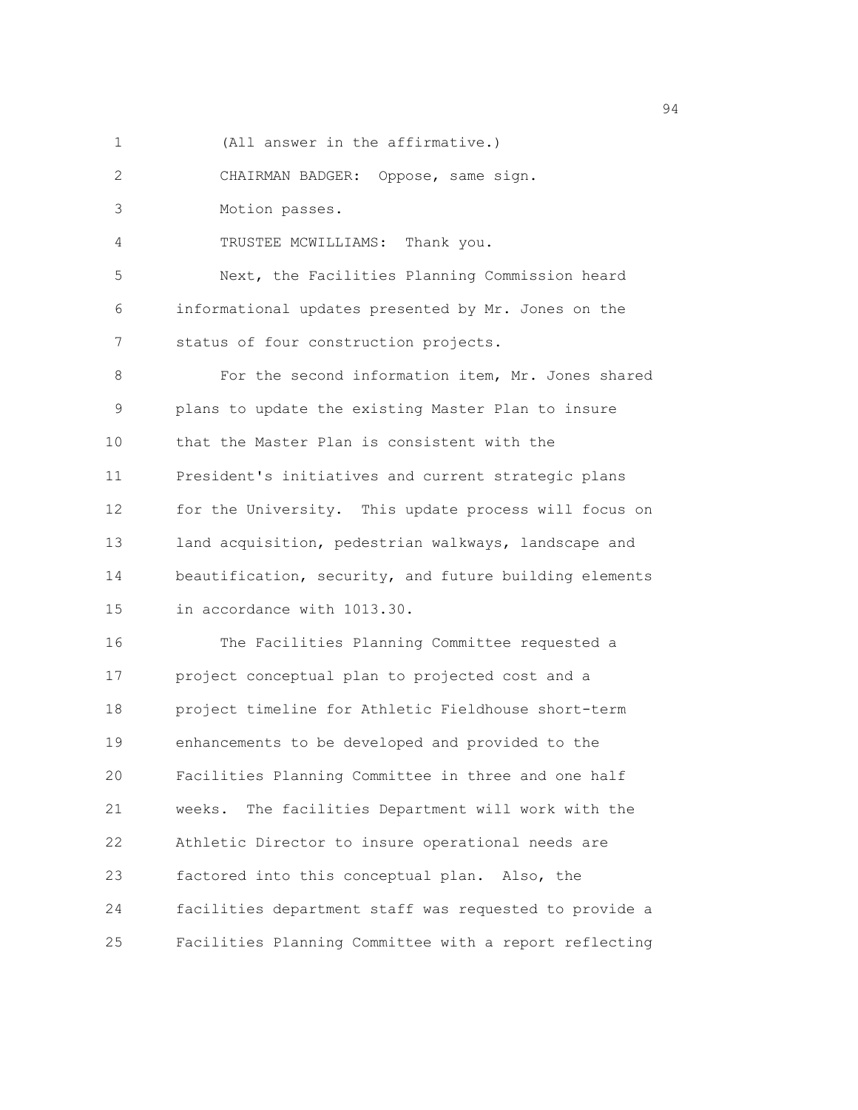1 (All answer in the affirmative.)

2 CHAIRMAN BADGER: Oppose, same sign.

3 Motion passes.

4 TRUSTEE MCWILLIAMS: Thank you.

5 Next, the Facilities Planning Commission heard 6 informational updates presented by Mr. Jones on the 7 status of four construction projects.

8 For the second information item, Mr. Jones shared 9 plans to update the existing Master Plan to insure 10 that the Master Plan is consistent with the 11 President's initiatives and current strategic plans 12 for the University. This update process will focus on 13 land acquisition, pedestrian walkways, landscape and 14 beautification, security, and future building elements 15 in accordance with 1013.30.

16 The Facilities Planning Committee requested a 17 project conceptual plan to projected cost and a 18 project timeline for Athletic Fieldhouse short-term 19 enhancements to be developed and provided to the 20 Facilities Planning Committee in three and one half 21 weeks. The facilities Department will work with the 22 Athletic Director to insure operational needs are 23 factored into this conceptual plan. Also, the 24 facilities department staff was requested to provide a 25 Facilities Planning Committee with a report reflecting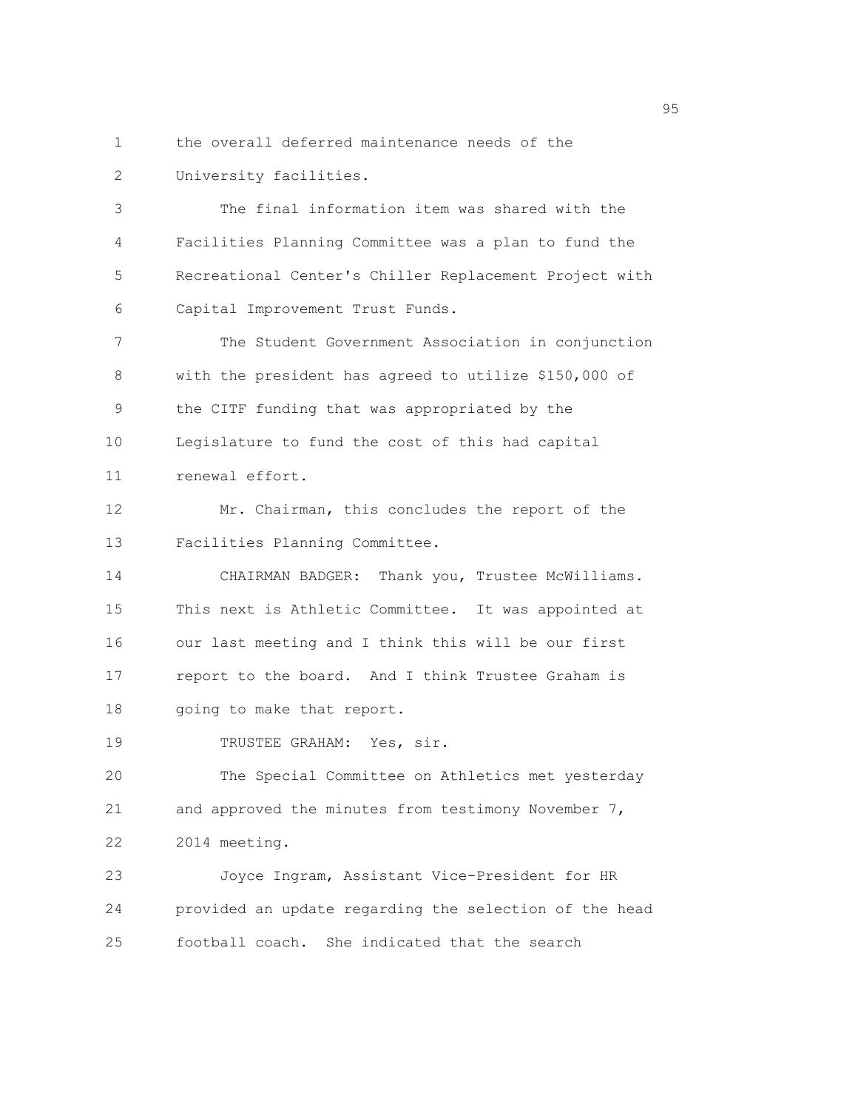1 the overall deferred maintenance needs of the 2 University facilities.

3 The final information item was shared with the 4 Facilities Planning Committee was a plan to fund the 5 Recreational Center's Chiller Replacement Project with 6 Capital Improvement Trust Funds.

7 The Student Government Association in conjunction 8 with the president has agreed to utilize \$150,000 of 9 the CITF funding that was appropriated by the 10 Legislature to fund the cost of this had capital 11 renewal effort.

12 Mr. Chairman, this concludes the report of the 13 Facilities Planning Committee.

14 CHAIRMAN BADGER: Thank you, Trustee McWilliams. 15 This next is Athletic Committee. It was appointed at 16 our last meeting and I think this will be our first 17 report to the board. And I think Trustee Graham is 18 going to make that report.

19 TRUSTEE GRAHAM: Yes, sir.

20 The Special Committee on Athletics met yesterday 21 and approved the minutes from testimony November 7, 22 2014 meeting.

23 Joyce Ingram, Assistant Vice-President for HR 24 provided an update regarding the selection of the head 25 football coach. She indicated that the search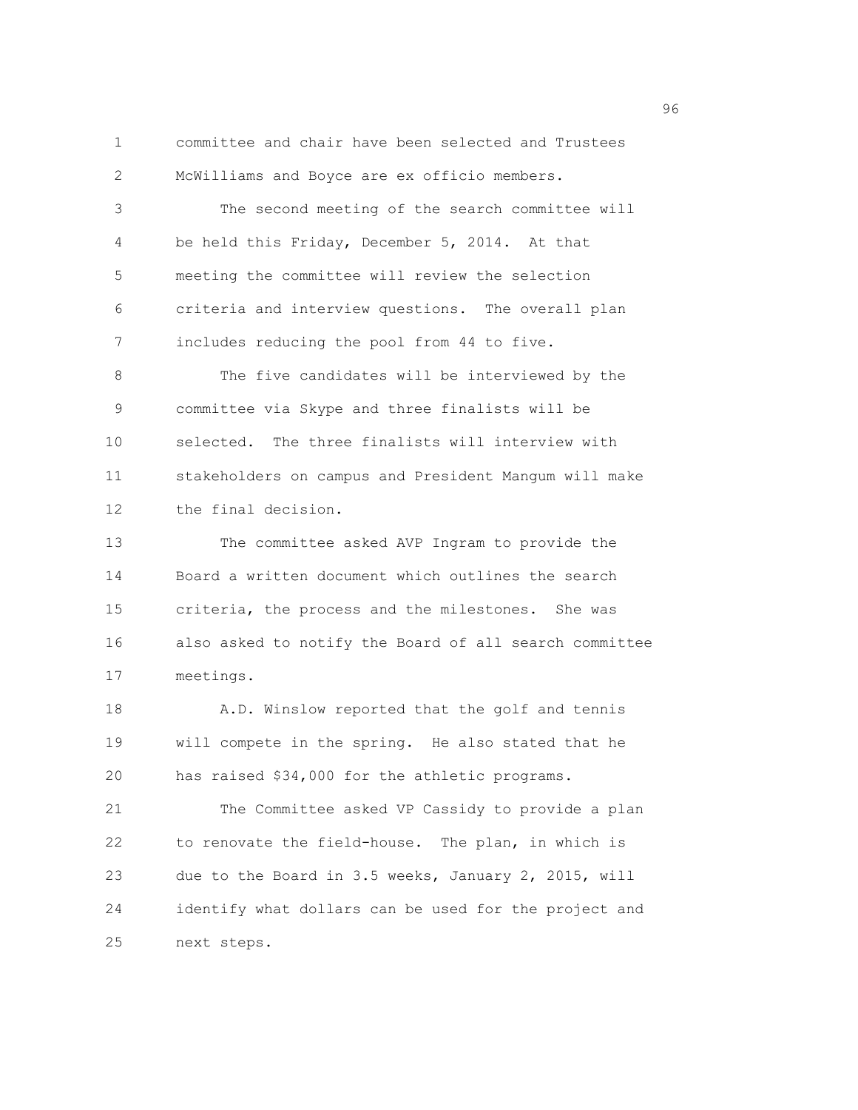1 committee and chair have been selected and Trustees 2 McWilliams and Boyce are ex officio members.

3 The second meeting of the search committee will 4 be held this Friday, December 5, 2014. At that 5 meeting the committee will review the selection 6 criteria and interview questions. The overall plan 7 includes reducing the pool from 44 to five.

8 The five candidates will be interviewed by the 9 committee via Skype and three finalists will be 10 selected. The three finalists will interview with 11 stakeholders on campus and President Mangum will make 12 the final decision.

13 The committee asked AVP Ingram to provide the 14 Board a written document which outlines the search 15 criteria, the process and the milestones. She was 16 also asked to notify the Board of all search committee 17 meetings.

18 A.D. Winslow reported that the golf and tennis 19 will compete in the spring. He also stated that he 20 has raised \$34,000 for the athletic programs.

21 The Committee asked VP Cassidy to provide a plan 22 to renovate the field-house. The plan, in which is 23 due to the Board in 3.5 weeks, January 2, 2015, will 24 identify what dollars can be used for the project and 25 next steps.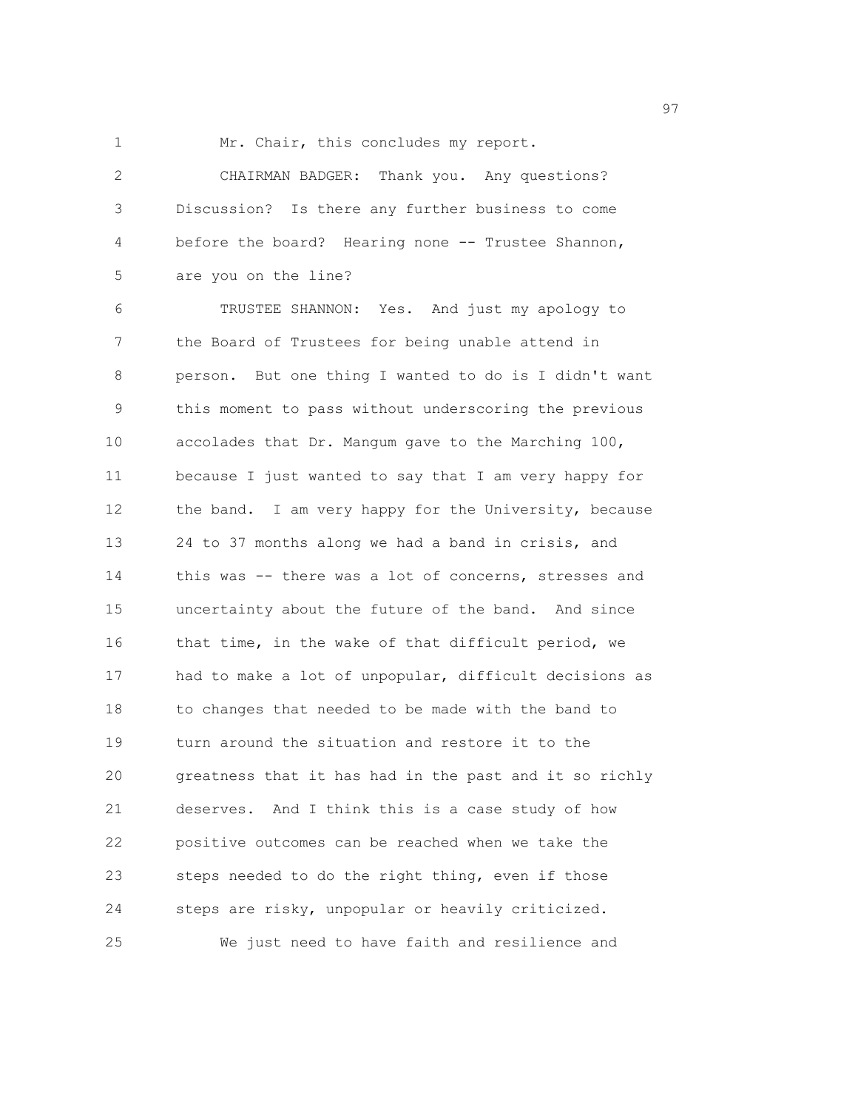1 Mr. Chair, this concludes my report.

2 CHAIRMAN BADGER: Thank you. Any questions? 3 Discussion? Is there any further business to come 4 before the board? Hearing none -- Trustee Shannon, 5 are you on the line?

6 TRUSTEE SHANNON: Yes. And just my apology to 7 the Board of Trustees for being unable attend in 8 person. But one thing I wanted to do is I didn't want 9 this moment to pass without underscoring the previous 10 accolades that Dr. Mangum gave to the Marching 100, 11 because I just wanted to say that I am very happy for 12 the band. I am very happy for the University, because 13 24 to 37 months along we had a band in crisis, and 14 this was -- there was a lot of concerns, stresses and 15 uncertainty about the future of the band. And since 16 that time, in the wake of that difficult period, we 17 had to make a lot of unpopular, difficult decisions as 18 to changes that needed to be made with the band to 19 turn around the situation and restore it to the 20 greatness that it has had in the past and it so richly 21 deserves. And I think this is a case study of how 22 positive outcomes can be reached when we take the 23 steps needed to do the right thing, even if those 24 steps are risky, unpopular or heavily criticized. 25 We just need to have faith and resilience and

experience of the contract of the contract of the contract of the contract of the contract of the contract of the contract of the contract of the contract of the contract of the contract of the contract of the contract of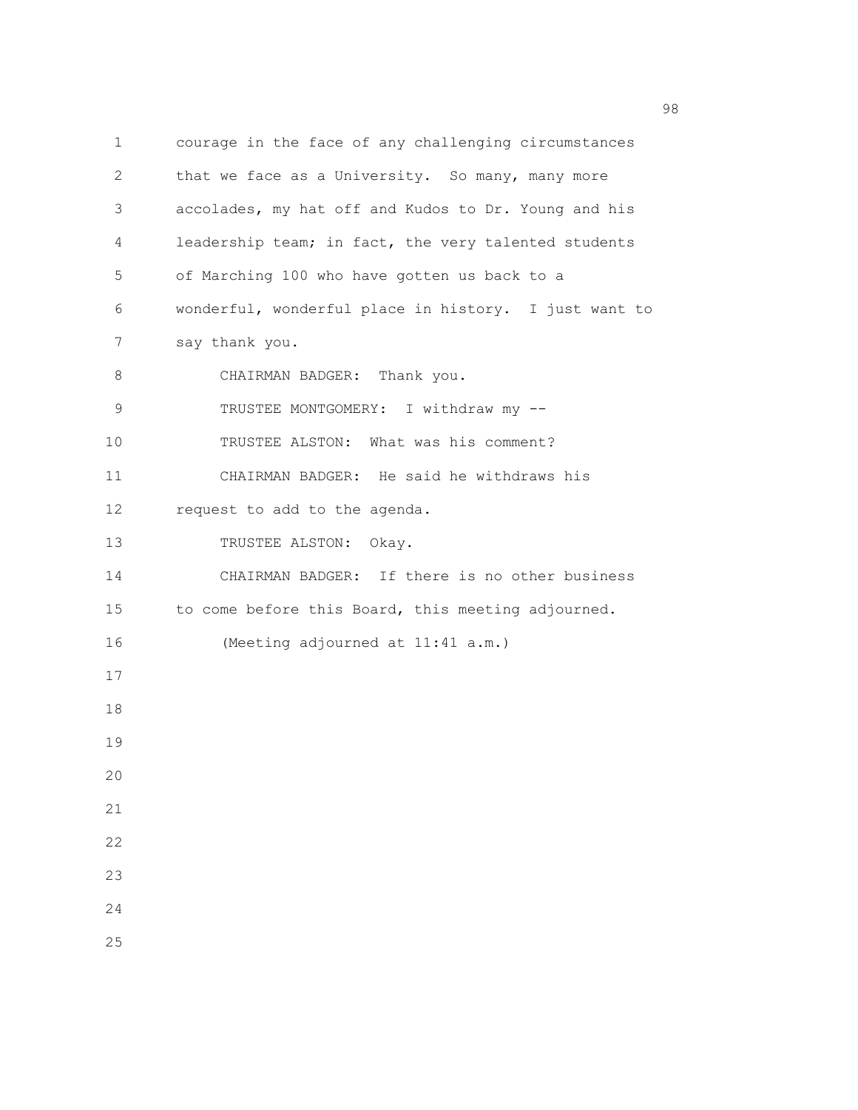1 courage in the face of any challenging circumstances 2 that we face as a University. So many, many more 3 accolades, my hat off and Kudos to Dr. Young and his 4 leadership team; in fact, the very talented students 5 of Marching 100 who have gotten us back to a 6 wonderful, wonderful place in history. I just want to 7 say thank you. 8 CHAIRMAN BADGER: Thank you. 9 TRUSTEE MONTGOMERY: I withdraw my --10 TRUSTEE ALSTON: What was his comment? 11 CHAIRMAN BADGER: He said he withdraws his 12 request to add to the agenda. 13 TRUSTEE ALSTON: Okay. 14 CHAIRMAN BADGER: If there is no other business 15 to come before this Board, this meeting adjourned. 16 (Meeting adjourned at 11:41 a.m.) 17 18 19  $20$ 21 22 23 24 25